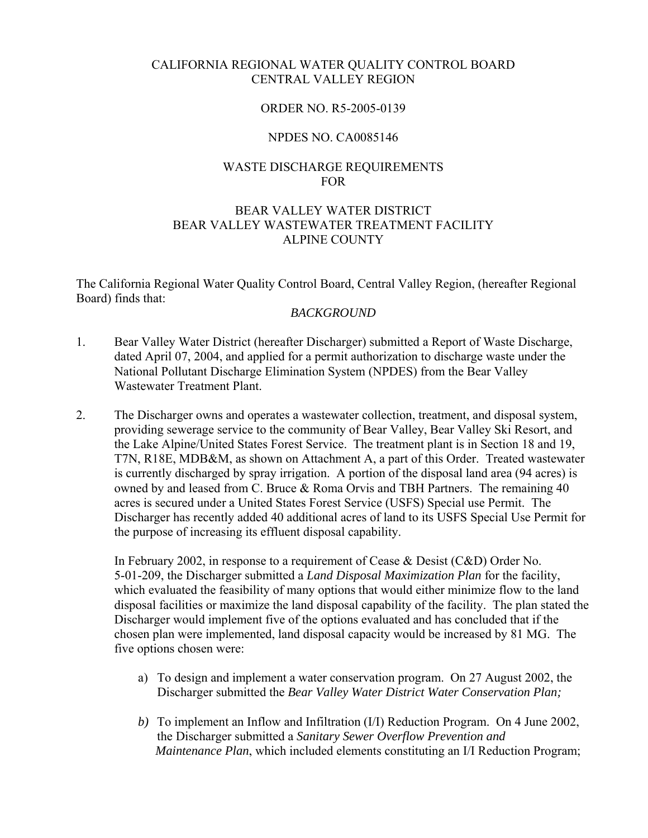## CALIFORNIA REGIONAL WATER QUALITY CONTROL BOARD CENTRAL VALLEY REGION

#### ORDER NO. R5-2005-0139

#### NPDES NO. CA0085146

## WASTE DISCHARGE REQUIREMENTS FOR

## BEAR VALLEY WATER DISTRICT BEAR VALLEY WASTEWATER TREATMENT FACILITY ALPINE COUNTY

The California Regional Water Quality Control Board, Central Valley Region, (hereafter Regional Board) finds that:

#### *BACKGROUND*

- 1. Bear Valley Water District (hereafter Discharger) submitted a Report of Waste Discharge, dated April 07, 2004, and applied for a permit authorization to discharge waste under the National Pollutant Discharge Elimination System (NPDES) from the Bear Valley Wastewater Treatment Plant.
- 2. The Discharger owns and operates a wastewater collection, treatment, and disposal system, providing sewerage service to the community of Bear Valley, Bear Valley Ski Resort, and the Lake Alpine/United States Forest Service. The treatment plant is in Section 18 and 19, T7N, R18E, MDB&M, as shown on Attachment A, a part of this Order. Treated wastewater is currently discharged by spray irrigation. A portion of the disposal land area (94 acres) is owned by and leased from C. Bruce & Roma Orvis and TBH Partners. The remaining 40 acres is secured under a United States Forest Service (USFS) Special use Permit. The Discharger has recently added 40 additional acres of land to its USFS Special Use Permit for the purpose of increasing its effluent disposal capability.

In February 2002, in response to a requirement of Cease & Desist (C&D) Order No. 5-01-209, the Discharger submitted a *Land Disposal Maximization Plan* for the facility, which evaluated the feasibility of many options that would either minimize flow to the land disposal facilities or maximize the land disposal capability of the facility. The plan stated the Discharger would implement five of the options evaluated and has concluded that if the chosen plan were implemented, land disposal capacity would be increased by 81 MG. The five options chosen were:

- a) To design and implement a water conservation program. On 27 August 2002, the Discharger submitted the *Bear Valley Water District Water Conservation Plan;*
- *b)* To implement an Inflow and Infiltration (I/I) Reduction Program. On 4 June 2002, the Discharger submitted a *Sanitary Sewer Overflow Prevention and Maintenance Plan*, which included elements constituting an I/I Reduction Program;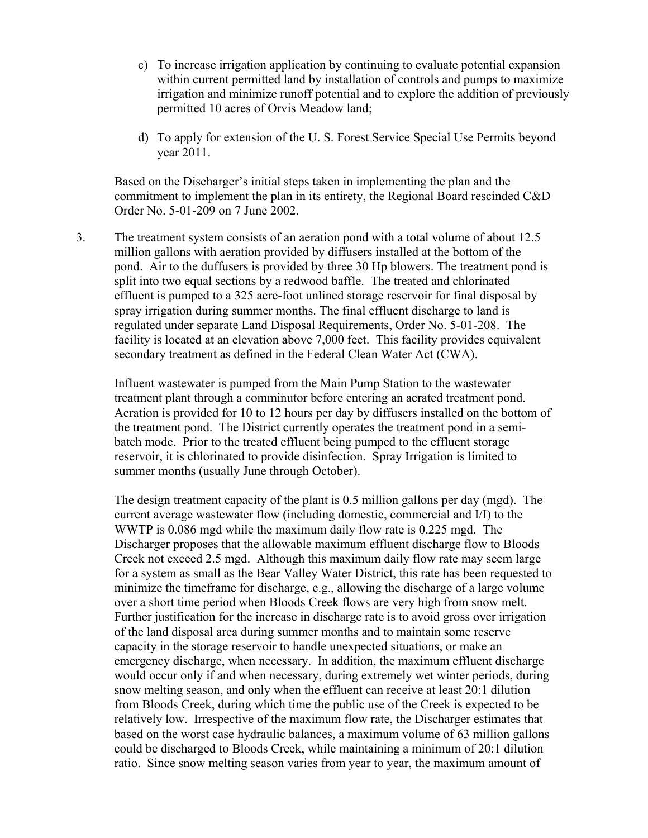- c) To increase irrigation application by continuing to evaluate potential expansion within current permitted land by installation of controls and pumps to maximize irrigation and minimize runoff potential and to explore the addition of previously permitted 10 acres of Orvis Meadow land;
- d) To apply for extension of the U. S. Forest Service Special Use Permits beyond year 2011.

Based on the Discharger's initial steps taken in implementing the plan and the commitment to implement the plan in its entirety, the Regional Board rescinded C&D Order No. 5-01-209 on 7 June 2002.

3. The treatment system consists of an aeration pond with a total volume of about 12.5 million gallons with aeration provided by diffusers installed at the bottom of the pond. Air to the duffusers is provided by three 30 Hp blowers. The treatment pond is split into two equal sections by a redwood baffle. The treated and chlorinated effluent is pumped to a 325 acre-foot unlined storage reservoir for final disposal by spray irrigation during summer months. The final effluent discharge to land is regulated under separate Land Disposal Requirements, Order No. 5-01-208. The facility is located at an elevation above 7,000 feet. This facility provides equivalent secondary treatment as defined in the Federal Clean Water Act (CWA).

Influent wastewater is pumped from the Main Pump Station to the wastewater treatment plant through a comminutor before entering an aerated treatment pond. Aeration is provided for 10 to 12 hours per day by diffusers installed on the bottom of the treatment pond. The District currently operates the treatment pond in a semibatch mode. Prior to the treated effluent being pumped to the effluent storage reservoir, it is chlorinated to provide disinfection. Spray Irrigation is limited to summer months (usually June through October).

The design treatment capacity of the plant is 0.5 million gallons per day (mgd). The current average wastewater flow (including domestic, commercial and I/I) to the WWTP is 0.086 mgd while the maximum daily flow rate is 0.225 mgd. The Discharger proposes that the allowable maximum effluent discharge flow to Bloods Creek not exceed 2.5 mgd. Although this maximum daily flow rate may seem large for a system as small as the Bear Valley Water District, this rate has been requested to minimize the timeframe for discharge, e.g., allowing the discharge of a large volume over a short time period when Bloods Creek flows are very high from snow melt. Further justification for the increase in discharge rate is to avoid gross over irrigation of the land disposal area during summer months and to maintain some reserve capacity in the storage reservoir to handle unexpected situations, or make an emergency discharge, when necessary. In addition, the maximum effluent discharge would occur only if and when necessary, during extremely wet winter periods, during snow melting season, and only when the effluent can receive at least 20:1 dilution from Bloods Creek, during which time the public use of the Creek is expected to be relatively low. Irrespective of the maximum flow rate, the Discharger estimates that based on the worst case hydraulic balances, a maximum volume of 63 million gallons could be discharged to Bloods Creek, while maintaining a minimum of 20:1 dilution ratio. Since snow melting season varies from year to year, the maximum amount of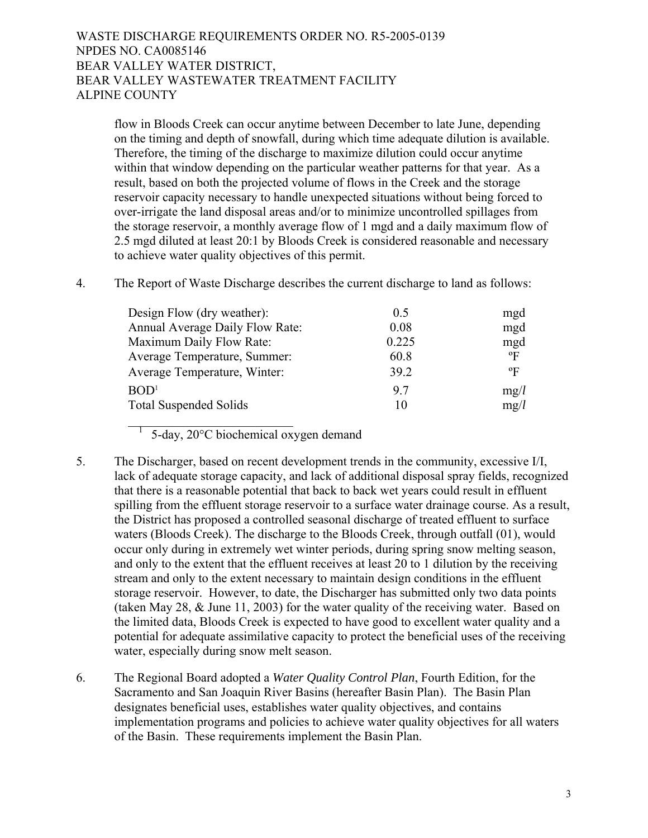flow in Bloods Creek can occur anytime between December to late June, depending on the timing and depth of snowfall, during which time adequate dilution is available. Therefore, the timing of the discharge to maximize dilution could occur anytime within that window depending on the particular weather patterns for that year. As a result, based on both the projected volume of flows in the Creek and the storage reservoir capacity necessary to handle unexpected situations without being forced to over-irrigate the land disposal areas and/or to minimize uncontrolled spillages from the storage reservoir, a monthly average flow of 1 mgd and a daily maximum flow of 2.5 mgd diluted at least 20:1 by Bloods Creek is considered reasonable and necessary to achieve water quality objectives of this permit.

|  |  |  | The Report of Waste Discharge describes the current discharge to land as follows: |
|--|--|--|-----------------------------------------------------------------------------------|
|  |  |  |                                                                                   |

| Design Flow (dry weather):      | 0.5   | mgd       |
|---------------------------------|-------|-----------|
| Annual Average Daily Flow Rate: | 0.08  | mgd       |
| Maximum Daily Flow Rate:        | 0.225 | mgd       |
| Average Temperature, Summer:    | 60.8  | $\rm ^oF$ |
| Average Temperature, Winter:    | 39.2  | $\rm ^oF$ |
| BOD <sup>1</sup>                | 97    | mg/l      |
| <b>Total Suspended Solids</b>   | 10    | mg/l      |

 $5$ -day,  $20^{\circ}$ C biochemical oxygen demand

 $\overline{\phantom{a}}$  , where  $\overline{\phantom{a}}$  , where  $\overline{\phantom{a}}$  , where  $\overline{\phantom{a}}$ 

- 5. The Discharger, based on recent development trends in the community, excessive I/I, lack of adequate storage capacity, and lack of additional disposal spray fields, recognized that there is a reasonable potential that back to back wet years could result in effluent spilling from the effluent storage reservoir to a surface water drainage course. As a result, the District has proposed a controlled seasonal discharge of treated effluent to surface waters (Bloods Creek). The discharge to the Bloods Creek, through outfall (01), would occur only during in extremely wet winter periods, during spring snow melting season, and only to the extent that the effluent receives at least 20 to 1 dilution by the receiving stream and only to the extent necessary to maintain design conditions in the effluent storage reservoir. However, to date, the Discharger has submitted only two data points (taken May 28, & June 11, 2003) for the water quality of the receiving water. Based on the limited data, Bloods Creek is expected to have good to excellent water quality and a potential for adequate assimilative capacity to protect the beneficial uses of the receiving water, especially during snow melt season.
- 6. The Regional Board adopted a *Water Quality Control Plan*, Fourth Edition, for the Sacramento and San Joaquin River Basins (hereafter Basin Plan). The Basin Plan designates beneficial uses, establishes water quality objectives, and contains implementation programs and policies to achieve water quality objectives for all waters of the Basin. These requirements implement the Basin Plan.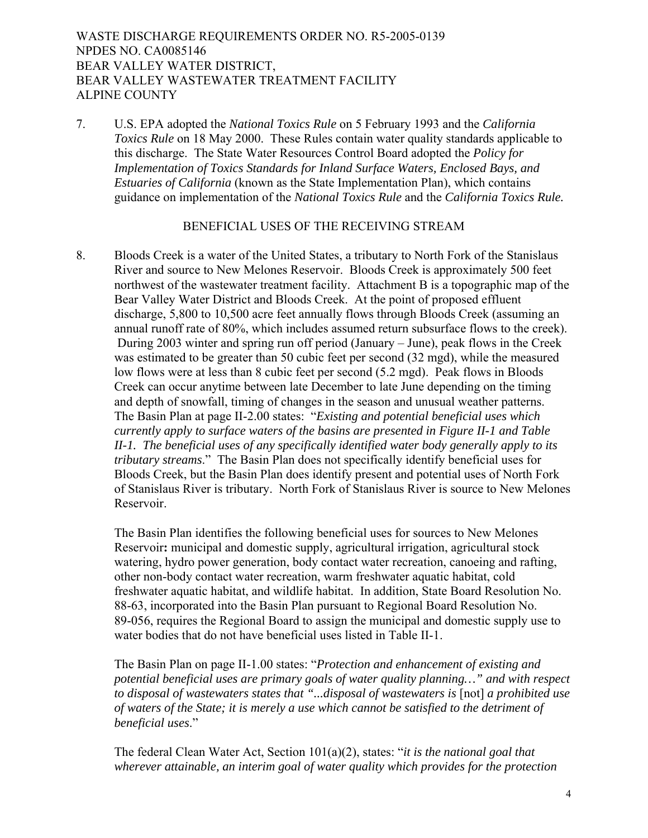7. U.S. EPA adopted the *National Toxics Rule* on 5 February 1993 and the *California Toxics Rule* on 18 May 2000. These Rules contain water quality standards applicable to this discharge. The State Water Resources Control Board adopted the *Policy for Implementation of Toxics Standards for Inland Surface Waters, Enclosed Bays, and Estuaries of California* (known as the State Implementation Plan), which contains guidance on implementation of the *National Toxics Rule* and the *California Toxics Rule.* 

## BENEFICIAL USES OF THE RECEIVING STREAM

8. Bloods Creek is a water of the United States, a tributary to North Fork of the Stanislaus River and source to New Melones Reservoir. Bloods Creek is approximately 500 feet northwest of the wastewater treatment facility. Attachment B is a topographic map of the Bear Valley Water District and Bloods Creek. At the point of proposed effluent discharge, 5,800 to 10,500 acre feet annually flows through Bloods Creek (assuming an annual runoff rate of 80%, which includes assumed return subsurface flows to the creek). During 2003 winter and spring run off period (January – June), peak flows in the Creek was estimated to be greater than 50 cubic feet per second (32 mgd), while the measured low flows were at less than 8 cubic feet per second (5.2 mgd). Peak flows in Bloods Creek can occur anytime between late December to late June depending on the timing and depth of snowfall, timing of changes in the season and unusual weather patterns. The Basin Plan at page II-2.00 states: "*Existing and potential beneficial uses which currently apply to surface waters of the basins are presented in Figure II-1 and Table II-1. The beneficial uses of any specifically identified water body generally apply to its tributary streams*." The Basin Plan does not specifically identify beneficial uses for Bloods Creek, but the Basin Plan does identify present and potential uses of North Fork of Stanislaus River is tributary. North Fork of Stanislaus River is source to New Melones Reservoir.

The Basin Plan identifies the following beneficial uses for sources to New Melones Reservoir**:** municipal and domestic supply, agricultural irrigation, agricultural stock watering, hydro power generation, body contact water recreation, canoeing and rafting, other non-body contact water recreation, warm freshwater aquatic habitat, cold freshwater aquatic habitat, and wildlife habitat. In addition, State Board Resolution No. 88-63, incorporated into the Basin Plan pursuant to Regional Board Resolution No. 89-056, requires the Regional Board to assign the municipal and domestic supply use to water bodies that do not have beneficial uses listed in Table II-1.

The Basin Plan on page II-1.00 states: "*Protection and enhancement of existing and potential beneficial uses are primary goals of water quality planning…" and with respect to disposal of wastewaters states that "...disposal of wastewaters is* [not] *a prohibited use of waters of the State; it is merely a use which cannot be satisfied to the detriment of beneficial uses*."

The federal Clean Water Act, Section 101(a)(2), states: "*it is the national goal that wherever attainable, an interim goal of water quality which provides for the protection*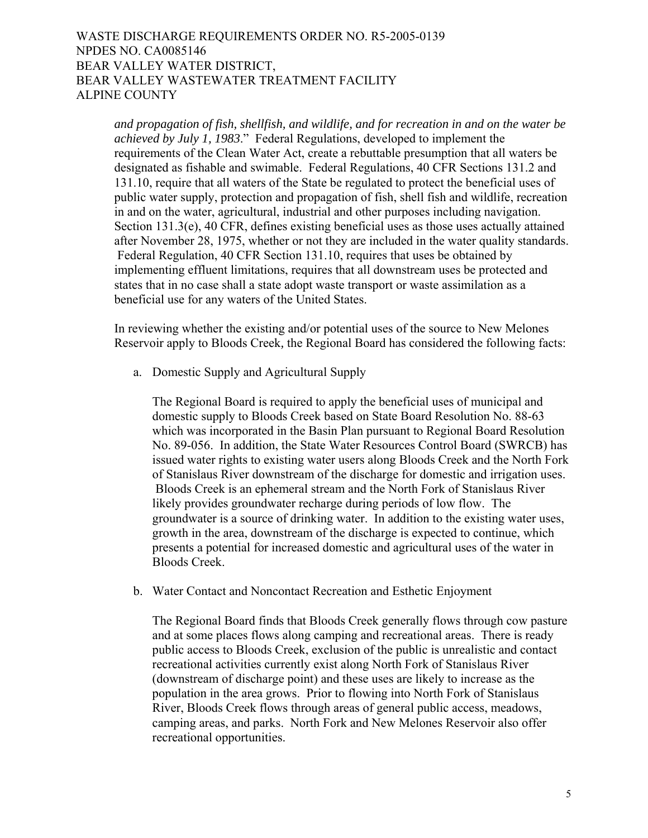*and propagation of fish, shellfish, and wildlife, and for recreation in and on the water be achieved by July 1, 1983*." Federal Regulations, developed to implement the requirements of the Clean Water Act, create a rebuttable presumption that all waters be designated as fishable and swimable. Federal Regulations, 40 CFR Sections 131.2 and 131.10, require that all waters of the State be regulated to protect the beneficial uses of public water supply, protection and propagation of fish, shell fish and wildlife, recreation in and on the water, agricultural, industrial and other purposes including navigation. Section 131.3(e), 40 CFR, defines existing beneficial uses as those uses actually attained after November 28, 1975, whether or not they are included in the water quality standards. Federal Regulation, 40 CFR Section 131.10, requires that uses be obtained by implementing effluent limitations, requires that all downstream uses be protected and states that in no case shall a state adopt waste transport or waste assimilation as a beneficial use for any waters of the United States.

In reviewing whether the existing and/or potential uses of the source to New Melones Reservoir apply to Bloods Creek*,* the Regional Board has considered the following facts:

a. Domestic Supply and Agricultural Supply

The Regional Board is required to apply the beneficial uses of municipal and domestic supply to Bloods Creek based on State Board Resolution No. 88-63 which was incorporated in the Basin Plan pursuant to Regional Board Resolution No. 89-056. In addition, the State Water Resources Control Board (SWRCB) has issued water rights to existing water users along Bloods Creek and the North Fork of Stanislaus River downstream of the discharge for domestic and irrigation uses. Bloods Creek is an ephemeral stream and the North Fork of Stanislaus River likely provides groundwater recharge during periods of low flow. The groundwater is a source of drinking water. In addition to the existing water uses, growth in the area, downstream of the discharge is expected to continue, which presents a potential for increased domestic and agricultural uses of the water in Bloods Creek.

b. Water Contact and Noncontact Recreation and Esthetic Enjoyment

The Regional Board finds that Bloods Creek generally flows through cow pasture and at some places flows along camping and recreational areas. There is ready public access to Bloods Creek, exclusion of the public is unrealistic and contact recreational activities currently exist along North Fork of Stanislaus River (downstream of discharge point) and these uses are likely to increase as the population in the area grows. Prior to flowing into North Fork of Stanislaus River, Bloods Creek flows through areas of general public access, meadows, camping areas, and parks.North Fork and New Melones Reservoir also offer recreational opportunities.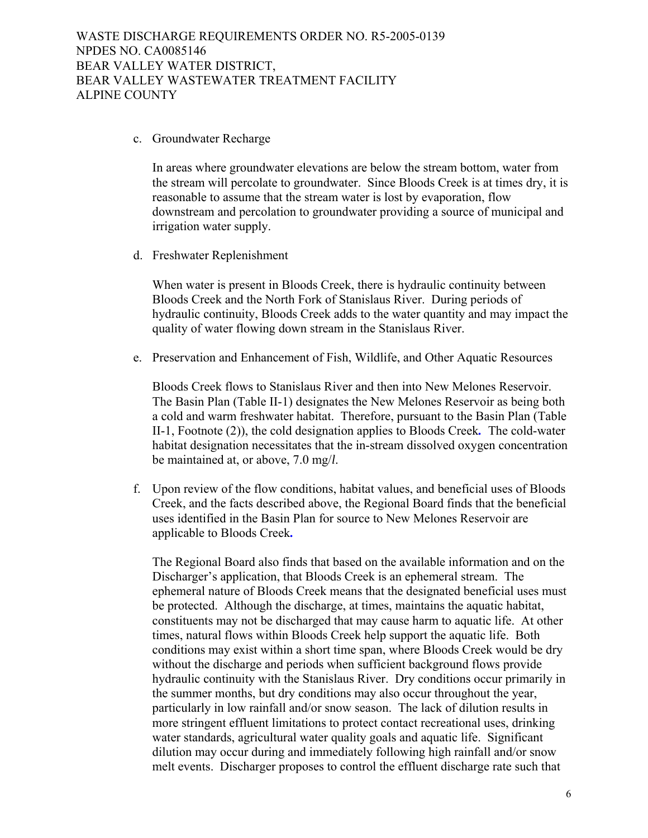c. Groundwater Recharge

In areas where groundwater elevations are below the stream bottom, water from the stream will percolate to groundwater. Since Bloods Creek is at times dry, it is reasonable to assume that the stream water is lost by evaporation, flow downstream and percolation to groundwater providing a source of municipal and irrigation water supply.

d. Freshwater Replenishment

When water is present in Bloods Creek, there is hydraulic continuity between Bloods Creek and the North Fork of Stanislaus River. During periods of hydraulic continuity, Bloods Creek adds to the water quantity and may impact the quality of water flowing down stream in the Stanislaus River.

e. Preservation and Enhancement of Fish, Wildlife, and Other Aquatic Resources

Bloods Creek flows to Stanislaus River and then into New Melones Reservoir. The Basin Plan (Table II-1) designates the New Melones Reservoir as being both a cold and warm freshwater habitat. Therefore, pursuant to the Basin Plan (Table II-1, Footnote (2)), the cold designation applies to Bloods Creek*.* The cold-water habitat designation necessitates that the in-stream dissolved oxygen concentration be maintained at, or above, 7.0 mg/*l*.

f. Upon review of the flow conditions, habitat values, and beneficial uses of Bloods Creek, and the facts described above, the Regional Board finds that the beneficial uses identified in the Basin Plan for source to New Melones Reservoir are applicable to Bloods Creek*.*

The Regional Board also finds that based on the available information and on the Discharger's application, that Bloods Creek is an ephemeral stream. The ephemeral nature of Bloods Creek means that the designated beneficial uses must be protected. Although the discharge, at times, maintains the aquatic habitat, constituents may not be discharged that may cause harm to aquatic life. At other times, natural flows within Bloods Creek help support the aquatic life. Both conditions may exist within a short time span, where Bloods Creek would be dry without the discharge and periods when sufficient background flows provide hydraulic continuity with the Stanislaus River. Dry conditions occur primarily in the summer months, but dry conditions may also occur throughout the year, particularly in low rainfall and/or snow season. The lack of dilution results in more stringent effluent limitations to protect contact recreational uses, drinking water standards, agricultural water quality goals and aquatic life. Significant dilution may occur during and immediately following high rainfall and/or snow melt events. Discharger proposes to control the effluent discharge rate such that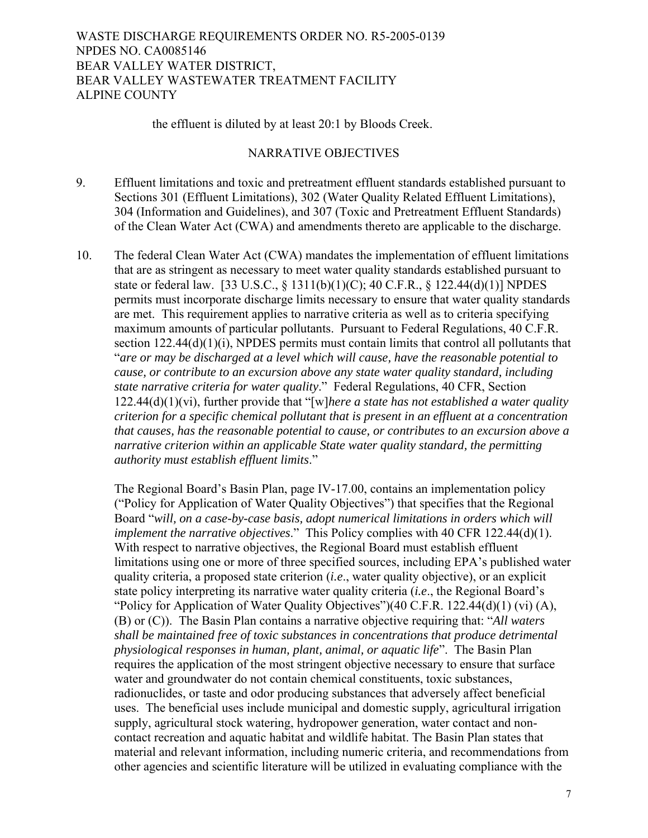## the effluent is diluted by at least 20:1 by Bloods Creek.

## NARRATIVE OBJECTIVES

- 9. Effluent limitations and toxic and pretreatment effluent standards established pursuant to Sections 301 (Effluent Limitations), 302 (Water Quality Related Effluent Limitations), 304 (Information and Guidelines), and 307 (Toxic and Pretreatment Effluent Standards) of the Clean Water Act (CWA) and amendments thereto are applicable to the discharge.
- 10. The federal Clean Water Act (CWA) mandates the implementation of effluent limitations that are as stringent as necessary to meet water quality standards established pursuant to state or federal law. [33 U.S.C., § 1311(b)(1)(C); 40 C.F.R., § 122.44(d)(1)] NPDES permits must incorporate discharge limits necessary to ensure that water quality standards are met. This requirement applies to narrative criteria as well as to criteria specifying maximum amounts of particular pollutants. Pursuant to Federal Regulations, 40 C.F.R. section 122.44(d)(1)(i), NPDES permits must contain limits that control all pollutants that "*are or may be discharged at a level which will cause, have the reasonable potential to cause, or contribute to an excursion above any state water quality standard, including state narrative criteria for water quality*." Federal Regulations, 40 CFR, Section 122.44(d)(1)(vi), further provide that "[w]*here a state has not established a water quality criterion for a specific chemical pollutant that is present in an effluent at a concentration that causes, has the reasonable potential to cause, or contributes to an excursion above a narrative criterion within an applicable State water quality standard, the permitting authority must establish effluent limits*."

The Regional Board's Basin Plan, page IV-17.00, contains an implementation policy ("Policy for Application of Water Quality Objectives") that specifies that the Regional Board "*will, on a case-by-case basis, adopt numerical limitations in orders which will implement the narrative objectives*." This Policy complies with 40 CFR 122.44(d)(1). With respect to narrative objectives, the Regional Board must establish effluent limitations using one or more of three specified sources, including EPA's published water quality criteria, a proposed state criterion (*i.e*., water quality objective), or an explicit state policy interpreting its narrative water quality criteria (*i.e*., the Regional Board's "Policy for Application of Water Quality Objectives")(40 C.F.R. 122.44(d)(1) (vi)  $(A)$ , (B) or (C)). The Basin Plan contains a narrative objective requiring that: "*All waters shall be maintained free of toxic substances in concentrations that produce detrimental physiological responses in human, plant, animal, or aquatic life*". The Basin Plan requires the application of the most stringent objective necessary to ensure that surface water and groundwater do not contain chemical constituents, toxic substances, radionuclides, or taste and odor producing substances that adversely affect beneficial uses. The beneficial uses include municipal and domestic supply, agricultural irrigation supply, agricultural stock watering, hydropower generation, water contact and noncontact recreation and aquatic habitat and wildlife habitat. The Basin Plan states that material and relevant information, including numeric criteria, and recommendations from other agencies and scientific literature will be utilized in evaluating compliance with the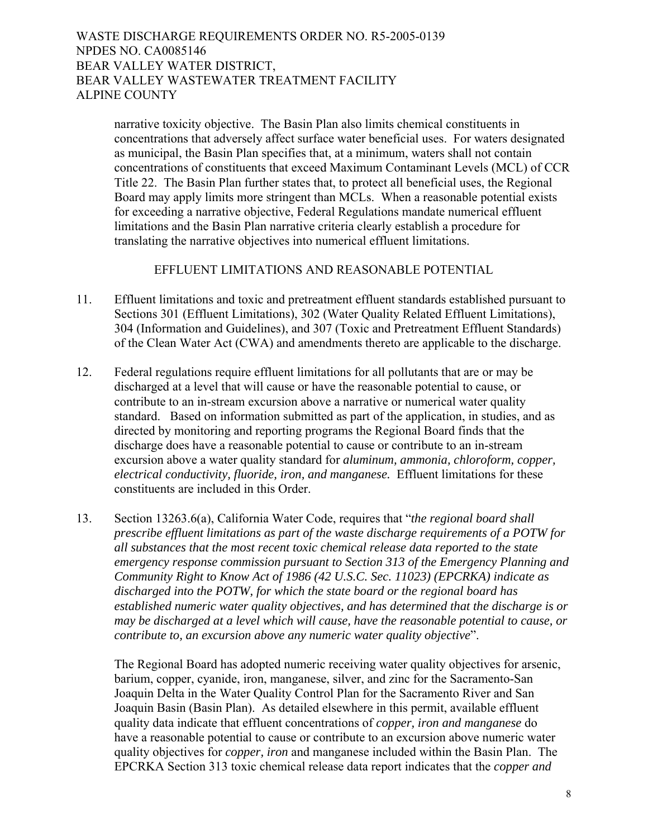narrative toxicity objective. The Basin Plan also limits chemical constituents in concentrations that adversely affect surface water beneficial uses. For waters designated as municipal, the Basin Plan specifies that, at a minimum, waters shall not contain concentrations of constituents that exceed Maximum Contaminant Levels (MCL) of CCR Title 22. The Basin Plan further states that, to protect all beneficial uses, the Regional Board may apply limits more stringent than MCLs. When a reasonable potential exists for exceeding a narrative objective, Federal Regulations mandate numerical effluent limitations and the Basin Plan narrative criteria clearly establish a procedure for translating the narrative objectives into numerical effluent limitations.

# EFFLUENT LIMITATIONS AND REASONABLE POTENTIAL

- 11. Effluent limitations and toxic and pretreatment effluent standards established pursuant to Sections 301 (Effluent Limitations), 302 (Water Quality Related Effluent Limitations), 304 (Information and Guidelines), and 307 (Toxic and Pretreatment Effluent Standards) of the Clean Water Act (CWA) and amendments thereto are applicable to the discharge.
- 12. Federal regulations require effluent limitations for all pollutants that are or may be discharged at a level that will cause or have the reasonable potential to cause, or contribute to an in-stream excursion above a narrative or numerical water quality standard. Based on information submitted as part of the application, in studies, and as directed by monitoring and reporting programs the Regional Board finds that the discharge does have a reasonable potential to cause or contribute to an in-stream excursion above a water quality standard for *aluminum, ammonia, chloroform, copper, electrical conductivity, fluoride, iron, and manganese.* Effluent limitations for these constituents are included in this Order.
- 13. Section 13263.6(a), California Water Code, requires that "*the regional board shall prescribe effluent limitations as part of the waste discharge requirements of a POTW for all substances that the most recent toxic chemical release data reported to the state emergency response commission pursuant to Section 313 of the Emergency Planning and Community Right to Know Act of 1986 (42 U.S.C. Sec. 11023) (EPCRKA) indicate as discharged into the POTW, for which the state board or the regional board has established numeric water quality objectives, and has determined that the discharge is or may be discharged at a level which will cause, have the reasonable potential to cause, or contribute to, an excursion above any numeric water quality objective*".

The Regional Board has adopted numeric receiving water quality objectives for arsenic, barium, copper, cyanide, iron, manganese, silver, and zinc for the Sacramento-San Joaquin Delta in the Water Quality Control Plan for the Sacramento River and San Joaquin Basin (Basin Plan). As detailed elsewhere in this permit, available effluent quality data indicate that effluent concentrations of *copper, iron and manganese* do have a reasonable potential to cause or contribute to an excursion above numeric water quality objectives for *copper, iron* and manganese included within the Basin Plan. The EPCRKA Section 313 toxic chemical release data report indicates that the *copper and*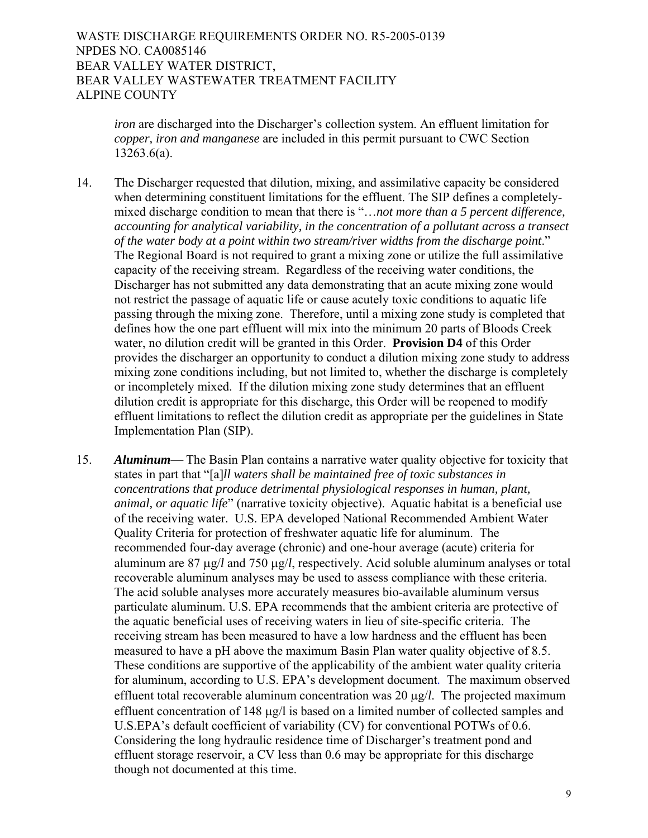> *iron* are discharged into the Discharger's collection system. An effluent limitation for *copper, iron and manganese* are included in this permit pursuant to CWC Section 13263.6(a).

- 14. The Discharger requested that dilution, mixing, and assimilative capacity be considered when determining constituent limitations for the effluent. The SIP defines a completelymixed discharge condition to mean that there is "…*not more than a 5 percent difference, accounting for analytical variability, in the concentration of a pollutant across a transect of the water body at a point within two stream/river widths from the discharge point*." The Regional Board is not required to grant a mixing zone or utilize the full assimilative capacity of the receiving stream. Regardless of the receiving water conditions, the Discharger has not submitted any data demonstrating that an acute mixing zone would not restrict the passage of aquatic life or cause acutely toxic conditions to aquatic life passing through the mixing zone. Therefore, until a mixing zone study is completed that defines how the one part effluent will mix into the minimum 20 parts of Bloods Creek water, no dilution credit will be granted in this Order. **Provision D4** of this Order provides the discharger an opportunity to conduct a dilution mixing zone study to address mixing zone conditions including, but not limited to, whether the discharge is completely or incompletely mixed. If the dilution mixing zone study determines that an effluent dilution credit is appropriate for this discharge, this Order will be reopened to modify effluent limitations to reflect the dilution credit as appropriate per the guidelines in State Implementation Plan (SIP).
- 15. *Aluminum* The Basin Plan contains a narrative water quality objective for toxicity that states in part that "[a]*ll waters shall be maintained free of toxic substances in concentrations that produce detrimental physiological responses in human, plant, animal, or aquatic life*" (narrative toxicity objective).Aquatic habitat is a beneficial use of the receiving water. U.S. EPA developed National Recommended Ambient Water Quality Criteria for protection of freshwater aquatic life for aluminum. The recommended four-day average (chronic) and one-hour average (acute) criteria for aluminum are 87 μg/*l* and 750 μg/*l*, respectively. Acid soluble aluminum analyses or total recoverable aluminum analyses may be used to assess compliance with these criteria. The acid soluble analyses more accurately measures bio-available aluminum versus particulate aluminum. U.S. EPA recommends that the ambient criteria are protective of the aquatic beneficial uses of receiving waters in lieu of site-specific criteria. The receiving stream has been measured to have a low hardness and the effluent has been measured to have a pH above the maximum Basin Plan water quality objective of 8.5. These conditions are supportive of the applicability of the ambient water quality criteria for aluminum, according to U.S. EPA's development document*.* The maximum observed effluent total recoverable aluminum concentration was 20 μg/*l*. The projected maximum effluent concentration of 148 μg/l is based on a limited number of collected samples and U.S.EPA's default coefficient of variability (CV) for conventional POTWs of 0.6. Considering the long hydraulic residence time of Discharger's treatment pond and effluent storage reservoir, a CV less than 0.6 may be appropriate for this discharge though not documented at this time.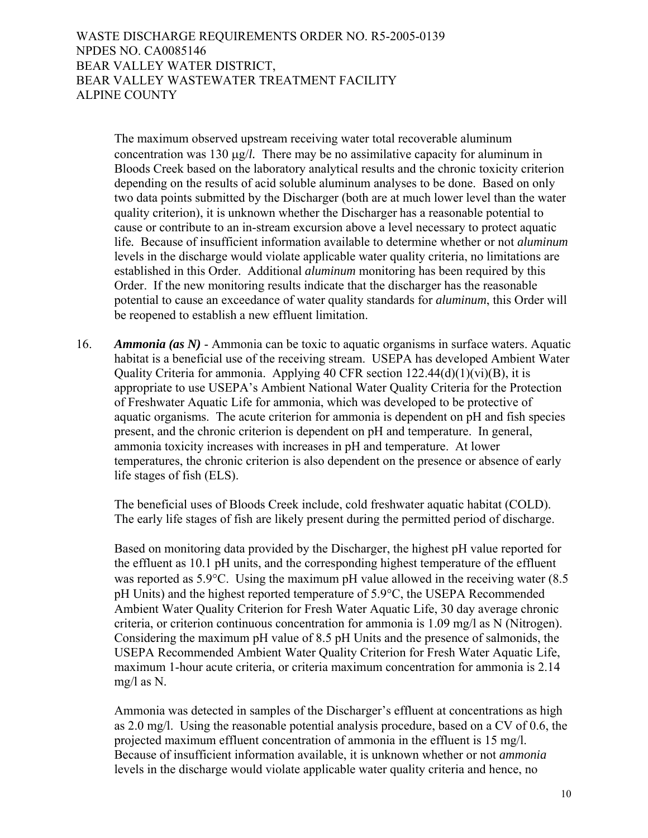> The maximum observed upstream receiving water total recoverable aluminum concentration was 130 μg/*l.* There may be no assimilative capacity for aluminum in Bloods Creek based on the laboratory analytical results and the chronic toxicity criterion depending on the results of acid soluble aluminum analyses to be done. Based on only two data points submitted by the Discharger (both are at much lower level than the water quality criterion), it is unknown whether the Discharger has a reasonable potential to cause or contribute to an in-stream excursion above a level necessary to protect aquatic life*.* Because of insufficient information available to determine whether or not *aluminum* levels in the discharge would violate applicable water quality criteria, no limitations are established in this Order. Additional *aluminum* monitoring has been required by this Order. If the new monitoring results indicate that the discharger has the reasonable potential to cause an exceedance of water quality standards for *aluminum*, this Order will be reopened to establish a new effluent limitation.

16. *Ammonia (as N)* - Ammonia can be toxic to aquatic organisms in surface waters. Aquatic habitat is a beneficial use of the receiving stream. USEPA has developed Ambient Water Quality Criteria for ammonia. Applying 40 CFR section  $122.44(d)(1)(vi)(B)$ , it is appropriate to use USEPA's Ambient National Water Quality Criteria for the Protection of Freshwater Aquatic Life for ammonia, which was developed to be protective of aquatic organisms. The acute criterion for ammonia is dependent on pH and fish species present, and the chronic criterion is dependent on pH and temperature. In general, ammonia toxicity increases with increases in pH and temperature. At lower temperatures, the chronic criterion is also dependent on the presence or absence of early life stages of fish (ELS).

The beneficial uses of Bloods Creek include, cold freshwater aquatic habitat (COLD). The early life stages of fish are likely present during the permitted period of discharge.

Based on monitoring data provided by the Discharger, the highest pH value reported for the effluent as 10.1 pH units, and the corresponding highest temperature of the effluent was reported as 5.9°C. Using the maximum pH value allowed in the receiving water (8.5) pH Units) and the highest reported temperature of 5.9°C, the USEPA Recommended Ambient Water Quality Criterion for Fresh Water Aquatic Life, 30 day average chronic criteria, or criterion continuous concentration for ammonia is 1.09 mg/l as N (Nitrogen). Considering the maximum pH value of 8.5 pH Units and the presence of salmonids, the USEPA Recommended Ambient Water Quality Criterion for Fresh Water Aquatic Life, maximum 1-hour acute criteria, or criteria maximum concentration for ammonia is 2.14 mg/l as N.

Ammonia was detected in samples of the Discharger's effluent at concentrations as high as 2.0 mg/l. Using the reasonable potential analysis procedure, based on a CV of 0.6, the projected maximum effluent concentration of ammonia in the effluent is 15 mg/l. Because of insufficient information available, it is unknown whether or not *ammonia* levels in the discharge would violate applicable water quality criteria and hence, no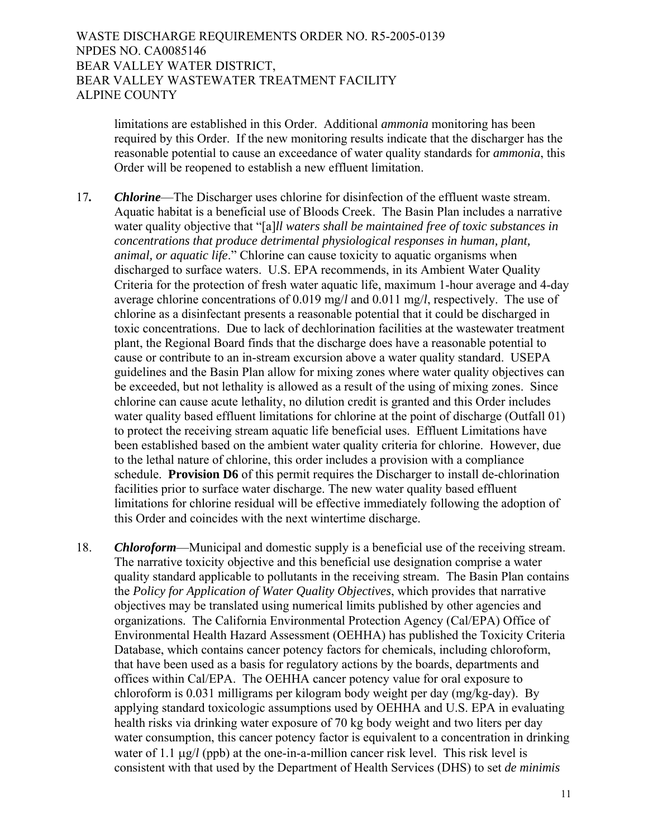> limitations are established in this Order. Additional *ammonia* monitoring has been required by this Order. If the new monitoring results indicate that the discharger has the reasonable potential to cause an exceedance of water quality standards for *ammonia*, this Order will be reopened to establish a new effluent limitation.

- 17*. Chlorine*—The Discharger uses chlorine for disinfection of the effluent waste stream. Aquatic habitat is a beneficial use of Bloods Creek. The Basin Plan includes a narrative water quality objective that "[a]*ll waters shall be maintained free of toxic substances in concentrations that produce detrimental physiological responses in human, plant, animal, or aquatic life*." Chlorine can cause toxicity to aquatic organisms when discharged to surface waters. U.S. EPA recommends, in its Ambient Water Quality Criteria for the protection of fresh water aquatic life, maximum 1-hour average and 4-day average chlorine concentrations of 0.019 mg/*l* and 0.011 mg/*l*, respectively. The use of chlorine as a disinfectant presents a reasonable potential that it could be discharged in toxic concentrations. Due to lack of dechlorination facilities at the wastewater treatment plant, the Regional Board finds that the discharge does have a reasonable potential to cause or contribute to an in-stream excursion above a water quality standard. USEPA guidelines and the Basin Plan allow for mixing zones where water quality objectives can be exceeded, but not lethality is allowed as a result of the using of mixing zones. Since chlorine can cause acute lethality, no dilution credit is granted and this Order includes water quality based effluent limitations for chlorine at the point of discharge (Outfall 01) to protect the receiving stream aquatic life beneficial uses. Effluent Limitations have been established based on the ambient water quality criteria for chlorine. However, due to the lethal nature of chlorine, this order includes a provision with a compliance schedule. **Provision D6** of this permit requires the Discharger to install de-chlorination facilities prior to surface water discharge. The new water quality based effluent limitations for chlorine residual will be effective immediately following the adoption of this Order and coincides with the next wintertime discharge.
- 18. *Chloroform*—Municipal and domestic supply is a beneficial use of the receiving stream. The narrative toxicity objective and this beneficial use designation comprise a water quality standard applicable to pollutants in the receiving stream. The Basin Plan contains the *Policy for Application of Water Quality Objectives*, which provides that narrative objectives may be translated using numerical limits published by other agencies and organizations. The California Environmental Protection Agency (Cal/EPA) Office of Environmental Health Hazard Assessment (OEHHA) has published the Toxicity Criteria Database, which contains cancer potency factors for chemicals, including chloroform, that have been used as a basis for regulatory actions by the boards, departments and offices within Cal/EPA. The OEHHA cancer potency value for oral exposure to chloroform is 0.031 milligrams per kilogram body weight per day (mg/kg-day). By applying standard toxicologic assumptions used by OEHHA and U.S. EPA in evaluating health risks via drinking water exposure of 70 kg body weight and two liters per day water consumption, this cancer potency factor is equivalent to a concentration in drinking water of 1.1 μg/*l* (ppb) at the one-in-a-million cancer risk level. This risk level is consistent with that used by the Department of Health Services (DHS) to set *de minimis*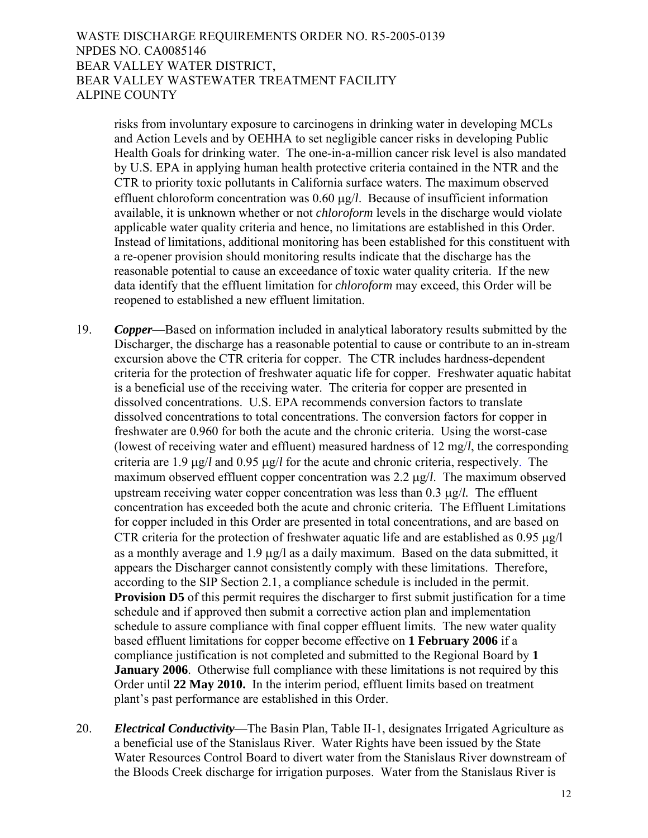risks from involuntary exposure to carcinogens in drinking water in developing MCLs and Action Levels and by OEHHA to set negligible cancer risks in developing Public Health Goals for drinking water. The one-in-a-million cancer risk level is also mandated by U.S. EPA in applying human health protective criteria contained in the NTR and the CTR to priority toxic pollutants in California surface waters. The maximum observed effluent chloroform concentration was 0.60 μg/*l*. Because of insufficient information available, it is unknown whether or not *chloroform* levels in the discharge would violate applicable water quality criteria and hence, no limitations are established in this Order. Instead of limitations, additional monitoring has been established for this constituent with a re-opener provision should monitoring results indicate that the discharge has the reasonable potential to cause an exceedance of toxic water quality criteria. If the new data identify that the effluent limitation for *chloroform* may exceed, this Order will be reopened to established a new effluent limitation.

- 19. *Copper*—Based on information included in analytical laboratory results submitted by the Discharger, the discharge has a reasonable potential to cause or contribute to an in-stream excursion above the CTR criteria for copper. The CTR includes hardness-dependent criteria for the protection of freshwater aquatic life for copper. Freshwater aquatic habitat is a beneficial use of the receiving water. The criteria for copper are presented in dissolved concentrations. U.S. EPA recommends conversion factors to translate dissolved concentrations to total concentrations. The conversion factors for copper in freshwater are 0.960 for both the acute and the chronic criteria. Using the worst-case (lowest of receiving water and effluent) measured hardness of 12 mg/*l*, the corresponding criteria are 1.9 μg/*l* and 0.95 μg/*l* for the acute and chronic criteria, respectively. The maximum observed effluent copper concentration was 2.2 μg/*l*. The maximum observed upstream receiving water copper concentration was less than 0.3 μg/*l.* The effluent concentration has exceeded both the acute and chronic criteria*.* The Effluent Limitations for copper included in this Order are presented in total concentrations, and are based on CTR criteria for the protection of freshwater aquatic life and are established as 0.95 μg/l as a monthly average and 1.9 μg/l as a daily maximum. Based on the data submitted, it appears the Discharger cannot consistently comply with these limitations. Therefore, according to the SIP Section 2.1, a compliance schedule is included in the permit. **Provision D5** of this permit requires the discharger to first submit justification for a time schedule and if approved then submit a corrective action plan and implementation schedule to assure compliance with final copper effluent limits. The new water quality based effluent limitations for copper become effective on **1 February 2006** if a compliance justification is not completed and submitted to the Regional Board by **1 January 2006**. Otherwise full compliance with these limitations is not required by this Order until **22 May 2010.** In the interim period, effluent limits based on treatment plant's past performance are established in this Order.
- 20. *Electrical Conductivity*—The Basin Plan, Table II-1, designates Irrigated Agriculture as a beneficial use of the Stanislaus River. Water Rights have been issued by the State Water Resources Control Board to divert water from the Stanislaus River downstream of the Bloods Creek discharge for irrigation purposes. Water from the Stanislaus River is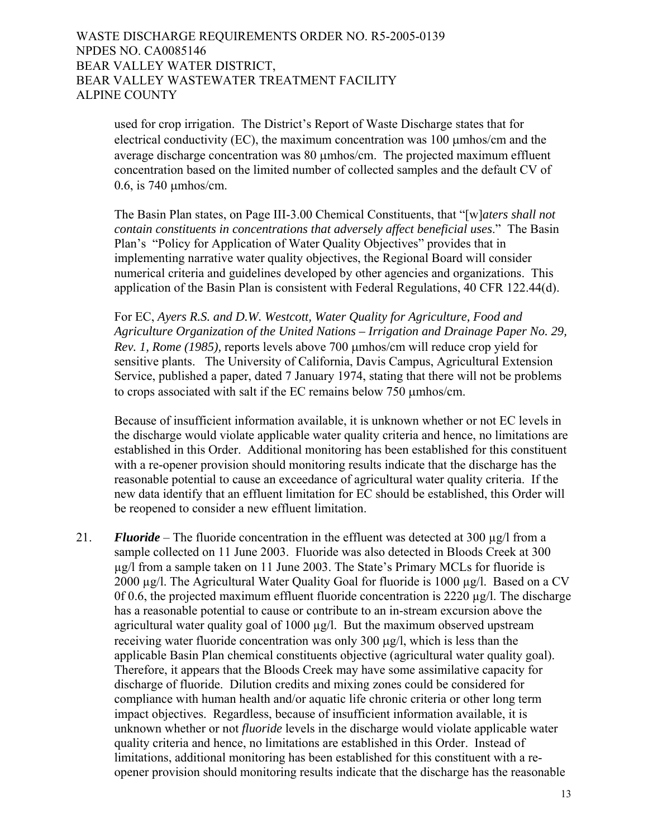used for crop irrigation. The District's Report of Waste Discharge states that for electrical conductivity (EC), the maximum concentration was 100 μmhos/cm and the average discharge concentration was 80 μmhos/cm. The projected maximum effluent concentration based on the limited number of collected samples and the default CV of 0.6, is 740 μmhos/cm.

The Basin Plan states, on Page III-3.00 Chemical Constituents, that "[w]*aters shall not contain constituents in concentrations that adversely affect beneficial uses*." The Basin Plan's "Policy for Application of Water Quality Objectives" provides that in implementing narrative water quality objectives, the Regional Board will consider numerical criteria and guidelines developed by other agencies and organizations. This application of the Basin Plan is consistent with Federal Regulations, 40 CFR 122.44(d).

For EC, *Ayers R.S. and D.W. Westcott, Water Quality for Agriculture, Food and Agriculture Organization of the United Nations – Irrigation and Drainage Paper No. 29, Rev. 1, Rome (1985),* reports levels above 700 μmhos/cm will reduce crop yield for sensitive plants. The University of California, Davis Campus, Agricultural Extension Service, published a paper, dated 7 January 1974, stating that there will not be problems to crops associated with salt if the EC remains below 750 μmhos/cm.

Because of insufficient information available, it is unknown whether or not EC levels in the discharge would violate applicable water quality criteria and hence, no limitations are established in this Order. Additional monitoring has been established for this constituent with a re-opener provision should monitoring results indicate that the discharge has the reasonable potential to cause an exceedance of agricultural water quality criteria. If the new data identify that an effluent limitation for EC should be established, this Order will be reopened to consider a new effluent limitation.

21. **Fluoride** – The fluoride concentration in the effluent was detected at 300 µg/l from a sample collected on 11 June 2003. Fluoride was also detected in Bloods Creek at 300 µg/l from a sample taken on 11 June 2003. The State's Primary MCLs for fluoride is 2000 µg/l. The Agricultural Water Quality Goal for fluoride is 1000 µg/l. Based on a CV 0f 0.6, the projected maximum effluent fluoride concentration is 2220 µg/l. The discharge has a reasonable potential to cause or contribute to an in-stream excursion above the agricultural water quality goal of 1000 µg/l. But the maximum observed upstream receiving water fluoride concentration was only 300 μg/l, which is less than the applicable Basin Plan chemical constituents objective (agricultural water quality goal). Therefore, it appears that the Bloods Creek may have some assimilative capacity for discharge of fluoride. Dilution credits and mixing zones could be considered for compliance with human health and/or aquatic life chronic criteria or other long term impact objectives. Regardless, because of insufficient information available, it is unknown whether or not *fluoride* levels in the discharge would violate applicable water quality criteria and hence, no limitations are established in this Order. Instead of limitations, additional monitoring has been established for this constituent with a reopener provision should monitoring results indicate that the discharge has the reasonable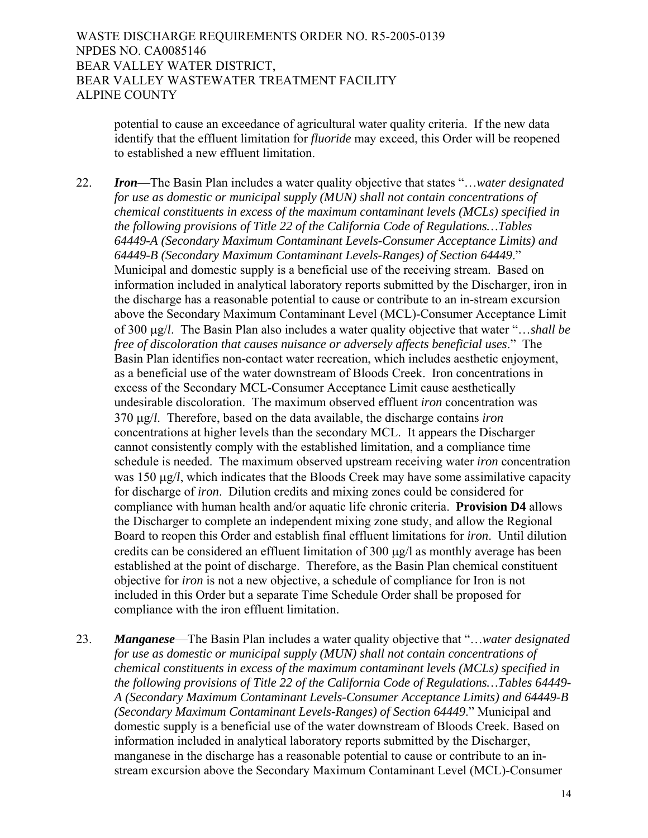> potential to cause an exceedance of agricultural water quality criteria. If the new data identify that the effluent limitation for *fluoride* may exceed, this Order will be reopened to established a new effluent limitation.

22. *Iron*—The Basin Plan includes a water quality objective that states "…*water designated for use as domestic or municipal supply (MUN) shall not contain concentrations of chemical constituents in excess of the maximum contaminant levels (MCLs) specified in the following provisions of Title 22 of the California Code of Regulations…Tables 64449-A (Secondary Maximum Contaminant Levels-Consumer Acceptance Limits) and 64449-B (Secondary Maximum Contaminant Levels-Ranges) of Section 64449*." Municipal and domestic supply is a beneficial use of the receiving stream. Based on information included in analytical laboratory reports submitted by the Discharger, iron in the discharge has a reasonable potential to cause or contribute to an in-stream excursion above the Secondary Maximum Contaminant Level (MCL)-Consumer Acceptance Limit of 300 μg/*l*. The Basin Plan also includes a water quality objective that water "…*shall be free of discoloration that causes nuisance or adversely affects beneficial uses*." The Basin Plan identifies non-contact water recreation, which includes aesthetic enjoyment, as a beneficial use of the water downstream of Bloods Creek. Iron concentrations in excess of the Secondary MCL-Consumer Acceptance Limit cause aesthetically undesirable discoloration. The maximum observed effluent *iron* concentration was 370 μg/*l*. Therefore, based on the data available, the discharge contains *iron*  concentrations at higher levels than the secondary MCL. It appears the Discharger cannot consistently comply with the established limitation, and a compliance time schedule is needed. The maximum observed upstream receiving water *iron* concentration was 150 μg/*l*, which indicates that the Bloods Creek may have some assimilative capacity for discharge of *iron*. Dilution credits and mixing zones could be considered for compliance with human health and/or aquatic life chronic criteria. **Provision D4** allows the Discharger to complete an independent mixing zone study, and allow the Regional Board to reopen this Order and establish final effluent limitations for *iron*. Until dilution credits can be considered an effluent limitation of 300 μg/l as monthly average has been established at the point of discharge. Therefore, as the Basin Plan chemical constituent objective for *iron* is not a new objective, a schedule of compliance for Iron is not included in this Order but a separate Time Schedule Order shall be proposed for compliance with the iron effluent limitation.

23. *Manganese*—The Basin Plan includes a water quality objective that "…*water designated for use as domestic or municipal supply (MUN) shall not contain concentrations of chemical constituents in excess of the maximum contaminant levels (MCLs) specified in the following provisions of Title 22 of the California Code of Regulations…Tables 64449- A (Secondary Maximum Contaminant Levels-Consumer Acceptance Limits) and 64449-B (Secondary Maximum Contaminant Levels-Ranges) of Section 64449*." Municipal and domestic supply is a beneficial use of the water downstream of Bloods Creek. Based on information included in analytical laboratory reports submitted by the Discharger, manganese in the discharge has a reasonable potential to cause or contribute to an instream excursion above the Secondary Maximum Contaminant Level (MCL)-Consumer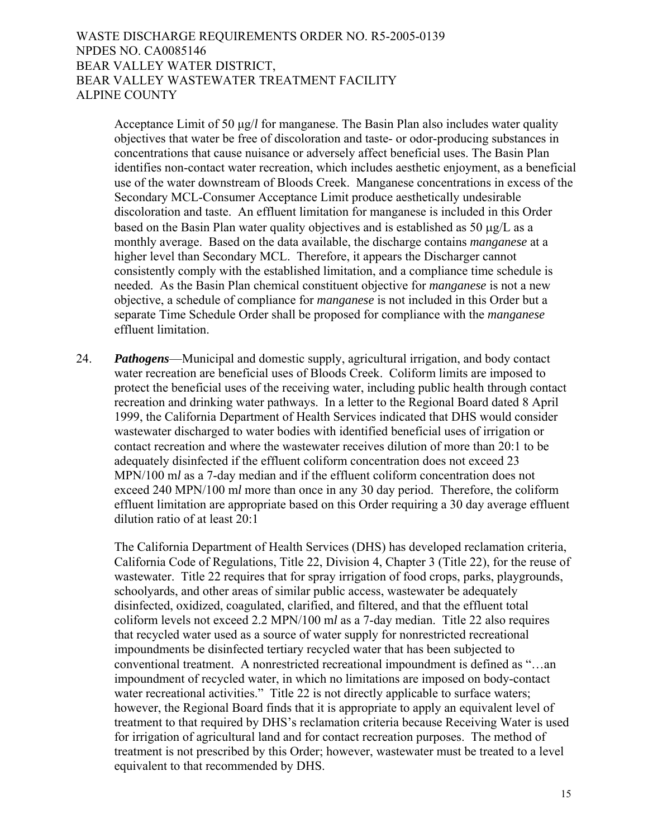Acceptance Limit of 50 μg/*l* for manganese. The Basin Plan also includes water quality objectives that water be free of discoloration and taste- or odor-producing substances in concentrations that cause nuisance or adversely affect beneficial uses. The Basin Plan identifies non-contact water recreation, which includes aesthetic enjoyment, as a beneficial use of the water downstream of Bloods Creek. Manganese concentrations in excess of the Secondary MCL-Consumer Acceptance Limit produce aesthetically undesirable discoloration and taste. An effluent limitation for manganese is included in this Order based on the Basin Plan water quality objectives and is established as 50 μg/L as a monthly average. Based on the data available, the discharge contains *manganese* at a higher level than Secondary MCL. Therefore, it appears the Discharger cannot consistently comply with the established limitation, and a compliance time schedule is needed. As the Basin Plan chemical constituent objective for *manganese* is not a new objective, a schedule of compliance for *manganese* is not included in this Order but a separate Time Schedule Order shall be proposed for compliance with the *manganese* effluent limitation.

24. *Pathogens*—Municipal and domestic supply, agricultural irrigation, and body contact water recreation are beneficial uses of Bloods Creek. Coliform limits are imposed to protect the beneficial uses of the receiving water, including public health through contact recreation and drinking water pathways. In a letter to the Regional Board dated 8 April 1999, the California Department of Health Services indicated that DHS would consider wastewater discharged to water bodies with identified beneficial uses of irrigation or contact recreation and where the wastewater receives dilution of more than 20:1 to be adequately disinfected if the effluent coliform concentration does not exceed 23 MPN/100 m*l* as a 7-day median and if the effluent coliform concentration does not exceed 240 MPN/100 m*l* more than once in any 30 day period. Therefore, the coliform effluent limitation are appropriate based on this Order requiring a 30 day average effluent dilution ratio of at least 20:1

The California Department of Health Services (DHS) has developed reclamation criteria, California Code of Regulations, Title 22, Division 4, Chapter 3 (Title 22), for the reuse of wastewater. Title 22 requires that for spray irrigation of food crops, parks, playgrounds, schoolyards, and other areas of similar public access, wastewater be adequately disinfected, oxidized, coagulated, clarified, and filtered, and that the effluent total coliform levels not exceed 2.2 MPN/100 m*l* as a 7-day median. Title 22 also requires that recycled water used as a source of water supply for nonrestricted recreational impoundments be disinfected tertiary recycled water that has been subjected to conventional treatment. A nonrestricted recreational impoundment is defined as "…an impoundment of recycled water, in which no limitations are imposed on body-contact water recreational activities." Title 22 is not directly applicable to surface waters; however, the Regional Board finds that it is appropriate to apply an equivalent level of treatment to that required by DHS's reclamation criteria because Receiving Water is used for irrigation of agricultural land and for contact recreation purposes. The method of treatment is not prescribed by this Order; however, wastewater must be treated to a level equivalent to that recommended by DHS.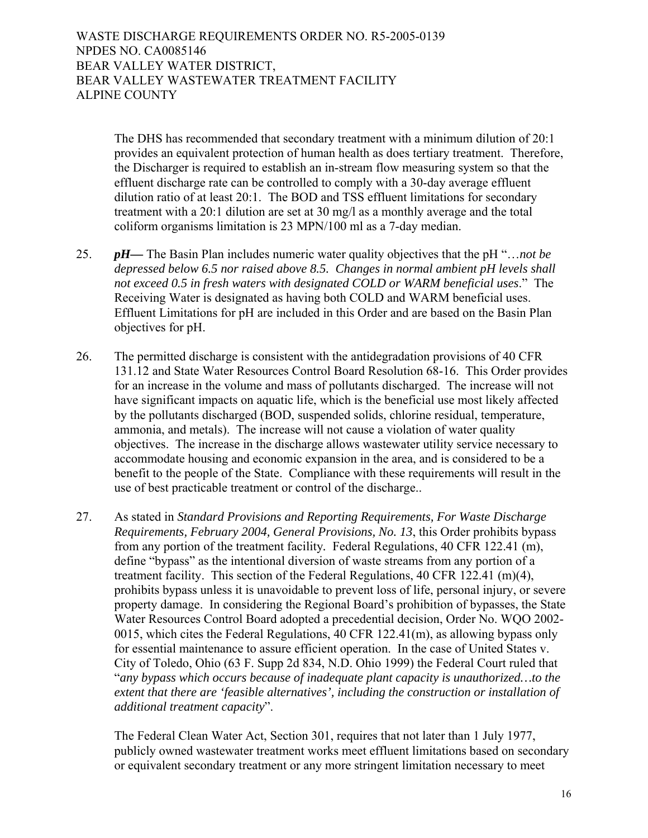> The DHS has recommended that secondary treatment with a minimum dilution of 20:1 provides an equivalent protection of human health as does tertiary treatment. Therefore, the Discharger is required to establish an in-stream flow measuring system so that the effluent discharge rate can be controlled to comply with a 30-day average effluent dilution ratio of at least 20:1. The BOD and TSS effluent limitations for secondary treatment with a 20:1 dilution are set at 30 mg/l as a monthly average and the total coliform organisms limitation is 23 MPN/100 ml as a 7-day median.

- 25. *pH—* The Basin Plan includes numeric water quality objectives that the pH "…*not be depressed below 6.5 nor raised above 8.5. Changes in normal ambient pH levels shall not exceed 0.5 in fresh waters with designated COLD or WARM beneficial uses*." The Receiving Water is designated as having both COLD and WARM beneficial uses. Effluent Limitations for pH are included in this Order and are based on the Basin Plan objectives for pH.
- 26. The permitted discharge is consistent with the antidegradation provisions of 40 CFR 131.12 and State Water Resources Control Board Resolution 68-16. This Order provides for an increase in the volume and mass of pollutants discharged. The increase will not have significant impacts on aquatic life, which is the beneficial use most likely affected by the pollutants discharged (BOD, suspended solids, chlorine residual, temperature, ammonia, and metals). The increase will not cause a violation of water quality objectives. The increase in the discharge allows wastewater utility service necessary to accommodate housing and economic expansion in the area, and is considered to be a benefit to the people of the State. Compliance with these requirements will result in the use of best practicable treatment or control of the discharge..
- 27. As stated in *Standard Provisions and Reporting Requirements, For Waste Discharge Requirements, February 2004, General Provisions, No. 13*, this Order prohibits bypass from any portion of the treatment facility*.* Federal Regulations, 40 CFR 122.41 (m), define "bypass" as the intentional diversion of waste streams from any portion of a treatment facility. This section of the Federal Regulations, 40 CFR 122.41 (m)(4), prohibits bypass unless it is unavoidable to prevent loss of life, personal injury, or severe property damage. In considering the Regional Board's prohibition of bypasses, the State Water Resources Control Board adopted a precedential decision, Order No. WQO 2002- 0015, which cites the Federal Regulations, 40 CFR 122.41(m), as allowing bypass only for essential maintenance to assure efficient operation. In the case of United States v. City of Toledo, Ohio (63 F. Supp 2d 834, N.D. Ohio 1999) the Federal Court ruled that "*any bypass which occurs because of inadequate plant capacity is unauthorized…to the extent that there are 'feasible alternatives', including the construction or installation of additional treatment capacity*".

The Federal Clean Water Act, Section 301, requires that not later than 1 July 1977, publicly owned wastewater treatment works meet effluent limitations based on secondary or equivalent secondary treatment or any more stringent limitation necessary to meet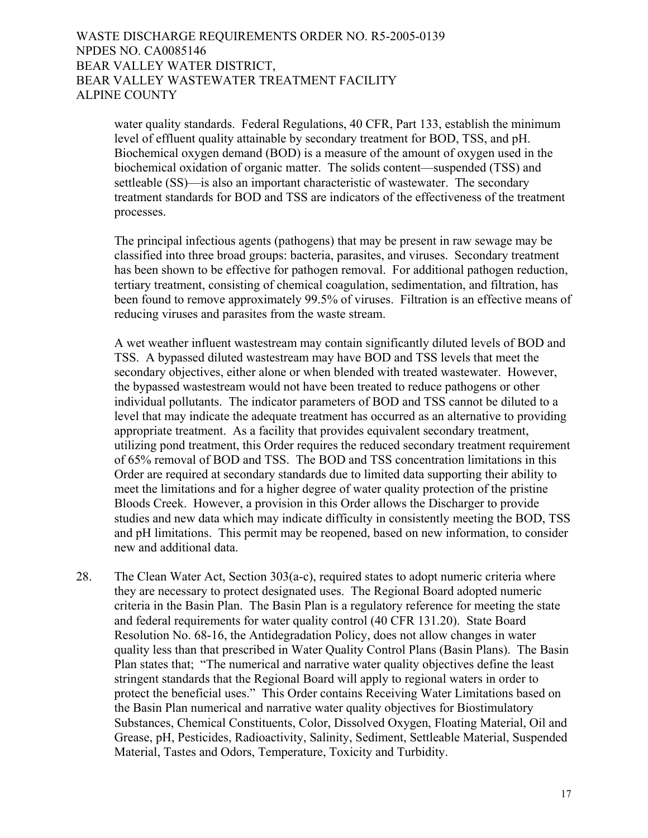water quality standards. Federal Regulations, 40 CFR, Part 133, establish the minimum level of effluent quality attainable by secondary treatment for BOD, TSS, and pH. Biochemical oxygen demand (BOD) is a measure of the amount of oxygen used in the biochemical oxidation of organic matter. The solids content—suspended (TSS) and settleable (SS)—is also an important characteristic of wastewater. The secondary treatment standards for BOD and TSS are indicators of the effectiveness of the treatment processes.

The principal infectious agents (pathogens) that may be present in raw sewage may be classified into three broad groups: bacteria, parasites, and viruses. Secondary treatment has been shown to be effective for pathogen removal. For additional pathogen reduction, tertiary treatment, consisting of chemical coagulation, sedimentation, and filtration, has been found to remove approximately 99.5% of viruses. Filtration is an effective means of reducing viruses and parasites from the waste stream.

A wet weather influent wastestream may contain significantly diluted levels of BOD and TSS. A bypassed diluted wastestream may have BOD and TSS levels that meet the secondary objectives, either alone or when blended with treated wastewater. However, the bypassed wastestream would not have been treated to reduce pathogens or other individual pollutants. The indicator parameters of BOD and TSS cannot be diluted to a level that may indicate the adequate treatment has occurred as an alternative to providing appropriate treatment. As a facility that provides equivalent secondary treatment, utilizing pond treatment, this Order requires the reduced secondary treatment requirement of 65% removal of BOD and TSS. The BOD and TSS concentration limitations in this Order are required at secondary standards due to limited data supporting their ability to meet the limitations and for a higher degree of water quality protection of the pristine Bloods Creek. However, a provision in this Order allows the Discharger to provide studies and new data which may indicate difficulty in consistently meeting the BOD, TSS and pH limitations. This permit may be reopened, based on new information, to consider new and additional data.

28. The Clean Water Act, Section 303(a-c), required states to adopt numeric criteria where they are necessary to protect designated uses. The Regional Board adopted numeric criteria in the Basin Plan. The Basin Plan is a regulatory reference for meeting the state and federal requirements for water quality control (40 CFR 131.20). State Board Resolution No. 68-16, the Antidegradation Policy, does not allow changes in water quality less than that prescribed in Water Quality Control Plans (Basin Plans). The Basin Plan states that; "The numerical and narrative water quality objectives define the least stringent standards that the Regional Board will apply to regional waters in order to protect the beneficial uses." This Order contains Receiving Water Limitations based on the Basin Plan numerical and narrative water quality objectives for Biostimulatory Substances, Chemical Constituents, Color, Dissolved Oxygen, Floating Material, Oil and Grease, pH, Pesticides, Radioactivity, Salinity, Sediment, Settleable Material, Suspended Material, Tastes and Odors, Temperature, Toxicity and Turbidity.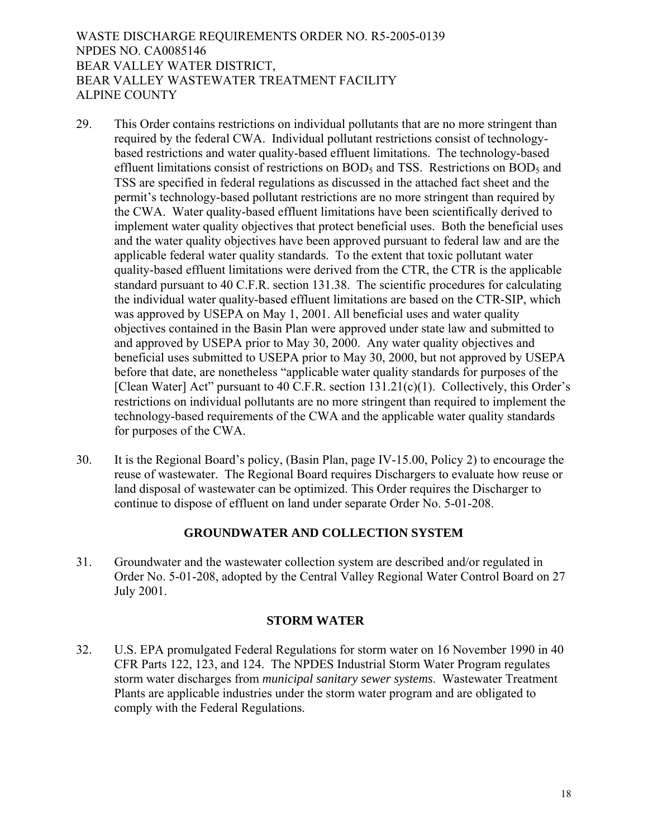- 29. This Order contains restrictions on individual pollutants that are no more stringent than required by the federal CWA. Individual pollutant restrictions consist of technologybased restrictions and water quality-based effluent limitations. The technology-based effluent limitations consist of restrictions on  $BOD<sub>5</sub>$  and TSS. Restrictions on  $BOD<sub>5</sub>$  and TSS are specified in federal regulations as discussed in the attached fact sheet and the permit's technology-based pollutant restrictions are no more stringent than required by the CWA. Water quality-based effluent limitations have been scientifically derived to implement water quality objectives that protect beneficial uses. Both the beneficial uses and the water quality objectives have been approved pursuant to federal law and are the applicable federal water quality standards. To the extent that toxic pollutant water quality-based effluent limitations were derived from the CTR, the CTR is the applicable standard pursuant to 40 C.F.R. section 131.38. The scientific procedures for calculating the individual water quality-based effluent limitations are based on the CTR-SIP, which was approved by USEPA on May 1, 2001. All beneficial uses and water quality objectives contained in the Basin Plan were approved under state law and submitted to and approved by USEPA prior to May 30, 2000. Any water quality objectives and beneficial uses submitted to USEPA prior to May 30, 2000, but not approved by USEPA before that date, are nonetheless "applicable water quality standards for purposes of the [Clean Water] Act" pursuant to 40 C.F.R. section 131.21(c)(1). Collectively, this Order's restrictions on individual pollutants are no more stringent than required to implement the technology-based requirements of the CWA and the applicable water quality standards for purposes of the CWA.
- 30. It is the Regional Board's policy, (Basin Plan, page IV-15.00, Policy 2) to encourage the reuse of wastewater. The Regional Board requires Dischargers to evaluate how reuse or land disposal of wastewater can be optimized. This Order requires the Discharger to continue to dispose of effluent on land under separate Order No. 5-01-208.

# **GROUNDWATER AND COLLECTION SYSTEM**

31. Groundwater and the wastewater collection system are described and/or regulated in Order No. 5-01-208, adopted by the Central Valley Regional Water Control Board on 27 July 2001.

## **STORM WATER**

32. U.S. EPA promulgated Federal Regulations for storm water on 16 November 1990 in 40 CFR Parts 122, 123, and 124. The NPDES Industrial Storm Water Program regulates storm water discharges from *municipal sanitary sewer systems*. Wastewater Treatment Plants are applicable industries under the storm water program and are obligated to comply with the Federal Regulations.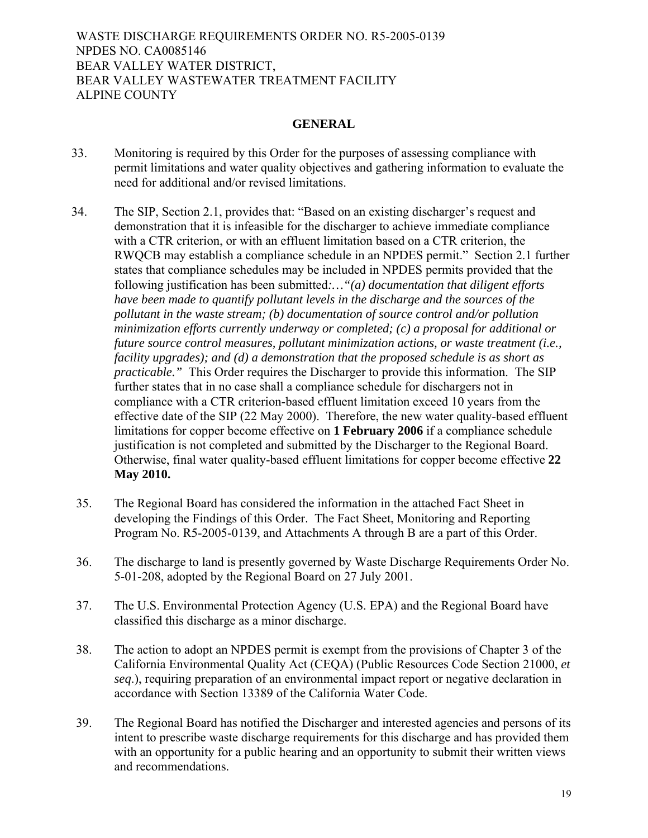## **GENERAL**

- 33. Monitoring is required by this Order for the purposes of assessing compliance with permit limitations and water quality objectives and gathering information to evaluate the need for additional and/or revised limitations.
- 34. The SIP, Section 2.1, provides that: "Based on an existing discharger's request and demonstration that it is infeasible for the discharger to achieve immediate compliance with a CTR criterion, or with an effluent limitation based on a CTR criterion, the RWQCB may establish a compliance schedule in an NPDES permit." Section 2.1 further states that compliance schedules may be included in NPDES permits provided that the following justification has been submitted*:…"(a) documentation that diligent efforts have been made to quantify pollutant levels in the discharge and the sources of the pollutant in the waste stream; (b) documentation of source control and/or pollution minimization efforts currently underway or completed; (c) a proposal for additional or future source control measures, pollutant minimization actions, or waste treatment (i.e., facility upgrades); and (d) a demonstration that the proposed schedule is as short as practicable."* This Order requires the Discharger to provide this information. The SIP further states that in no case shall a compliance schedule for dischargers not in compliance with a CTR criterion-based effluent limitation exceed 10 years from the effective date of the SIP (22 May 2000). Therefore, the new water quality-based effluent limitations for copper become effective on **1 February 2006** if a compliance schedule justification is not completed and submitted by the Discharger to the Regional Board. Otherwise, final water quality-based effluent limitations for copper become effective **22 May 2010.**
- 35. The Regional Board has considered the information in the attached Fact Sheet in developing the Findings of this Order. The Fact Sheet, Monitoring and Reporting Program No. R5-2005-0139, and Attachments A through B are a part of this Order.
- 36. The discharge to land is presently governed by Waste Discharge Requirements Order No. 5-01-208, adopted by the Regional Board on 27 July 2001.
- 37. The U.S. Environmental Protection Agency (U.S. EPA) and the Regional Board have classified this discharge as a minor discharge.
- 38. The action to adopt an NPDES permit is exempt from the provisions of Chapter 3 of the California Environmental Quality Act (CEQA) (Public Resources Code Section 21000, *et seq*.), requiring preparation of an environmental impact report or negative declaration in accordance with Section 13389 of the California Water Code.
- 39. The Regional Board has notified the Discharger and interested agencies and persons of its intent to prescribe waste discharge requirements for this discharge and has provided them with an opportunity for a public hearing and an opportunity to submit their written views and recommendations.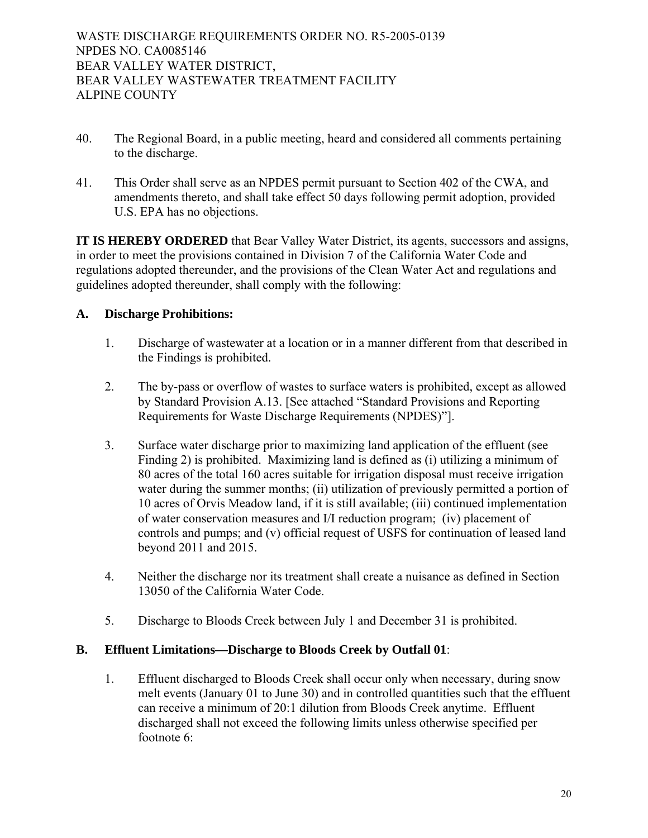- 40. The Regional Board, in a public meeting, heard and considered all comments pertaining to the discharge.
- 41. This Order shall serve as an NPDES permit pursuant to Section 402 of the CWA, and amendments thereto, and shall take effect 50 days following permit adoption, provided U.S. EPA has no objections.

**IT IS HEREBY ORDERED** that Bear Valley Water District, its agents, successors and assigns, in order to meet the provisions contained in Division 7 of the California Water Code and regulations adopted thereunder, and the provisions of the Clean Water Act and regulations and guidelines adopted thereunder, shall comply with the following:

# **A. Discharge Prohibitions:**

- 1. Discharge of wastewater at a location or in a manner different from that described in the Findings is prohibited.
- 2. The by-pass or overflow of wastes to surface waters is prohibited, except as allowed by Standard Provision A.13. [See attached "Standard Provisions and Reporting Requirements for Waste Discharge Requirements (NPDES)"].
- 3. Surface water discharge prior to maximizing land application of the effluent (see Finding 2) is prohibited. Maximizing land is defined as (i) utilizing a minimum of 80 acres of the total 160 acres suitable for irrigation disposal must receive irrigation water during the summer months; (ii) utilization of previously permitted a portion of 10 acres of Orvis Meadow land, if it is still available; (iii) continued implementation of water conservation measures and I/I reduction program; (iv) placement of controls and pumps; and (v) official request of USFS for continuation of leased land beyond 2011 and 2015.
- 4. Neither the discharge nor its treatment shall create a nuisance as defined in Section 13050 of the California Water Code.
- 5. Discharge to Bloods Creek between July 1 and December 31 is prohibited.

# **B. Effluent Limitations—Discharge to Bloods Creek by Outfall 01**:

1. Effluent discharged to Bloods Creek shall occur only when necessary, during snow melt events (January 01 to June 30) and in controlled quantities such that the effluent can receive a minimum of 20:1 dilution from Bloods Creek anytime. Effluent discharged shall not exceed the following limits unless otherwise specified per footnote 6: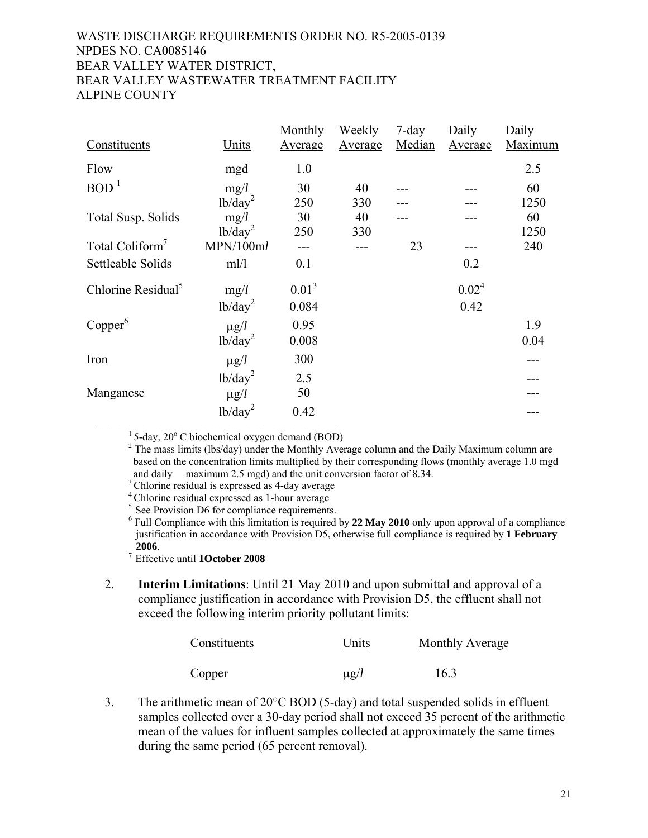| Constituents                   | <u>Units</u>        | Monthly<br><b>Average</b> | Weekly<br><b>Average</b> | 7-day<br>Median | Daily<br><b>Average</b> | Daily<br><b>Maximum</b> |
|--------------------------------|---------------------|---------------------------|--------------------------|-----------------|-------------------------|-------------------------|
| Flow                           | mgd                 | 1.0                       |                          |                 |                         | 2.5                     |
| BOD <sup>1</sup>               | mg/l                | 30                        | 40                       |                 |                         | 60                      |
|                                | lb/day <sup>2</sup> | 250                       | 330                      |                 |                         | 1250                    |
| <b>Total Susp. Solids</b>      | mg/l                | 30                        | 40                       |                 |                         | 60                      |
|                                | lb/day <sup>2</sup> | 250                       | 330                      |                 |                         | 1250                    |
| Total Coliform <sup>7</sup>    | MPN/100ml           |                           |                          | 23              |                         | 240                     |
| Settleable Solids              | ml/l                | 0.1                       |                          |                 | 0.2                     |                         |
| Chlorine Residual <sup>5</sup> | mg/l                | 0.01 <sup>3</sup>         |                          |                 | 0.02 <sup>4</sup>       |                         |
|                                | lb/day <sup>2</sup> | 0.084                     |                          |                 | 0.42                    |                         |
| Copper <sup>6</sup>            | $\mu g/l$           | 0.95                      |                          |                 |                         | 1.9                     |
|                                | $1b/day^2$          | 0.008                     |                          |                 |                         | 0.04                    |
| Iron                           | $\mu$ g/l           | 300                       |                          |                 |                         |                         |
|                                | lb/day <sup>2</sup> | 2.5                       |                          |                 |                         |                         |
| Manganese                      | $\mu$ g/l           | 50                        |                          |                 |                         |                         |
|                                | lb/day <sup>2</sup> | 0.42                      |                          |                 |                         |                         |

 $1$  5-day, 20 $^{\circ}$  C biochemical oxygen demand (BOD)

 $2$  The mass limits (lbs/day) under the Monthly Average column and the Daily Maximum column are based on the concentration limits multiplied by their corresponding flows (monthly average 1.0 mgd and daily maximum 2.5 mgd) and the unit conversion factor of 8.34.<br>  ${}^{3}$  Chlorine residual is expressed as 4-day average  ${}^{5}$  See Provision D6 for compliance requirements.

 <sup>6</sup> Full Compliance with this limitation is required by **22 May 2010** only upon approval of a compliance justification in accordance with Provision D5, otherwise full compliance is required by **1 February 2006**.

7 Effective until **1October 2008**

2. **Interim Limitations**: Until 21 May 2010 and upon submittal and approval of a compliance justification in accordance with Provision D5, the effluent shall not exceed the following interim priority pollutant limits:

| Constituents | Units     | Monthly Average |
|--------------|-----------|-----------------|
| Copper       | $\mu$ g/l | 16.3            |

3. The arithmetic mean of 20°C BOD (5-day) and total suspended solids in effluent samples collected over a 30-day period shall not exceed 35 percent of the arithmetic mean of the values for influent samples collected at approximately the same times during the same period (65 percent removal).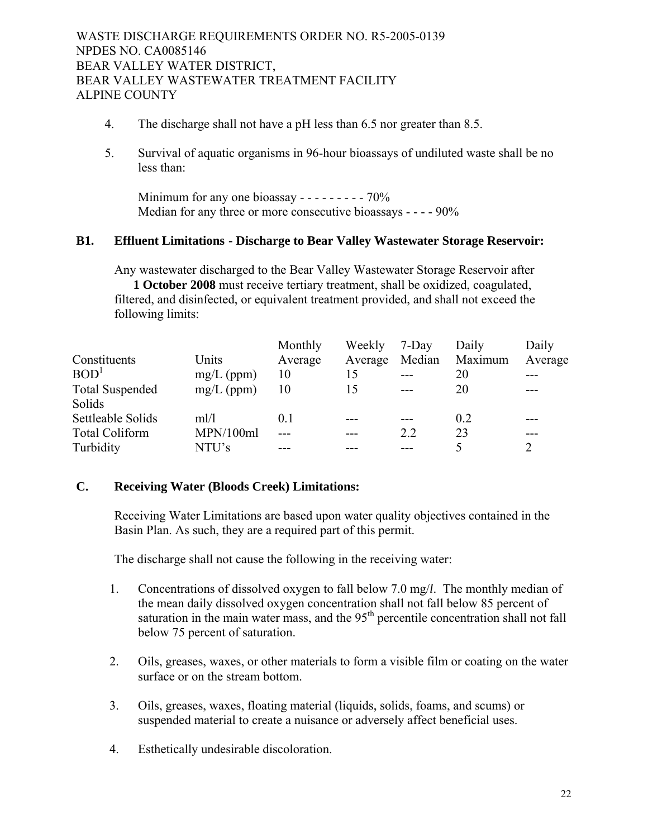- 4. The discharge shall not have a pH less than 6.5 nor greater than 8.5.
- 5. Survival of aquatic organisms in 96-hour bioassays of undiluted waste shall be no less than:

Minimum for any one bioassay - - - - - - - - - 70% Median for any three or more consecutive bioassays - - - - 90%

## **B1. Effluent Limitations - Discharge to Bear Valley Wastewater Storage Reservoir:**

Any wastewater discharged to the Bear Valley Wastewater Storage Reservoir after **1 October 2008** must receive tertiary treatment, shall be oxidized, coagulated, filtered, and disinfected, or equivalent treatment provided, and shall not exceed the following limits:

|              | Monthly | Weekly  |        | Daily   | Daily   |
|--------------|---------|---------|--------|---------|---------|
| Units        | Average | Average | Median | Maximum | Average |
| $mg/L$ (ppm) | 10      | 15      | ---    | 20      |         |
| $mg/L$ (ppm) | 10      | 15      | $---$  | 20      |         |
|              |         |         |        |         |         |
| m!/l         | 0.1     |         | ---    | 0.2     |         |
| MPN/100ml    |         | ---     | 2.2    | 23      |         |
| NTU's        |         |         |        | 5       |         |
|              |         |         |        | 7-Day   |         |

# **C. Receiving Water (Bloods Creek) Limitations:**

Receiving Water Limitations are based upon water quality objectives contained in the Basin Plan. As such, they are a required part of this permit.

The discharge shall not cause the following in the receiving water:

- 1. Concentrations of dissolved oxygen to fall below 7.0 mg/*l*. The monthly median of the mean daily dissolved oxygen concentration shall not fall below 85 percent of saturation in the main water mass, and the  $95<sup>th</sup>$  percentile concentration shall not fall below 75 percent of saturation.
- 2. Oils, greases, waxes, or other materials to form a visible film or coating on the water surface or on the stream bottom.
- 3. Oils, greases, waxes, floating material (liquids, solids, foams, and scums) or suspended material to create a nuisance or adversely affect beneficial uses.
- 4. Esthetically undesirable discoloration.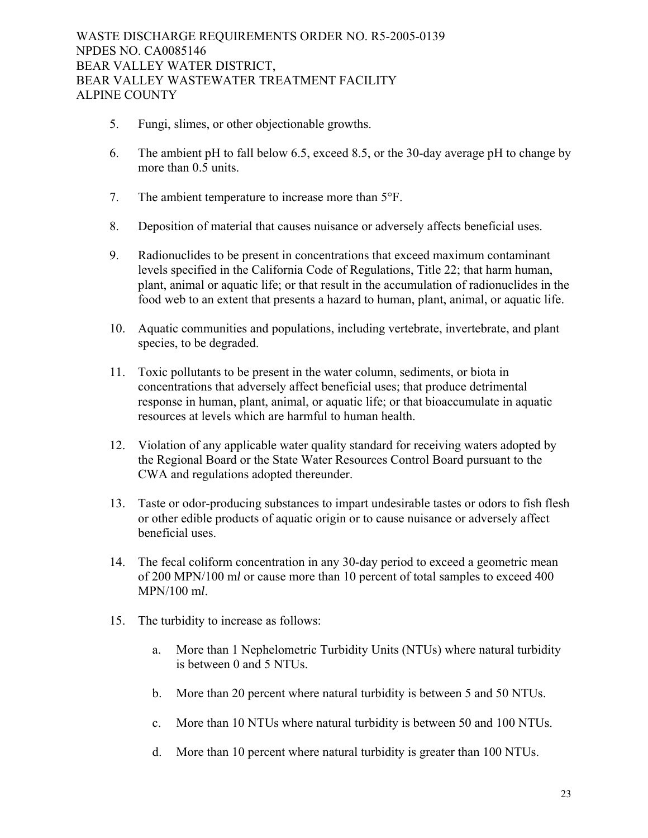- 5. Fungi, slimes, or other objectionable growths.
- 6. The ambient pH to fall below 6.5, exceed 8.5, or the 30-day average pH to change by more than 0.5 units.
- 7. The ambient temperature to increase more than 5°F.
- 8. Deposition of material that causes nuisance or adversely affects beneficial uses.
- 9. Radionuclides to be present in concentrations that exceed maximum contaminant levels specified in the California Code of Regulations, Title 22; that harm human, plant, animal or aquatic life; or that result in the accumulation of radionuclides in the food web to an extent that presents a hazard to human, plant, animal, or aquatic life.
- 10. Aquatic communities and populations, including vertebrate, invertebrate, and plant species, to be degraded.
- 11. Toxic pollutants to be present in the water column, sediments, or biota in concentrations that adversely affect beneficial uses; that produce detrimental response in human, plant, animal, or aquatic life; or that bioaccumulate in aquatic resources at levels which are harmful to human health.
- 12. Violation of any applicable water quality standard for receiving waters adopted by the Regional Board or the State Water Resources Control Board pursuant to the CWA and regulations adopted thereunder.
- 13. Taste or odor-producing substances to impart undesirable tastes or odors to fish flesh or other edible products of aquatic origin or to cause nuisance or adversely affect beneficial uses.
- 14. The fecal coliform concentration in any 30-day period to exceed a geometric mean of 200 MPN/100 m*l* or cause more than 10 percent of total samples to exceed 400 MPN/100 m*l*.
- 15. The turbidity to increase as follows:
	- a. More than 1 Nephelometric Turbidity Units (NTUs) where natural turbidity is between 0 and 5 NTUs.
	- b. More than 20 percent where natural turbidity is between 5 and 50 NTUs.
	- c. More than 10 NTUs where natural turbidity is between 50 and 100 NTUs.
	- d. More than 10 percent where natural turbidity is greater than 100 NTUs.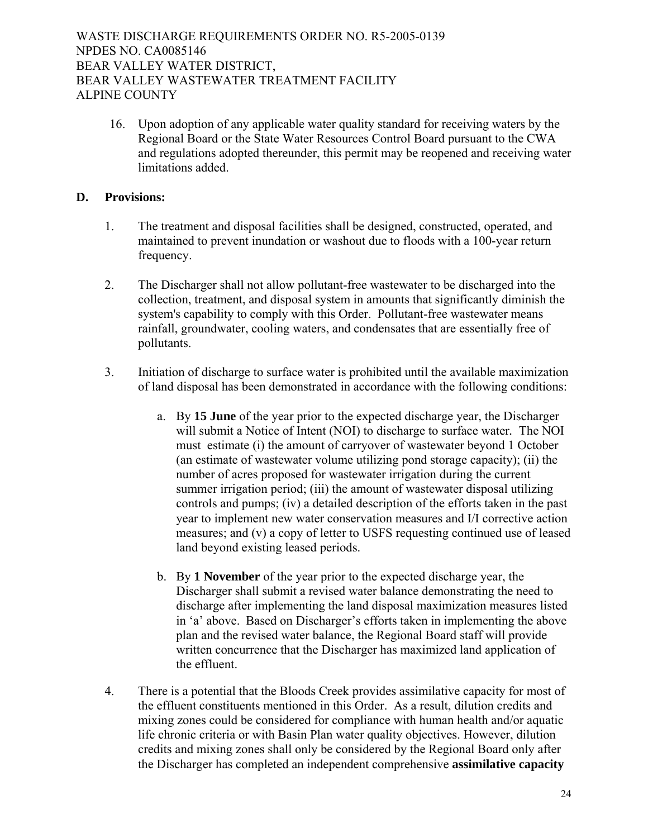16. Upon adoption of any applicable water quality standard for receiving waters by the Regional Board or the State Water Resources Control Board pursuant to the CWA and regulations adopted thereunder, this permit may be reopened and receiving water limitations added.

# **D. Provisions:**

- 1. The treatment and disposal facilities shall be designed, constructed, operated, and maintained to prevent inundation or washout due to floods with a 100-year return frequency.
- 2. The Discharger shall not allow pollutant-free wastewater to be discharged into the collection, treatment, and disposal system in amounts that significantly diminish the system's capability to comply with this Order. Pollutant-free wastewater means rainfall, groundwater, cooling waters, and condensates that are essentially free of pollutants.
- 3. Initiation of discharge to surface water is prohibited until the available maximization of land disposal has been demonstrated in accordance with the following conditions:
	- a. By **15 June** of the year prior to the expected discharge year, the Discharger will submit a Notice of Intent (NOI) to discharge to surface water*.* The NOI must estimate (i) the amount of carryover of wastewater beyond 1 October (an estimate of wastewater volume utilizing pond storage capacity); (ii) the number of acres proposed for wastewater irrigation during the current summer irrigation period; (iii) the amount of wastewater disposal utilizing controls and pumps; (iv) a detailed description of the efforts taken in the past year to implement new water conservation measures and I/I corrective action measures; and (v) a copy of letter to USFS requesting continued use of leased land beyond existing leased periods.
	- b. By **1 November** of the year prior to the expected discharge year, the Discharger shall submit a revised water balance demonstrating the need to discharge after implementing the land disposal maximization measures listed in 'a' above. Based on Discharger's efforts taken in implementing the above plan and the revised water balance, the Regional Board staff will provide written concurrence that the Discharger has maximized land application of the effluent.
- 4. There is a potential that the Bloods Creek provides assimilative capacity for most of the effluent constituents mentioned in this Order. As a result, dilution credits and mixing zones could be considered for compliance with human health and/or aquatic life chronic criteria or with Basin Plan water quality objectives. However, dilution credits and mixing zones shall only be considered by the Regional Board only after the Discharger has completed an independent comprehensive **assimilative capacity**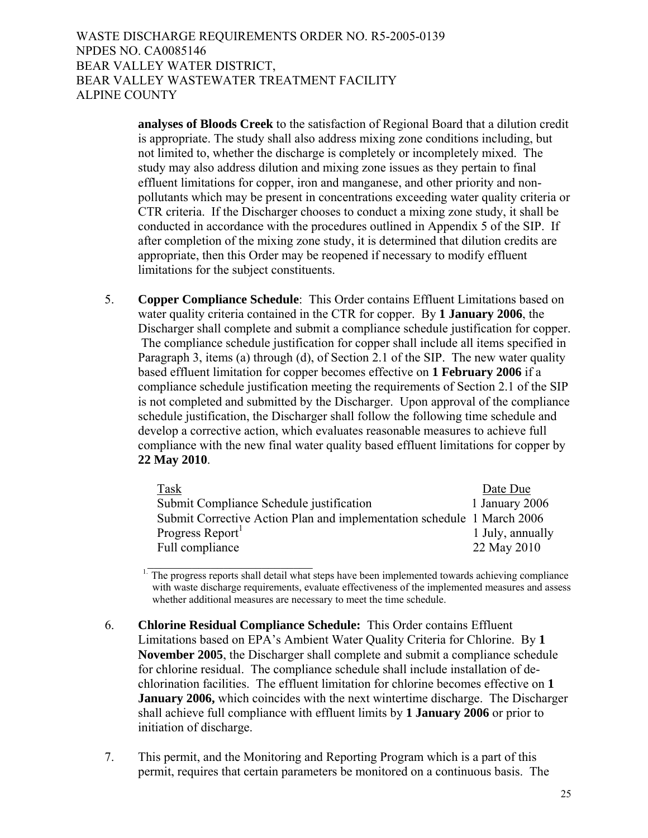> **analyses of Bloods Creek** to the satisfaction of Regional Board that a dilution credit is appropriate. The study shall also address mixing zone conditions including, but not limited to, whether the discharge is completely or incompletely mixed. The study may also address dilution and mixing zone issues as they pertain to final effluent limitations for copper, iron and manganese, and other priority and nonpollutants which may be present in concentrations exceeding water quality criteria or CTR criteria. If the Discharger chooses to conduct a mixing zone study, it shall be conducted in accordance with the procedures outlined in Appendix 5 of the SIP. If after completion of the mixing zone study, it is determined that dilution credits are appropriate, then this Order may be reopened if necessary to modify effluent limitations for the subject constituents.

5. **Copper Compliance Schedule**: This Order contains Effluent Limitations based on water quality criteria contained in the CTR for copper. By **1 January 2006**, the Discharger shall complete and submit a compliance schedule justification for copper. The compliance schedule justification for copper shall include all items specified in Paragraph 3, items (a) through (d), of Section 2.1 of the SIP. The new water quality based effluent limitation for copper becomes effective on **1 February 2006** if a compliance schedule justification meeting the requirements of Section 2.1 of the SIP is not completed and submitted by the Discharger. Upon approval of the compliance schedule justification, the Discharger shall follow the following time schedule and develop a corrective action, which evaluates reasonable measures to achieve full compliance with the new final water quality based effluent limitations for copper by **22 May 2010**.

| Task                                                                   | Date Due         |
|------------------------------------------------------------------------|------------------|
| Submit Compliance Schedule justification                               | 1 January 2006   |
| Submit Corrective Action Plan and implementation schedule 1 March 2006 |                  |
| Progress Report                                                        | 1 July, annually |
| Full compliance                                                        | 22 May 2010      |

<sup>1.</sup> The progress reports shall detail what steps have been implemented towards achieving compliance with waste discharge requirements, evaluate effectiveness of the implemented measures and assess whether additional measures are necessary to meet the time schedule.

 6. **Chlorine Residual Compliance Schedule:** This Order contains Effluent Limitations based on EPA's Ambient Water Quality Criteria for Chlorine. By **1 November 2005**, the Discharger shall complete and submit a compliance schedule for chlorine residual. The compliance schedule shall include installation of dechlorination facilities. The effluent limitation for chlorine becomes effective on **1 January 2006,** which coincides with the next wintertime discharge. The Discharger shall achieve full compliance with effluent limits by **1 January 2006** or prior to initiation of discharge.

 $\mathcal{L}_\text{max}$  , where  $\mathcal{L}_\text{max}$  and  $\mathcal{L}_\text{max}$ 

7. This permit, and the Monitoring and Reporting Program which is a part of this permit, requires that certain parameters be monitored on a continuous basis. The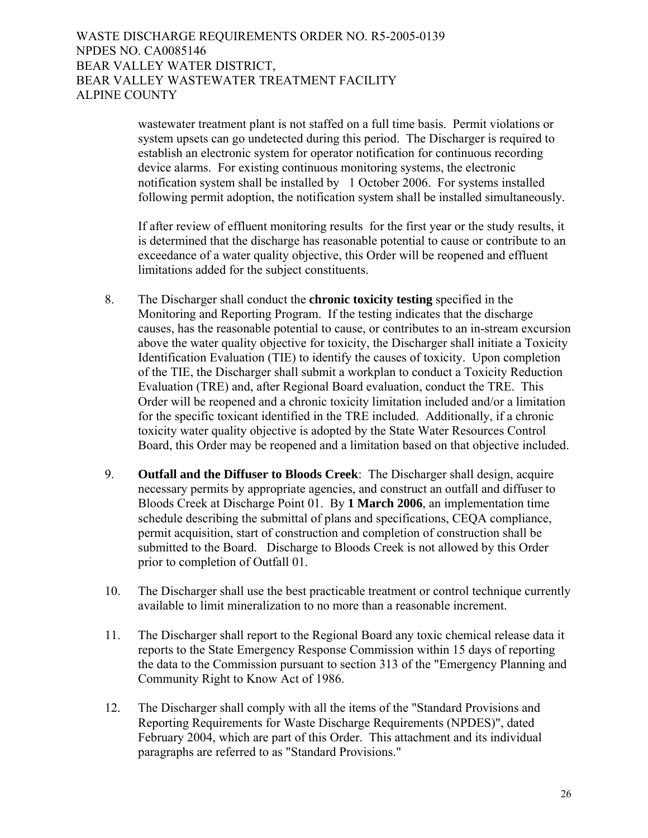wastewater treatment plant is not staffed on a full time basis. Permit violations or system upsets can go undetected during this period. The Discharger is required to establish an electronic system for operator notification for continuous recording device alarms. For existing continuous monitoring systems, the electronic notification system shall be installed by 1 October 2006. For systems installed following permit adoption, the notification system shall be installed simultaneously.

 If after review of effluent monitoring results for the first year or the study results, it is determined that the discharge has reasonable potential to cause or contribute to an exceedance of a water quality objective, this Order will be reopened and effluent limitations added for the subject constituents.

- 8. The Discharger shall conduct the **chronic toxicity testing** specified in the Monitoring and Reporting Program. If the testing indicates that the discharge causes, has the reasonable potential to cause, or contributes to an in-stream excursion above the water quality objective for toxicity, the Discharger shall initiate a Toxicity Identification Evaluation (TIE) to identify the causes of toxicity. Upon completion of the TIE, the Discharger shall submit a workplan to conduct a Toxicity Reduction Evaluation (TRE) and, after Regional Board evaluation, conduct the TRE. This Order will be reopened and a chronic toxicity limitation included and/or a limitation for the specific toxicant identified in the TRE included. Additionally, if a chronic toxicity water quality objective is adopted by the State Water Resources Control Board, this Order may be reopened and a limitation based on that objective included.
- 9. **Outfall and the Diffuser to Bloods Creek**: The Discharger shall design, acquire necessary permits by appropriate agencies, and construct an outfall and diffuser to Bloods Creek at Discharge Point 01. By **1 March 2006**, an implementation time schedule describing the submittal of plans and specifications, CEQA compliance, permit acquisition, start of construction and completion of construction shall be submitted to the Board. Discharge to Bloods Creek is not allowed by this Order prior to completion of Outfall 01.
- 10. The Discharger shall use the best practicable treatment or control technique currently available to limit mineralization to no more than a reasonable increment.
- 11. The Discharger shall report to the Regional Board any toxic chemical release data it reports to the State Emergency Response Commission within 15 days of reporting the data to the Commission pursuant to section 313 of the "Emergency Planning and Community Right to Know Act of 1986.
- 12. The Discharger shall comply with all the items of the "Standard Provisions and Reporting Requirements for Waste Discharge Requirements (NPDES)", dated February 2004, which are part of this Order. This attachment and its individual paragraphs are referred to as "Standard Provisions."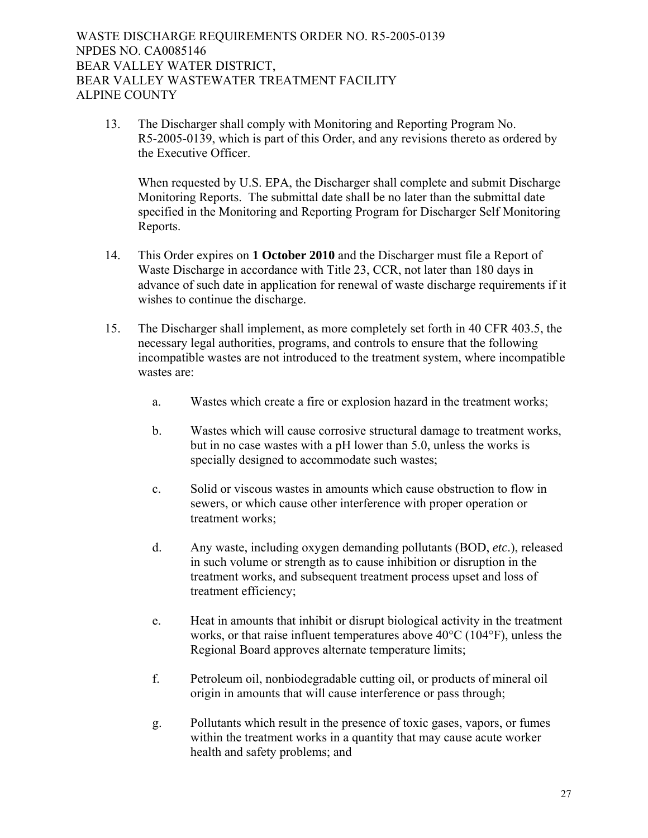13. The Discharger shall comply with Monitoring and Reporting Program No. R5-2005-0139, which is part of this Order, and any revisions thereto as ordered by the Executive Officer.

When requested by U.S. EPA, the Discharger shall complete and submit Discharge Monitoring Reports. The submittal date shall be no later than the submittal date specified in the Monitoring and Reporting Program for Discharger Self Monitoring Reports.

- 14. This Order expires on **1 October 2010** and the Discharger must file a Report of Waste Discharge in accordance with Title 23, CCR, not later than 180 days in advance of such date in application for renewal of waste discharge requirements if it wishes to continue the discharge.
- 15. The Discharger shall implement, as more completely set forth in 40 CFR 403.5, the necessary legal authorities, programs, and controls to ensure that the following incompatible wastes are not introduced to the treatment system, where incompatible wastes are:
	- a. Wastes which create a fire or explosion hazard in the treatment works;
	- b. Wastes which will cause corrosive structural damage to treatment works, but in no case wastes with a pH lower than 5.0, unless the works is specially designed to accommodate such wastes;
	- c. Solid or viscous wastes in amounts which cause obstruction to flow in sewers, or which cause other interference with proper operation or treatment works;
	- d. Any waste, including oxygen demanding pollutants (BOD, *etc*.), released in such volume or strength as to cause inhibition or disruption in the treatment works, and subsequent treatment process upset and loss of treatment efficiency;
	- e. Heat in amounts that inhibit or disrupt biological activity in the treatment works, or that raise influent temperatures above 40°C (104°F), unless the Regional Board approves alternate temperature limits;
	- f. Petroleum oil, nonbiodegradable cutting oil, or products of mineral oil origin in amounts that will cause interference or pass through;
	- g. Pollutants which result in the presence of toxic gases, vapors, or fumes within the treatment works in a quantity that may cause acute worker health and safety problems; and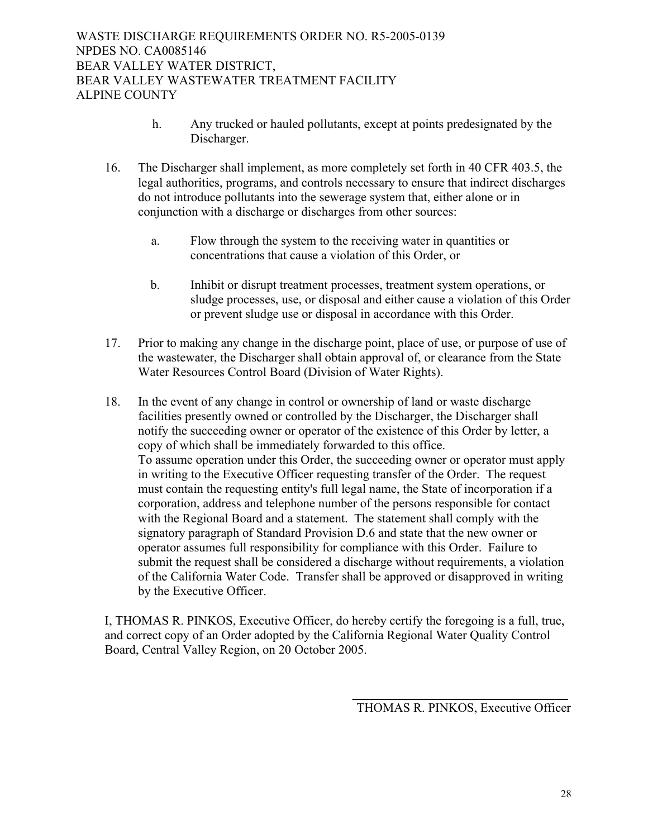- h. Any trucked or hauled pollutants, except at points predesignated by the Discharger.
- 16. The Discharger shall implement, as more completely set forth in 40 CFR 403.5, the legal authorities, programs, and controls necessary to ensure that indirect discharges do not introduce pollutants into the sewerage system that, either alone or in conjunction with a discharge or discharges from other sources:
	- a. Flow through the system to the receiving water in quantities or concentrations that cause a violation of this Order, or
	- b. Inhibit or disrupt treatment processes, treatment system operations, or sludge processes, use, or disposal and either cause a violation of this Order or prevent sludge use or disposal in accordance with this Order.
- 17. Prior to making any change in the discharge point, place of use, or purpose of use of the wastewater, the Discharger shall obtain approval of, or clearance from the State Water Resources Control Board (Division of Water Rights).
- 18. In the event of any change in control or ownership of land or waste discharge facilities presently owned or controlled by the Discharger, the Discharger shall notify the succeeding owner or operator of the existence of this Order by letter, a copy of which shall be immediately forwarded to this office. To assume operation under this Order, the succeeding owner or operator must apply in writing to the Executive Officer requesting transfer of the Order. The request must contain the requesting entity's full legal name, the State of incorporation if a corporation, address and telephone number of the persons responsible for contact with the Regional Board and a statement. The statement shall comply with the signatory paragraph of Standard Provision D.6 and state that the new owner or operator assumes full responsibility for compliance with this Order. Failure to submit the request shall be considered a discharge without requirements, a violation of the California Water Code. Transfer shall be approved or disapproved in writing by the Executive Officer.

I, THOMAS R. PINKOS, Executive Officer, do hereby certify the foregoing is a full, true, and correct copy of an Order adopted by the California Regional Water Quality Control Board, Central Valley Region, on 20 October 2005.

 $\frac{1}{\sqrt{2}}$  ,  $\frac{1}{\sqrt{2}}$  ,  $\frac{1}{\sqrt{2}}$  ,  $\frac{1}{\sqrt{2}}$  ,  $\frac{1}{\sqrt{2}}$  ,  $\frac{1}{\sqrt{2}}$  ,  $\frac{1}{\sqrt{2}}$  ,  $\frac{1}{\sqrt{2}}$  ,  $\frac{1}{\sqrt{2}}$  ,  $\frac{1}{\sqrt{2}}$  ,  $\frac{1}{\sqrt{2}}$  ,  $\frac{1}{\sqrt{2}}$  ,  $\frac{1}{\sqrt{2}}$  ,  $\frac{1}{\sqrt{2}}$  ,  $\frac{1}{\sqrt{2}}$ 

THOMAS R. PINKOS, Executive Officer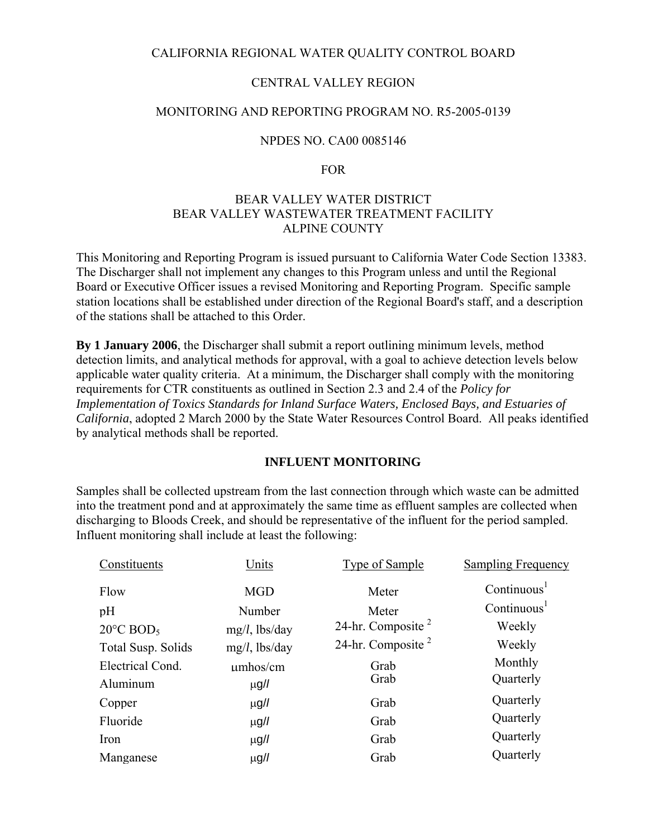## CALIFORNIA REGIONAL WATER QUALITY CONTROL BOARD

## CENTRAL VALLEY REGION

## MONITORING AND REPORTING PROGRAM NO. R5-2005-0139

## NPDES NO. CA00 0085146

#### FOR

## BEAR VALLEY WATER DISTRICT BEAR VALLEY WASTEWATER TREATMENT FACILITY ALPINE COUNTY

This Monitoring and Reporting Program is issued pursuant to California Water Code Section 13383. The Discharger shall not implement any changes to this Program unless and until the Regional Board or Executive Officer issues a revised Monitoring and Reporting Program. Specific sample station locations shall be established under direction of the Regional Board's staff, and a description of the stations shall be attached to this Order.

**By 1 January 2006**, the Discharger shall submit a report outlining minimum levels, method detection limits, and analytical methods for approval, with a goal to achieve detection levels below applicable water quality criteria. At a minimum, the Discharger shall comply with the monitoring requirements for CTR constituents as outlined in Section 2.3 and 2.4 of the *Policy for Implementation of Toxics Standards for Inland Surface Waters, Enclosed Bays, and Estuaries of California*, adopted 2 March 2000 by the State Water Resources Control Board. All peaks identified by analytical methods shall be reported.

## **INFLUENT MONITORING**

Samples shall be collected upstream from the last connection through which waste can be admitted into the treatment pond and at approximately the same time as effluent samples are collected when discharging to Bloods Creek, and should be representative of the influent for the period sampled. Influent monitoring shall include at least the following:

| Constituents                    | Units            | Type of Sample       | Sampling Frequency      |
|---------------------------------|------------------|----------------------|-------------------------|
| Flow                            | <b>MGD</b>       | Meter                | Continuous <sup>1</sup> |
| pH                              | Number           | Meter                | Continuous <sup>1</sup> |
| $20^{\circ}$ C BOD <sub>5</sub> | $mg/l$ , lbs/day | 24-hr. Composite $2$ | Weekly                  |
| Total Susp. Solids              | $mg/l$ , lbs/day | 24-hr. Composite $2$ | Weekly                  |
| Electrical Cond.                | umbos/cm         | Grab                 | Monthly                 |
| Aluminum                        | $\mu$ g/l        | Grab                 | Quarterly               |
| Copper                          | $\mu$ g/l        | Grab                 | Quarterly               |
| Fluoride                        | $\mu$ g/l        | Grab                 | Quarterly               |
| Iron                            | $\mu$ g/l        | Grab                 | Quarterly               |
| Manganese                       | $\mu$ g/l        | Grab                 | Quarterly               |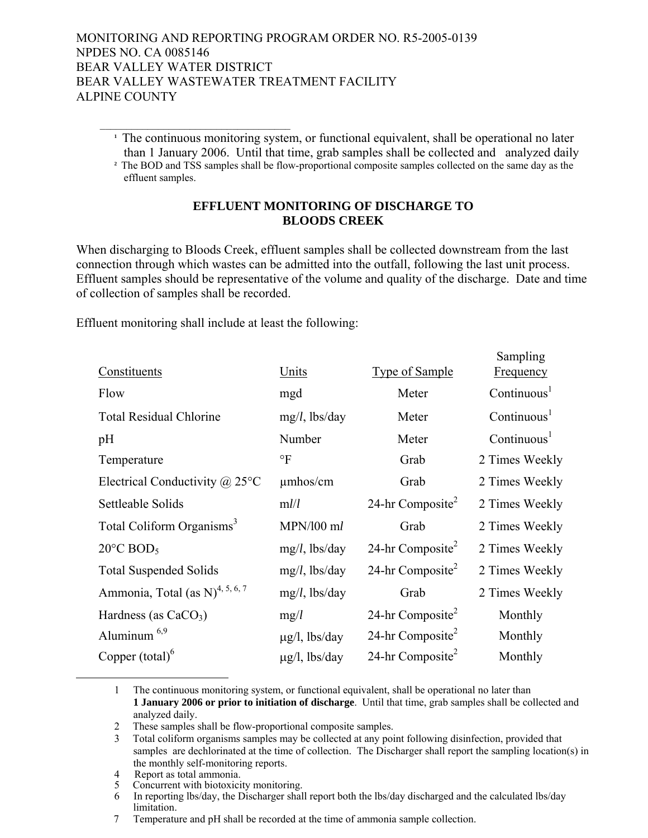- $\mathcal{L}_\text{max}$  and  $\mathcal{L}_\text{max}$  and  $\mathcal{L}_\text{max}$  and  $\mathcal{L}_\text{max}$ **<sup>1</sup>** The continuous monitoring system, or functional equivalent, shall be operational no later than 1 January 2006. Until that time, grab samples shall be collected and analyzed daily
	- **<sup>2</sup>** The BOD and TSS samples shall be flow-proportional composite samples collected on the same day as the effluent samples.

## **EFFLUENT MONITORING OF DISCHARGE TO BLOODS CREEK**

When discharging to Bloods Creek, effluent samples shall be collected downstream from the last connection through which wastes can be admitted into the outfall, following the last unit process. Effluent samples should be representative of the volume and quality of the discharge. Date and time of collection of samples shall be recorded.

 $S<sub>mass</sub>1$ 

Effluent monitoring shall include at least the following:

| Constituents                                   | Units              | Type of Sample               | Sampling<br>Frequency   |
|------------------------------------------------|--------------------|------------------------------|-------------------------|
| Flow                                           | mgd                | Meter                        | Continuous <sup>1</sup> |
| <b>Total Residual Chlorine</b>                 | $mg/l$ , lbs/day   | Meter                        | Continuous <sup>1</sup> |
| pH                                             | Number             | Meter                        | Continuous <sup>1</sup> |
| Temperature                                    | $\circ$ F          | Grab                         | 2 Times Weekly          |
| Electrical Conductivity $\omega$ 25°C          | $\mu$ mhos/cm      | Grab                         | 2 Times Weekly          |
| Settleable Solids                              | ml/l               | 24-hr Composite <sup>2</sup> | 2 Times Weekly          |
| Total Coliform Organisms <sup>3</sup>          | $MPN/100$ ml       | Grab                         | 2 Times Weekly          |
| $20^{\circ}$ C BOD <sub>5</sub>                | $mg/l$ , lbs/day   | 24-hr Composite <sup>2</sup> | 2 Times Weekly          |
| <b>Total Suspended Solids</b>                  | $mg/l$ , lbs/day   | 24-hr Composite <sup>2</sup> | 2 Times Weekly          |
| Ammonia, Total (as $N$ ) <sup>4, 5, 6, 7</sup> | $mg/l$ , lbs/day   | Grab                         | 2 Times Weekly          |
| Hardness (as $CaCO3$ )                         | mg/l               | 24-hr Composite <sup>2</sup> | Monthly                 |
| Aluminum $6,9$                                 | $\mu$ g/l, lbs/day | 24-hr Composite <sup>2</sup> | Monthly                 |
| Copper $(total)^6$                             | $\mu$ g/l, lbs/day | 24-hr Composite <sup>2</sup> | Monthly                 |

 <sup>1</sup> The continuous monitoring system, or functional equivalent, shall be operational no later than **1 January 2006 or prior to initiation of discharge**. Until that time, grab samples shall be collected and analyzed daily.

 <sup>2</sup> These samples shall be flow-proportional composite samples.

<sup>3</sup> Total coliform organisms samples may be collected at any point following disinfection, provided that samples are dechlorinated at the time of collection. The Discharger shall report the sampling location(s) in the monthly self-monitoring reports.<br>4 Report as total ammonia.

<sup>5</sup> Concurrent with biotoxicity monitoring.

<sup>6</sup> In reporting lbs/day, the Discharger shall report both the lbs/day discharged and the calculated lbs/day

limitation. 7 Temperature and pH shall be recorded at the time of ammonia sample collection.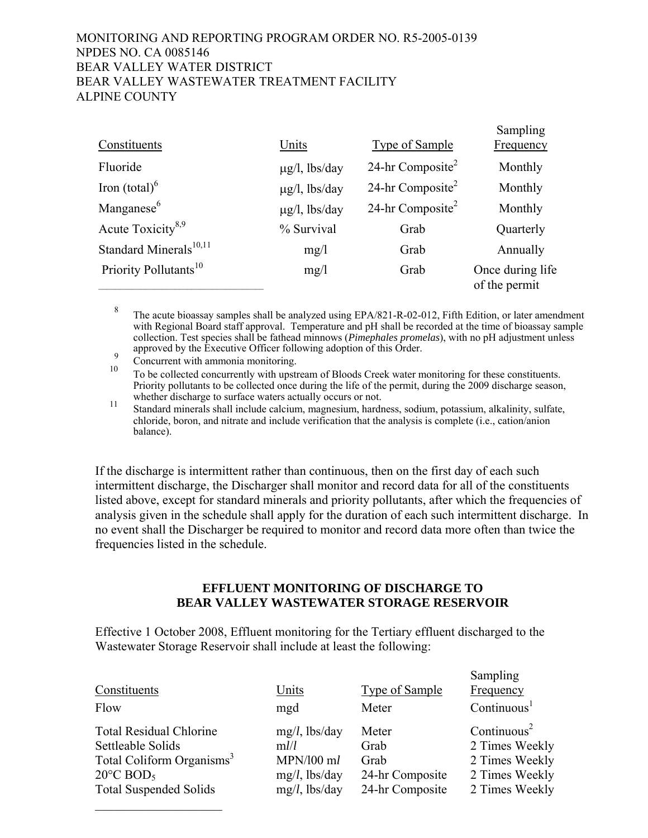|                                    |                    |                              | Sampling                          |
|------------------------------------|--------------------|------------------------------|-----------------------------------|
| Constituents                       | Units              | <b>Type of Sample</b>        | <b>Frequency</b>                  |
| Fluoride                           | $\mu$ g/l, lbs/day | 24-hr Composite <sup>2</sup> | Monthly                           |
| Iron $(total)^6$                   | $\mu$ g/l, lbs/day | 24-hr Composite <sup>2</sup> | Monthly                           |
| Manganese <sup>6</sup>             | $\mu$ g/l, lbs/day | 24-hr Composite <sup>2</sup> | Monthly                           |
| Acute Toxicity <sup>8,9</sup>      | % Survival         | Grab                         | Quarterly                         |
| Standard Minerals <sup>10,11</sup> | mg/1               | Grab                         | Annually                          |
| Priority Pollutants <sup>10</sup>  | mg/1               | Grab                         | Once during life<br>of the permit |

<sup>8</sup> The acute bioassay samples shall be analyzed using EPA/821-R-02-012, Fifth Edition, or later amendment with Regional Board staff approval. Temperature and pH shall be recorded at the time of bioassay sample collection. Test species shall be fathead minnows (*Pimephales promelas*), with no pH adjustment unless approved by the Executive Officer following adoption of this Order.<br>Concurrent with ammonia monitoring.

 $\mathcal{L}_\text{max}$  , where  $\mathcal{L}_\text{max}$  and  $\mathcal{L}_\text{max}$ 

<sup>10</sup> To be collected concurrently with upstream of Bloods Creek water monitoring for these constituents. Priority pollutants to be collected once during the life of the permit, during the 2009 discharge season, whether discharge to surface waters actually occurs or not.

whether discharge to surface waters actually occurs or not. 11 Standard minerals shall include calcium, magnesium, hardness, sodium, potassium, alkalinity, sulfate, chloride, boron, and nitrate and include verification that the analysis is complete (i.e., cation/anion balance).

If the discharge is intermittent rather than continuous, then on the first day of each such intermittent discharge, the Discharger shall monitor and record data for all of the constituents listed above, except for standard minerals and priority pollutants, after which the frequencies of analysis given in the schedule shall apply for the duration of each such intermittent discharge. In no event shall the Discharger be required to monitor and record data more often than twice the frequencies listed in the schedule.

## **EFFLUENT MONITORING OF DISCHARGE TO BEAR VALLEY WASTEWATER STORAGE RESERVOIR**

Effective 1 October 2008, Effluent monitoring for the Tertiary effluent discharged to the Wastewater Storage Reservoir shall include at least the following:

|                                       |                  |                       | Sampling                |
|---------------------------------------|------------------|-----------------------|-------------------------|
| Constituents                          | Units            | <b>Type of Sample</b> | Frequency               |
| Flow                                  | mgd              | Meter                 | Continuous <sup>1</sup> |
| <b>Total Residual Chlorine</b>        | $mg/l$ , lbs/day | Meter                 | Continuous <sup>2</sup> |
| Settleable Solids                     | m l/l            | Grab                  | 2 Times Weekly          |
| Total Coliform Organisms <sup>3</sup> | $MPN/100$ ml     | Grab                  | 2 Times Weekly          |
| $20^{\circ}$ C BOD <sub>5</sub>       | $mg/l$ , lbs/day | 24-hr Composite       | 2 Times Weekly          |
| <b>Total Suspended Solids</b>         | $mg/l$ , lbs/day | 24-hr Composite       | 2 Times Weekly          |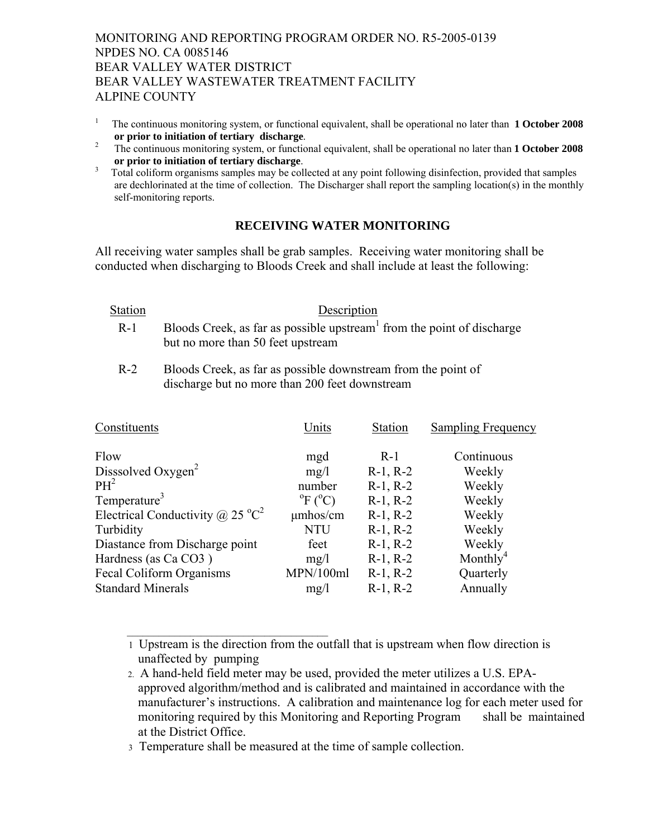- 1 The continuous monitoring system, or functional equivalent, shall be operational no later than **1 October 2008**  or prior to initiation of tertiary discharge.<br><sup>2</sup> The continuous monitoring system or function
- The continuous monitoring system, or functional equivalent, shall be operational no later than **1 October 2008 or prior to initiation of tertiary discharge**.<br><sup>3</sup> Total coliform organisms samples may be collected at any point following disinfection, provided that samples
- are dechlorinated at the time of collection. The Discharger shall report the sampling location(s) in the monthly self-monitoring reports.

# **RECEIVING WATER MONITORING**

All receiving water samples shall be grab samples. Receiving water monitoring shall be conducted when discharging to Bloods Creek and shall include at least the following:

| Station | Description                                                                                                             |
|---------|-------------------------------------------------------------------------------------------------------------------------|
| $R-1$   | Bloods Creek, as far as possible upstream <sup>1</sup> from the point of discharge<br>but no more than 50 feet upstream |
| $R-2$   | Bloods Creek, as far as possible downstream from the point of<br>discharge but no more than 200 feet downstream         |

| Constituents                                 | Units                        | <b>Station</b> | <b>Sampling Frequency</b> |
|----------------------------------------------|------------------------------|----------------|---------------------------|
| Flow                                         | mgd                          | $R-1$          | Continuous                |
| Disssolved Oxygen <sup>2</sup>               | mg/1                         | $R-1, R-2$     | Weekly                    |
| PH <sup>2</sup>                              | number                       | $R-1, R-2$     | Weekly                    |
| Temperature <sup>3</sup>                     | $^{\circ}$ F ( $^{\circ}$ C) | $R-1, R-2$     | Weekly                    |
| Electrical Conductivity @ 25 $^{\circ}C^{2}$ | umhos/cm                     | $R-1, R-2$     | Weekly                    |
| Turbidity                                    | <b>NTU</b>                   | $R-1, R-2$     | Weekly                    |
| Diastance from Discharge point               | feet                         | $R-1, R-2$     | Weekly                    |
| Hardness (as Ca CO3)                         | mg/1                         | $R-1, R-2$     | Monthly <sup>4</sup>      |
| Fecal Coliform Organisms                     | MPN/100ml                    | $R-1, R-2$     | Quarterly                 |
| <b>Standard Minerals</b>                     | mg/l                         | $R-1, R-2$     | Annually                  |

 <sup>1</sup> Upstream is the direction from the outfall that is upstream when flow direction is unaffected by pumping

 $\mathcal{L}_\text{max} = \frac{1}{2} \sum_{i=1}^{n} \frac{1}{2} \sum_{i=1}^{n} \frac{1}{2} \sum_{i=1}^{n} \frac{1}{2} \sum_{i=1}^{n} \frac{1}{2} \sum_{i=1}^{n} \frac{1}{2} \sum_{i=1}^{n} \frac{1}{2} \sum_{i=1}^{n} \frac{1}{2} \sum_{i=1}^{n} \frac{1}{2} \sum_{i=1}^{n} \frac{1}{2} \sum_{i=1}^{n} \frac{1}{2} \sum_{i=1}^{n} \frac{1}{2} \sum_{i=1}^{n} \frac{1$ 

 <sup>2.</sup> A hand-held field meter may be used, provided the meter utilizes a U.S. EPAapproved algorithm/method and is calibrated and maintained in accordance with the manufacturer's instructions. A calibration and maintenance log for each meter used for monitoring required by this Monitoring and Reporting Program shall be maintained at the District Office.

 <sup>3</sup> Temperature shall be measured at the time of sample collection.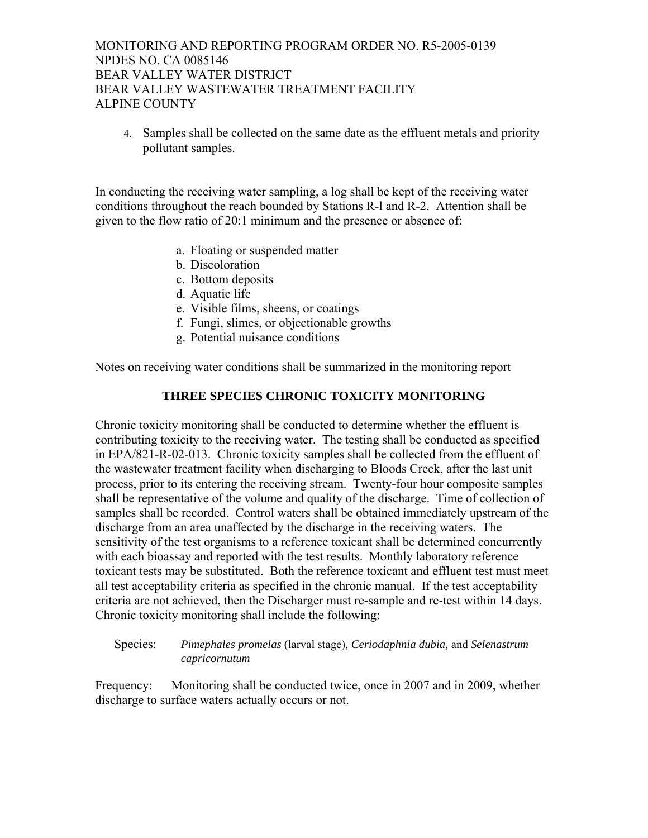4. Samples shall be collected on the same date as the effluent metals and priority pollutant samples.

In conducting the receiving water sampling, a log shall be kept of the receiving water conditions throughout the reach bounded by Stations R-l and R-2. Attention shall be given to the flow ratio of 20:1 minimum and the presence or absence of:

- a. Floating or suspended matter
- b. Discoloration
- c. Bottom deposits
- d. Aquatic life
- e. Visible films, sheens, or coatings
- f. Fungi, slimes, or objectionable growths
- g. Potential nuisance conditions

Notes on receiving water conditions shall be summarized in the monitoring report

# **THREE SPECIES CHRONIC TOXICITY MONITORING**

Chronic toxicity monitoring shall be conducted to determine whether the effluent is contributing toxicity to the receiving water. The testing shall be conducted as specified in EPA/821-R-02-013. Chronic toxicity samples shall be collected from the effluent of the wastewater treatment facility when discharging to Bloods Creek, after the last unit process, prior to its entering the receiving stream. Twenty-four hour composite samples shall be representative of the volume and quality of the discharge. Time of collection of samples shall be recorded. Control waters shall be obtained immediately upstream of the discharge from an area unaffected by the discharge in the receiving waters. The sensitivity of the test organisms to a reference toxicant shall be determined concurrently with each bioassay and reported with the test results. Monthly laboratory reference toxicant tests may be substituted. Both the reference toxicant and effluent test must meet all test acceptability criteria as specified in the chronic manual. If the test acceptability criteria are not achieved, then the Discharger must re-sample and re-test within 14 days. Chronic toxicity monitoring shall include the following:

### Species: *Pimephales promelas* (larval stage)*, Ceriodaphnia dubia,* and *Selenastrum capricornutum*

Frequency: Monitoring shall be conducted twice, once in 2007 and in 2009, whether discharge to surface waters actually occurs or not.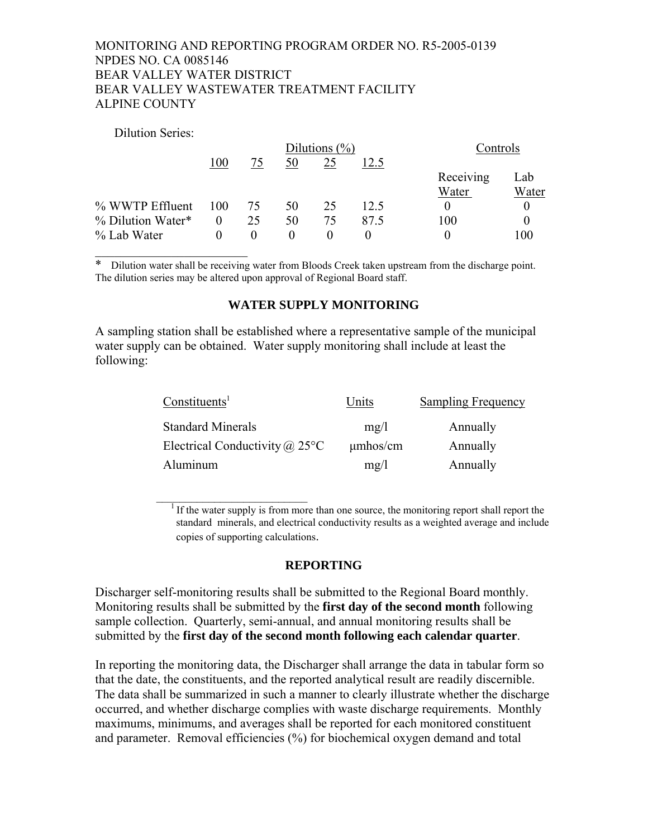#### Dilution Series:

|                   |          | Dilutions $(\% )$ |          |          | Controls |           |       |
|-------------------|----------|-------------------|----------|----------|----------|-----------|-------|
|                   | 100      | 75                | 50       | 25       | 12.5     |           |       |
|                   |          |                   |          |          |          | Receiving | Lab   |
|                   |          |                   |          |          |          | Water     | Water |
| % WWTP Effluent   | 100      | 75                | 50       | 25       | 12.5     | $\theta$  |       |
| % Dilution Water* | $\theta$ | 25                | 50       | 75       | 87.5     | 100       |       |
| % Lab Water       | $\Omega$ | $\theta$          | $\theta$ | $\theta$ |          | $\theta$  | 100   |
|                   |          |                   |          |          |          |           |       |

Dilution water shall be receiving water from Bloods Creek taken upstream from the discharge point. The dilution series may be altered upon approval of Regional Board staff.

#### **WATER SUPPLY MONITORING**

A sampling station shall be established where a representative sample of the municipal water supply can be obtained. Water supply monitoring shall include at least the following:

| Constituents <sup>1</sup>                | Units         | <b>Sampling Frequency</b> |
|------------------------------------------|---------------|---------------------------|
| <b>Standard Minerals</b>                 | mg/l          | Annually                  |
| Electrical Conductivity @ 25 $\degree$ C | $\mu$ mhos/cm | Annually                  |
| Aluminum                                 | mg/l          | Annually                  |

If the water supply is from more than one source, the monitoring report shall report the standard minerals, and electrical conductivity results as a weighted average and include copies of supporting calculations.

#### **REPORTING**

Discharger self-monitoring results shall be submitted to the Regional Board monthly. Monitoring results shall be submitted by the **first day of the second month** following sample collection. Quarterly, semi-annual, and annual monitoring results shall be submitted by the **first day of the second month following each calendar quarter**.

In reporting the monitoring data, the Discharger shall arrange the data in tabular form so that the date, the constituents, and the reported analytical result are readily discernible. The data shall be summarized in such a manner to clearly illustrate whether the discharge occurred, and whether discharge complies with waste discharge requirements. Monthly maximums, minimums, and averages shall be reported for each monitored constituent and parameter. Removal efficiencies (%) for biochemical oxygen demand and total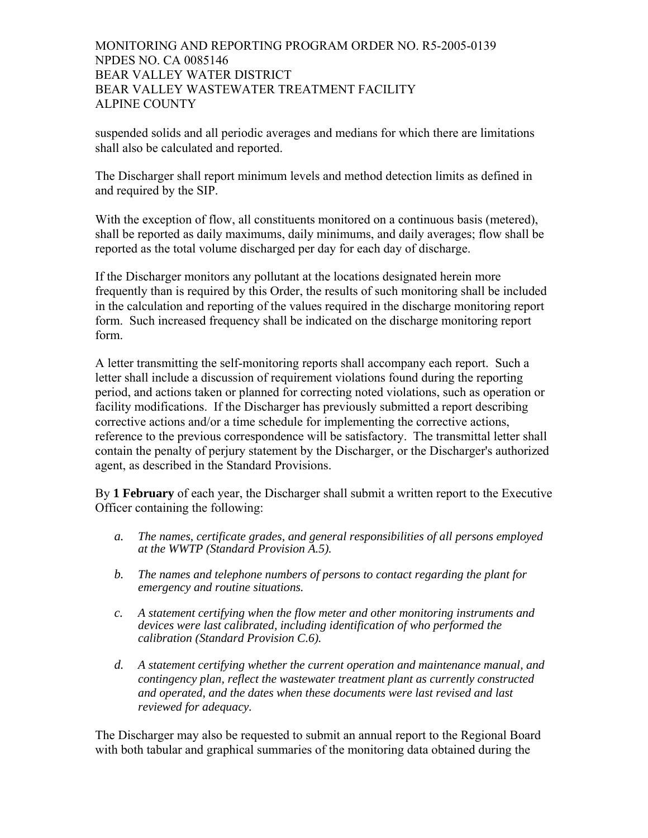suspended solids and all periodic averages and medians for which there are limitations shall also be calculated and reported.

The Discharger shall report minimum levels and method detection limits as defined in and required by the SIP.

With the exception of flow, all constituents monitored on a continuous basis (metered), shall be reported as daily maximums, daily minimums, and daily averages; flow shall be reported as the total volume discharged per day for each day of discharge.

If the Discharger monitors any pollutant at the locations designated herein more frequently than is required by this Order, the results of such monitoring shall be included in the calculation and reporting of the values required in the discharge monitoring report form. Such increased frequency shall be indicated on the discharge monitoring report form.

A letter transmitting the self-monitoring reports shall accompany each report. Such a letter shall include a discussion of requirement violations found during the reporting period, and actions taken or planned for correcting noted violations, such as operation or facility modifications. If the Discharger has previously submitted a report describing corrective actions and/or a time schedule for implementing the corrective actions, reference to the previous correspondence will be satisfactory. The transmittal letter shall contain the penalty of perjury statement by the Discharger, or the Discharger's authorized agent, as described in the Standard Provisions.

By **1 February** of each year, the Discharger shall submit a written report to the Executive Officer containing the following:

- *a. The names, certificate grades, and general responsibilities of all persons employed at the WWTP (Standard Provision A.5).*
- *b. The names and telephone numbers of persons to contact regarding the plant for emergency and routine situations.*
- *c. A statement certifying when the flow meter and other monitoring instruments and devices were last calibrated, including identification of who performed the calibration (Standard Provision C.6).*
- *d. A statement certifying whether the current operation and maintenance manual, and contingency plan, reflect the wastewater treatment plant as currently constructed and operated, and the dates when these documents were last revised and last reviewed for adequacy.*

The Discharger may also be requested to submit an annual report to the Regional Board with both tabular and graphical summaries of the monitoring data obtained during the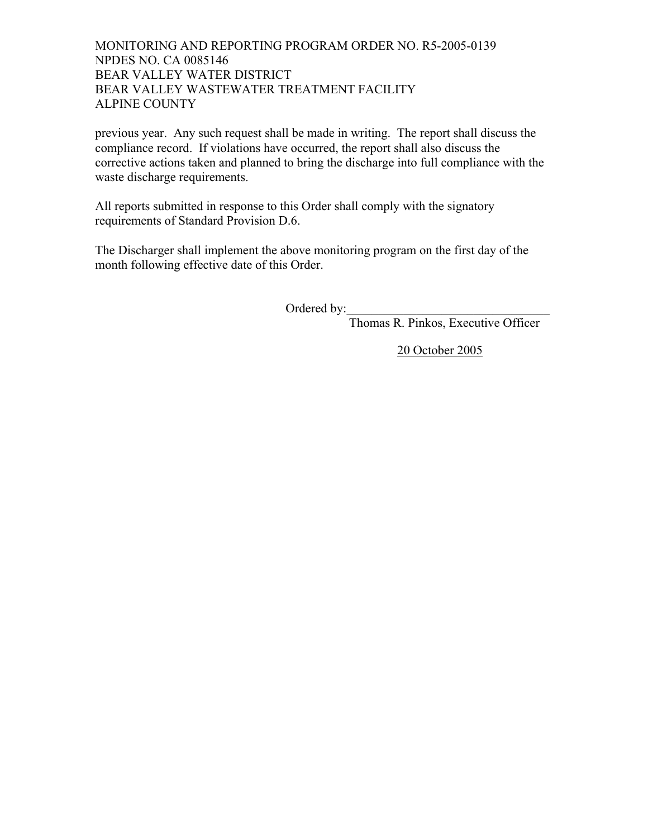previous year. Any such request shall be made in writing. The report shall discuss the compliance record. If violations have occurred, the report shall also discuss the corrective actions taken and planned to bring the discharge into full compliance with the waste discharge requirements.

All reports submitted in response to this Order shall comply with the signatory requirements of Standard Provision D.6.

The Discharger shall implement the above monitoring program on the first day of the month following effective date of this Order.

Ordered by:

Thomas R. Pinkos, Executive Officer

20 October 2005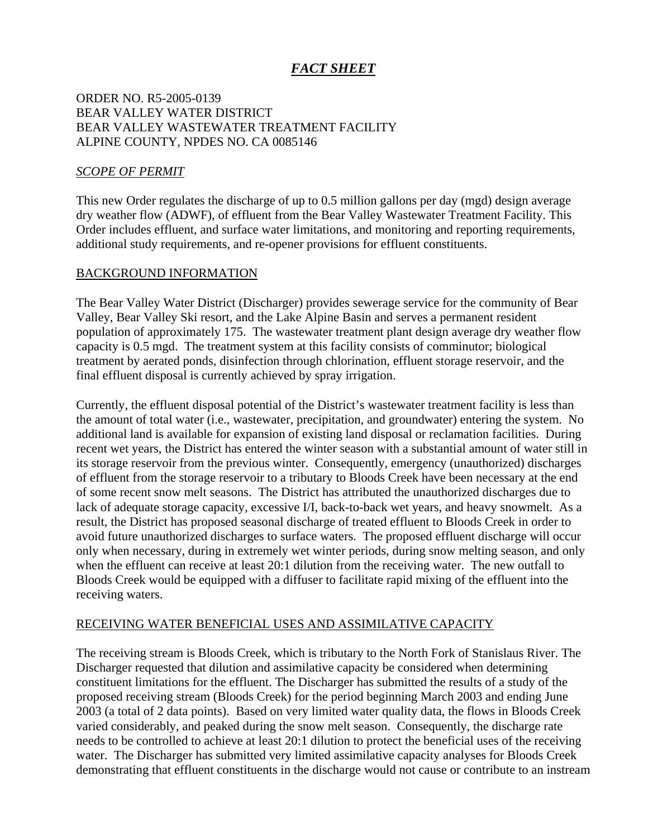# *FACT SHEET*

# ORDER NO. R5-2005-0139 BEAR VALLEY WATER DISTRICT BEAR VALLEY WASTEWATER TREATMENT FACILITY ALPINE COUNTY, NPDES NO. CA 0085146

## *SCOPE OF PERMIT*

This new Order regulates the discharge of up to 0.5 million gallons per day (mgd) design average dry weather flow (ADWF), of effluent from the Bear Valley Wastewater Treatment Facility. This Order includes effluent, and surface water limitations, and monitoring and reporting requirements, additional study requirements, and re-opener provisions for effluent constituents.

#### BACKGROUND INFORMATION

The Bear Valley Water District (Discharger) provides sewerage service for the community of Bear Valley, Bear Valley Ski resort, and the Lake Alpine Basin and serves a permanent resident population of approximately 175. The wastewater treatment plant design average dry weather flow capacity is 0.5 mgd. The treatment system at this facility consists of comminutor; biological treatment by aerated ponds, disinfection through chlorination, effluent storage reservoir, and the final effluent disposal is currently achieved by spray irrigation.

Currently, the effluent disposal potential of the District's wastewater treatment facility is less than the amount of total water (i.e., wastewater, precipitation, and groundwater) entering the system. No additional land is available for expansion of existing land disposal or reclamation facilities. During recent wet years, the District has entered the winter season with a substantial amount of water still in its storage reservoir from the previous winter. Consequently, emergency (unauthorized) discharges of effluent from the storage reservoir to a tributary to Bloods Creek have been necessary at the end of some recent snow melt seasons. The District has attributed the unauthorized discharges due to lack of adequate storage capacity, excessive I/I, back-to-back wet years, and heavy snowmelt. As a result, the District has proposed seasonal discharge of treated effluent to Bloods Creek in order to avoid future unauthorized discharges to surface waters. The proposed effluent discharge will occur only when necessary, during in extremely wet winter periods, during snow melting season, and only when the effluent can receive at least 20:1 dilution from the receiving water. The new outfall to Bloods Creek would be equipped with a diffuser to facilitate rapid mixing of the effluent into the receiving waters.

## RECEIVING WATER BENEFICIAL USES AND ASSIMILATIVE CAPACITY

The receiving stream is Bloods Creek, which is tributary to the North Fork of Stanislaus River. The Discharger requested that dilution and assimilative capacity be considered when determining constituent limitations for the effluent. The Discharger has submitted the results of a study of the proposed receiving stream (Bloods Creek) for the period beginning March 2003 and ending June 2003 (a total of 2 data points). Based on very limited water quality data, the flows in Bloods Creek varied considerably, and peaked during the snow melt season. Consequently, the discharge rate needs to be controlled to achieve at least 20:1 dilution to protect the beneficial uses of the receiving water. The Discharger has submitted very limited assimilative capacity analyses for Bloods Creek demonstrating that effluent constituents in the discharge would not cause or contribute to an instream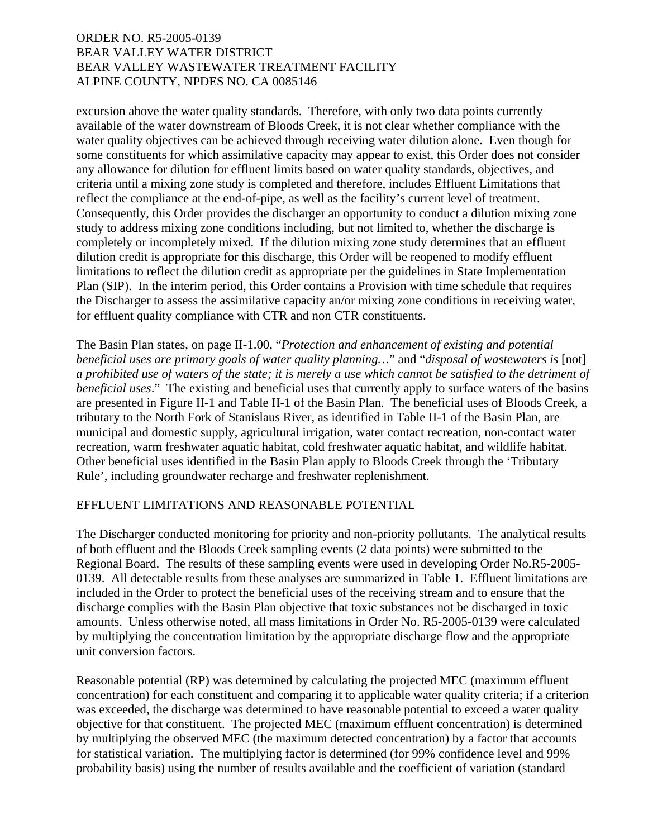excursion above the water quality standards. Therefore, with only two data points currently available of the water downstream of Bloods Creek, it is not clear whether compliance with the water quality objectives can be achieved through receiving water dilution alone. Even though for some constituents for which assimilative capacity may appear to exist, this Order does not consider any allowance for dilution for effluent limits based on water quality standards, objectives, and criteria until a mixing zone study is completed and therefore, includes Effluent Limitations that reflect the compliance at the end-of-pipe, as well as the facility's current level of treatment. Consequently, this Order provides the discharger an opportunity to conduct a dilution mixing zone study to address mixing zone conditions including, but not limited to, whether the discharge is completely or incompletely mixed. If the dilution mixing zone study determines that an effluent dilution credit is appropriate for this discharge, this Order will be reopened to modify effluent limitations to reflect the dilution credit as appropriate per the guidelines in State Implementation Plan (SIP). In the interim period, this Order contains a Provision with time schedule that requires the Discharger to assess the assimilative capacity an/or mixing zone conditions in receiving water, for effluent quality compliance with CTR and non CTR constituents.

The Basin Plan states, on page II-1.00, "*Protection and enhancement of existing and potential beneficial uses are primary goals of water quality planning…*" and "*disposal of wastewaters is* [not] *a prohibited use of waters of the state; it is merely a use which cannot be satisfied to the detriment of beneficial uses*." The existing and beneficial uses that currently apply to surface waters of the basins are presented in Figure II-1 and Table II-1 of the Basin Plan. The beneficial uses of Bloods Creek, a tributary to the North Fork of Stanislaus River, as identified in Table II-1 of the Basin Plan, are municipal and domestic supply, agricultural irrigation, water contact recreation, non-contact water recreation, warm freshwater aquatic habitat, cold freshwater aquatic habitat, and wildlife habitat. Other beneficial uses identified in the Basin Plan apply to Bloods Creek through the 'Tributary Rule', including groundwater recharge and freshwater replenishment.

## EFFLUENT LIMITATIONS AND REASONABLE POTENTIAL

The Discharger conducted monitoring for priority and non-priority pollutants. The analytical results of both effluent and the Bloods Creek sampling events (2 data points) were submitted to the Regional Board. The results of these sampling events were used in developing Order No.R5-2005- 0139. All detectable results from these analyses are summarized in Table 1. Effluent limitations are included in the Order to protect the beneficial uses of the receiving stream and to ensure that the discharge complies with the Basin Plan objective that toxic substances not be discharged in toxic amounts. Unless otherwise noted, all mass limitations in Order No. R5-2005-0139 were calculated by multiplying the concentration limitation by the appropriate discharge flow and the appropriate unit conversion factors.

Reasonable potential (RP) was determined by calculating the projected MEC (maximum effluent concentration) for each constituent and comparing it to applicable water quality criteria; if a criterion was exceeded, the discharge was determined to have reasonable potential to exceed a water quality objective for that constituent. The projected MEC (maximum effluent concentration) is determined by multiplying the observed MEC (the maximum detected concentration) by a factor that accounts for statistical variation. The multiplying factor is determined (for 99% confidence level and 99% probability basis) using the number of results available and the coefficient of variation (standard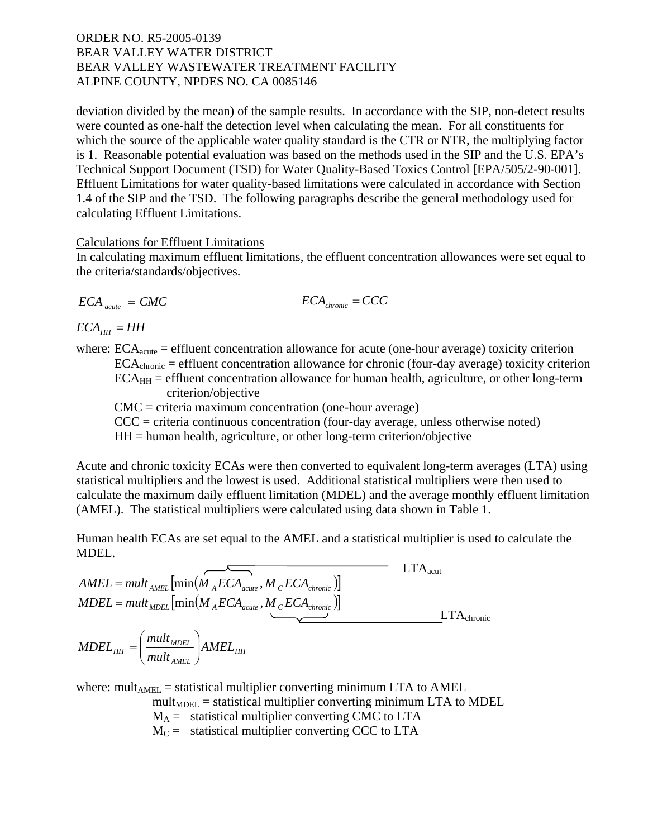deviation divided by the mean) of the sample results. In accordance with the SIP, non-detect results were counted as one-half the detection level when calculating the mean. For all constituents for which the source of the applicable water quality standard is the CTR or NTR, the multiplying factor is 1. Reasonable potential evaluation was based on the methods used in the SIP and the U.S. EPA's Technical Support Document (TSD) for Water Quality-Based Toxics Control [EPA/505/2-90-001]. Effluent Limitations for water quality-based limitations were calculated in accordance with Section 1.4 of the SIP and the TSD. The following paragraphs describe the general methodology used for calculating Effluent Limitations.

#### Calculations for Effluent Limitations

In calculating maximum effluent limitations, the effluent concentration allowances were set equal to the criteria/standards/objectives.

$$
ECA_{acute} = CMC
$$
 
$$
ECA_{chromic} = CCC
$$

 $ECA_{HH} = HH$ 

where:  $ECA<sub>acute</sub>$  = effluent concentration allowance for acute (one-hour average) toxicity criterion  $ECA<sub>chronic</sub> = effluent concentration allowance for chronic (four-day average) toxicity criterion$  $ECA<sub>HH</sub>$  = effluent concentration allowance for human health, agriculture, or other long-term criterion/objective

CMC = criteria maximum concentration (one-hour average)

 $CCC = criteria$  continuous concentration (four-day average, unless otherwise noted)

 $HH =$  human health, agriculture, or other long-term criterion/objective

Acute and chronic toxicity ECAs were then converted to equivalent long-term averages (LTA) using statistical multipliers and the lowest is used. Additional statistical multipliers were then used to calculate the maximum daily effluent limitation (MDEL) and the average monthly effluent limitation (AMEL). The statistical multipliers were calculated using data shown in Table 1.

Human health ECAs are set equal to the AMEL and a statistical multiplier is used to calculate the MDEL.

$$
AMEL = mult_{AMEL} \left[ min(M_{A}ECA_{acute}, M_{C}ECA_{chronic}) \right]
$$
\n
$$
MDEL = mult_{ADEL} \left[ min(M_{A}ECA_{acute}, M_{C}ECA_{chronic}) \right]
$$
\n
$$
MDEL_{HH} = \left( \frac{mult_{MDEL}}{mult_{AMEL}} \right) AMEL_{HH}
$$
\n
$$
LTA_{chronic}
$$

where: mult<sub>AMEL</sub> = statistical multiplier converting minimum LTA to AMEL

 $mult<sub>MDEL</sub> = statistical multiplier converting minimum LTA to MDEL$ 

 $M_A$  = statistical multiplier converting CMC to LTA

 $M_C$  = statistical multiplier converting CCC to LTA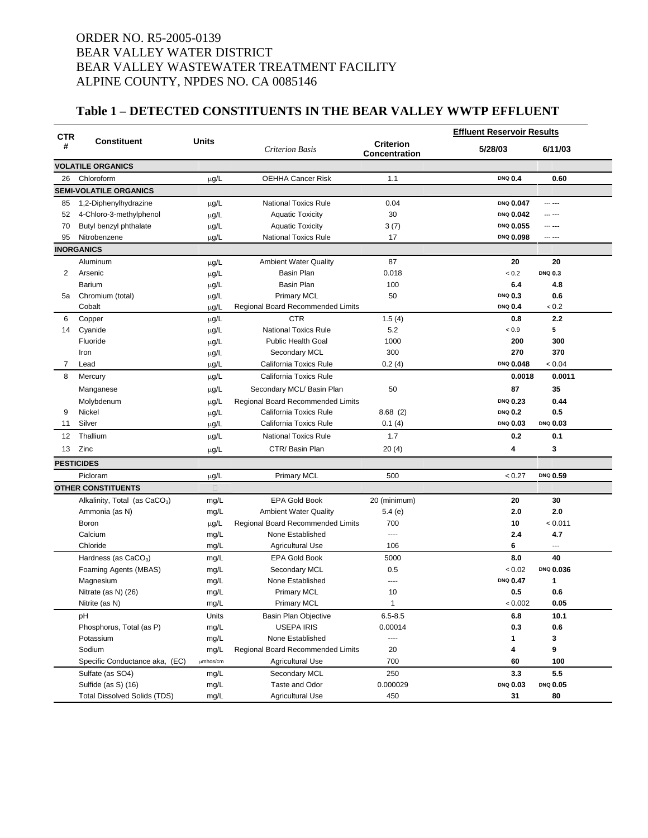# **Table 1 – DETECTED CONSTITUENTS IN THE BEAR VALLEY WWTP EFFLUENT**

| <b>Criterion</b><br>#<br>5/28/03<br><b>Criterion Basis</b><br>6/11/03<br><b>Concentration</b><br><b>VOLATILE ORGANICS</b><br>Chloroform<br><b>OEHHA Cancer Risk</b><br>1.1<br><b>DNQ 0.4</b><br>0.60<br>26<br>$\mu$ g/L<br><b>SEMI-VOLATILE ORGANICS</b><br>1,2-Diphenylhydrazine<br><b>National Toxics Rule</b><br>0.04<br>DNQ 0.047<br>85<br>--- ---<br>$\mu$ g/L<br>30<br>DNQ 0.042<br>52<br>4-Chloro-3-methylphenol<br>$\mu$ g/L<br><b>Aquatic Toxicity</b><br>--- ---<br>DNQ 0.055<br>70<br>Butyl benzyl phthalate<br><b>Aquatic Toxicity</b><br>3(7)<br>µg/L<br>95<br>17<br>DNQ 0.098<br>Nitrobenzene<br><b>National Toxics Rule</b><br>$\mu$ g/L<br>--- ---<br><b>INORGANICS</b><br><b>Ambient Water Quality</b><br>87<br>20<br>Aluminum<br>µg/L<br>20<br>Basin Plan<br>0.018<br>< 0.2<br><b>DNQ 0.3</b><br>2<br>µg/L<br>Arsenic<br>Basin Plan<br>100<br>6.4<br>Barium<br>4.8<br>$\mu$ g/L<br><b>Primary MCL</b><br>50<br>0.6<br>Chromium (total)<br><b>DNQ 0.3</b><br>µg/L<br>5a<br>µg/L<br>< 0.2<br>Cobalt<br>Regional Board Recommended Limits<br><b>DNQ 0.4</b><br>µg/L<br><b>CTR</b><br>1.5(4)<br>2.2<br>6<br>Copper<br>0.8<br><b>National Toxics Rule</b><br>5.2<br>5<br>Cyanide<br>< 0.9<br>14<br>µg/L<br><b>Public Health Goal</b><br>1000<br>300<br>Fluoride<br>200<br>$\mu$ g/L<br>300<br>270<br>370<br>Secondary MCL<br>Iron<br>$\mu$ g/L<br>0.2(4)<br>DNQ 0.048<br>< 0.04<br>7<br>µg/L<br>California Toxics Rule<br>Lead<br>California Toxics Rule<br>0.0011<br>8<br>Mercury<br>0.0018<br>$\mu$ g/L<br>50<br>35<br>$\mu$ g/L<br>Secondary MCL/ Basin Plan<br>87<br>Manganese<br>µg/L<br>DNQ 0.23<br>0.44<br>Molybdenum<br>Regional Board Recommended Limits<br>0.5<br>9<br>Nickel<br>µg/L<br>California Toxics Rule<br>8.68(2)<br><b>DNQ 0.2</b><br>DNQ 0.03<br>Silver<br>California Toxics Rule<br>0.1(4)<br><b>DNQ 0.03</b><br>11<br>µg/L<br>1.7<br>Thallium<br><b>National Toxics Rule</b><br>0.2<br>0.1<br>12<br>µg/L<br>Zinc<br>CTR/Basin Plan<br>3<br>13<br>$\mu$ g/L<br>20(4)<br>4<br><b>PESTICIDES</b><br>Picloram<br>500<br>< 0.27<br>DNQ 0.59<br>µg/L<br><b>Primary MCL</b><br><b>OTHER CONSTITUENTS</b><br>$\Box$<br><b>EPA Gold Book</b><br>20<br>30<br>Alkalinity, Total (as CaCO <sub>3</sub> )<br>mg/L<br>20 (minimum)<br>2.0<br>2.0<br>Ammonia (as N)<br><b>Ambient Water Quality</b><br>5.4 (e)<br>mg/L<br>700<br>10<br>< 0.011<br>Boron<br>$\mu$ g/L<br>Regional Board Recommended Limits<br>4.7<br>Calcium<br>mg/L<br>None Established<br>$\overline{a}$<br>2.4<br>106<br>6<br>Chloride<br>mg/L<br>$\overline{a}$<br><b>Agricultural Use</b><br>40<br><b>EPA Gold Book</b><br>5000<br>8.0<br>Hardness (as $CaCO3$ )<br>mg/L<br>DNQ 0.036<br>Foaming Agents (MBAS)<br>Secondary MCL<br>0.5<br>< 0.02<br>mg/L<br>None Established<br>DNQ 0.47<br>mg/L<br>1<br>Magnesium<br>----<br>0.5<br><b>Primary MCL</b><br>10<br>0.6<br>Nitrate (as N) (26)<br>mg/L<br>$\mathbf{1}$<br>0.05<br>Nitrite (as N)<br>mg/L<br><b>Primary MCL</b><br>< 0.002<br>$6.5 - 8.5$<br>pH<br>Units<br>Basin Plan Objective<br>6.8<br>10.1<br><b>USEPA IRIS</b><br>0.00014<br>0.3<br>0.6<br>Phosphorus, Total (as P)<br>mg/L<br>Potassium<br>None Established<br>mg/L<br>3<br>----<br>1<br>9<br>Sodium<br>20<br>4<br>mg/L<br>Regional Board Recommended Limits<br>700<br>Specific Conductance aka, (EC)<br>60<br>100<br>µmhos/cm<br><b>Agricultural Use</b><br>5.5<br>Sulfate (as SO4)<br>Secondary MCL<br>250<br>3.3<br>mg/L<br>DNQ 0.03<br>Sulfide (as S) (16)<br>Taste and Odor<br>0.000029<br>DNQ 0.05<br>mg/L<br><b>Total Dissolved Solids (TDS)</b><br><b>Agricultural Use</b><br>450<br>31<br>80<br>mg/L | <b>CTR</b> |                    |              |  | <b>Effluent Reservoir Results</b> |  |
|---------------------------------------------------------------------------------------------------------------------------------------------------------------------------------------------------------------------------------------------------------------------------------------------------------------------------------------------------------------------------------------------------------------------------------------------------------------------------------------------------------------------------------------------------------------------------------------------------------------------------------------------------------------------------------------------------------------------------------------------------------------------------------------------------------------------------------------------------------------------------------------------------------------------------------------------------------------------------------------------------------------------------------------------------------------------------------------------------------------------------------------------------------------------------------------------------------------------------------------------------------------------------------------------------------------------------------------------------------------------------------------------------------------------------------------------------------------------------------------------------------------------------------------------------------------------------------------------------------------------------------------------------------------------------------------------------------------------------------------------------------------------------------------------------------------------------------------------------------------------------------------------------------------------------------------------------------------------------------------------------------------------------------------------------------------------------------------------------------------------------------------------------------------------------------------------------------------------------------------------------------------------------------------------------------------------------------------------------------------------------------------------------------------------------------------------------------------------------------------------------------------------------------------------------------------------------------------------------------------------------------------------------------------------------------------------------------------------------------------------------------------------------------------------------------------------------------------------------------------------------------------------------------------------------------------------------------------------------------------------------------------------------------------------------------------------------------------------------------------------------------------------------------------------------------------------------------------------------------------------------------------------------------------------------------------------------------------------------------------------------------------------------------------------------------------------------------------------------------------------------------------------------------------------------------------------------------------------------------------------------|------------|--------------------|--------------|--|-----------------------------------|--|
|                                                                                                                                                                                                                                                                                                                                                                                                                                                                                                                                                                                                                                                                                                                                                                                                                                                                                                                                                                                                                                                                                                                                                                                                                                                                                                                                                                                                                                                                                                                                                                                                                                                                                                                                                                                                                                                                                                                                                                                                                                                                                                                                                                                                                                                                                                                                                                                                                                                                                                                                                                                                                                                                                                                                                                                                                                                                                                                                                                                                                                                                                                                                                                                                                                                                                                                                                                                                                                                                                                                                                                                                                           |            | <b>Constituent</b> | <b>Units</b> |  |                                   |  |
|                                                                                                                                                                                                                                                                                                                                                                                                                                                                                                                                                                                                                                                                                                                                                                                                                                                                                                                                                                                                                                                                                                                                                                                                                                                                                                                                                                                                                                                                                                                                                                                                                                                                                                                                                                                                                                                                                                                                                                                                                                                                                                                                                                                                                                                                                                                                                                                                                                                                                                                                                                                                                                                                                                                                                                                                                                                                                                                                                                                                                                                                                                                                                                                                                                                                                                                                                                                                                                                                                                                                                                                                                           |            |                    |              |  |                                   |  |
|                                                                                                                                                                                                                                                                                                                                                                                                                                                                                                                                                                                                                                                                                                                                                                                                                                                                                                                                                                                                                                                                                                                                                                                                                                                                                                                                                                                                                                                                                                                                                                                                                                                                                                                                                                                                                                                                                                                                                                                                                                                                                                                                                                                                                                                                                                                                                                                                                                                                                                                                                                                                                                                                                                                                                                                                                                                                                                                                                                                                                                                                                                                                                                                                                                                                                                                                                                                                                                                                                                                                                                                                                           |            |                    |              |  |                                   |  |
|                                                                                                                                                                                                                                                                                                                                                                                                                                                                                                                                                                                                                                                                                                                                                                                                                                                                                                                                                                                                                                                                                                                                                                                                                                                                                                                                                                                                                                                                                                                                                                                                                                                                                                                                                                                                                                                                                                                                                                                                                                                                                                                                                                                                                                                                                                                                                                                                                                                                                                                                                                                                                                                                                                                                                                                                                                                                                                                                                                                                                                                                                                                                                                                                                                                                                                                                                                                                                                                                                                                                                                                                                           |            |                    |              |  |                                   |  |
|                                                                                                                                                                                                                                                                                                                                                                                                                                                                                                                                                                                                                                                                                                                                                                                                                                                                                                                                                                                                                                                                                                                                                                                                                                                                                                                                                                                                                                                                                                                                                                                                                                                                                                                                                                                                                                                                                                                                                                                                                                                                                                                                                                                                                                                                                                                                                                                                                                                                                                                                                                                                                                                                                                                                                                                                                                                                                                                                                                                                                                                                                                                                                                                                                                                                                                                                                                                                                                                                                                                                                                                                                           |            |                    |              |  |                                   |  |
|                                                                                                                                                                                                                                                                                                                                                                                                                                                                                                                                                                                                                                                                                                                                                                                                                                                                                                                                                                                                                                                                                                                                                                                                                                                                                                                                                                                                                                                                                                                                                                                                                                                                                                                                                                                                                                                                                                                                                                                                                                                                                                                                                                                                                                                                                                                                                                                                                                                                                                                                                                                                                                                                                                                                                                                                                                                                                                                                                                                                                                                                                                                                                                                                                                                                                                                                                                                                                                                                                                                                                                                                                           |            |                    |              |  |                                   |  |
|                                                                                                                                                                                                                                                                                                                                                                                                                                                                                                                                                                                                                                                                                                                                                                                                                                                                                                                                                                                                                                                                                                                                                                                                                                                                                                                                                                                                                                                                                                                                                                                                                                                                                                                                                                                                                                                                                                                                                                                                                                                                                                                                                                                                                                                                                                                                                                                                                                                                                                                                                                                                                                                                                                                                                                                                                                                                                                                                                                                                                                                                                                                                                                                                                                                                                                                                                                                                                                                                                                                                                                                                                           |            |                    |              |  |                                   |  |
|                                                                                                                                                                                                                                                                                                                                                                                                                                                                                                                                                                                                                                                                                                                                                                                                                                                                                                                                                                                                                                                                                                                                                                                                                                                                                                                                                                                                                                                                                                                                                                                                                                                                                                                                                                                                                                                                                                                                                                                                                                                                                                                                                                                                                                                                                                                                                                                                                                                                                                                                                                                                                                                                                                                                                                                                                                                                                                                                                                                                                                                                                                                                                                                                                                                                                                                                                                                                                                                                                                                                                                                                                           |            |                    |              |  |                                   |  |
|                                                                                                                                                                                                                                                                                                                                                                                                                                                                                                                                                                                                                                                                                                                                                                                                                                                                                                                                                                                                                                                                                                                                                                                                                                                                                                                                                                                                                                                                                                                                                                                                                                                                                                                                                                                                                                                                                                                                                                                                                                                                                                                                                                                                                                                                                                                                                                                                                                                                                                                                                                                                                                                                                                                                                                                                                                                                                                                                                                                                                                                                                                                                                                                                                                                                                                                                                                                                                                                                                                                                                                                                                           |            |                    |              |  |                                   |  |
|                                                                                                                                                                                                                                                                                                                                                                                                                                                                                                                                                                                                                                                                                                                                                                                                                                                                                                                                                                                                                                                                                                                                                                                                                                                                                                                                                                                                                                                                                                                                                                                                                                                                                                                                                                                                                                                                                                                                                                                                                                                                                                                                                                                                                                                                                                                                                                                                                                                                                                                                                                                                                                                                                                                                                                                                                                                                                                                                                                                                                                                                                                                                                                                                                                                                                                                                                                                                                                                                                                                                                                                                                           |            |                    |              |  |                                   |  |
|                                                                                                                                                                                                                                                                                                                                                                                                                                                                                                                                                                                                                                                                                                                                                                                                                                                                                                                                                                                                                                                                                                                                                                                                                                                                                                                                                                                                                                                                                                                                                                                                                                                                                                                                                                                                                                                                                                                                                                                                                                                                                                                                                                                                                                                                                                                                                                                                                                                                                                                                                                                                                                                                                                                                                                                                                                                                                                                                                                                                                                                                                                                                                                                                                                                                                                                                                                                                                                                                                                                                                                                                                           |            |                    |              |  |                                   |  |
|                                                                                                                                                                                                                                                                                                                                                                                                                                                                                                                                                                                                                                                                                                                                                                                                                                                                                                                                                                                                                                                                                                                                                                                                                                                                                                                                                                                                                                                                                                                                                                                                                                                                                                                                                                                                                                                                                                                                                                                                                                                                                                                                                                                                                                                                                                                                                                                                                                                                                                                                                                                                                                                                                                                                                                                                                                                                                                                                                                                                                                                                                                                                                                                                                                                                                                                                                                                                                                                                                                                                                                                                                           |            |                    |              |  |                                   |  |
|                                                                                                                                                                                                                                                                                                                                                                                                                                                                                                                                                                                                                                                                                                                                                                                                                                                                                                                                                                                                                                                                                                                                                                                                                                                                                                                                                                                                                                                                                                                                                                                                                                                                                                                                                                                                                                                                                                                                                                                                                                                                                                                                                                                                                                                                                                                                                                                                                                                                                                                                                                                                                                                                                                                                                                                                                                                                                                                                                                                                                                                                                                                                                                                                                                                                                                                                                                                                                                                                                                                                                                                                                           |            |                    |              |  |                                   |  |
|                                                                                                                                                                                                                                                                                                                                                                                                                                                                                                                                                                                                                                                                                                                                                                                                                                                                                                                                                                                                                                                                                                                                                                                                                                                                                                                                                                                                                                                                                                                                                                                                                                                                                                                                                                                                                                                                                                                                                                                                                                                                                                                                                                                                                                                                                                                                                                                                                                                                                                                                                                                                                                                                                                                                                                                                                                                                                                                                                                                                                                                                                                                                                                                                                                                                                                                                                                                                                                                                                                                                                                                                                           |            |                    |              |  |                                   |  |
|                                                                                                                                                                                                                                                                                                                                                                                                                                                                                                                                                                                                                                                                                                                                                                                                                                                                                                                                                                                                                                                                                                                                                                                                                                                                                                                                                                                                                                                                                                                                                                                                                                                                                                                                                                                                                                                                                                                                                                                                                                                                                                                                                                                                                                                                                                                                                                                                                                                                                                                                                                                                                                                                                                                                                                                                                                                                                                                                                                                                                                                                                                                                                                                                                                                                                                                                                                                                                                                                                                                                                                                                                           |            |                    |              |  |                                   |  |
|                                                                                                                                                                                                                                                                                                                                                                                                                                                                                                                                                                                                                                                                                                                                                                                                                                                                                                                                                                                                                                                                                                                                                                                                                                                                                                                                                                                                                                                                                                                                                                                                                                                                                                                                                                                                                                                                                                                                                                                                                                                                                                                                                                                                                                                                                                                                                                                                                                                                                                                                                                                                                                                                                                                                                                                                                                                                                                                                                                                                                                                                                                                                                                                                                                                                                                                                                                                                                                                                                                                                                                                                                           |            |                    |              |  |                                   |  |
|                                                                                                                                                                                                                                                                                                                                                                                                                                                                                                                                                                                                                                                                                                                                                                                                                                                                                                                                                                                                                                                                                                                                                                                                                                                                                                                                                                                                                                                                                                                                                                                                                                                                                                                                                                                                                                                                                                                                                                                                                                                                                                                                                                                                                                                                                                                                                                                                                                                                                                                                                                                                                                                                                                                                                                                                                                                                                                                                                                                                                                                                                                                                                                                                                                                                                                                                                                                                                                                                                                                                                                                                                           |            |                    |              |  |                                   |  |
|                                                                                                                                                                                                                                                                                                                                                                                                                                                                                                                                                                                                                                                                                                                                                                                                                                                                                                                                                                                                                                                                                                                                                                                                                                                                                                                                                                                                                                                                                                                                                                                                                                                                                                                                                                                                                                                                                                                                                                                                                                                                                                                                                                                                                                                                                                                                                                                                                                                                                                                                                                                                                                                                                                                                                                                                                                                                                                                                                                                                                                                                                                                                                                                                                                                                                                                                                                                                                                                                                                                                                                                                                           |            |                    |              |  |                                   |  |
|                                                                                                                                                                                                                                                                                                                                                                                                                                                                                                                                                                                                                                                                                                                                                                                                                                                                                                                                                                                                                                                                                                                                                                                                                                                                                                                                                                                                                                                                                                                                                                                                                                                                                                                                                                                                                                                                                                                                                                                                                                                                                                                                                                                                                                                                                                                                                                                                                                                                                                                                                                                                                                                                                                                                                                                                                                                                                                                                                                                                                                                                                                                                                                                                                                                                                                                                                                                                                                                                                                                                                                                                                           |            |                    |              |  |                                   |  |
|                                                                                                                                                                                                                                                                                                                                                                                                                                                                                                                                                                                                                                                                                                                                                                                                                                                                                                                                                                                                                                                                                                                                                                                                                                                                                                                                                                                                                                                                                                                                                                                                                                                                                                                                                                                                                                                                                                                                                                                                                                                                                                                                                                                                                                                                                                                                                                                                                                                                                                                                                                                                                                                                                                                                                                                                                                                                                                                                                                                                                                                                                                                                                                                                                                                                                                                                                                                                                                                                                                                                                                                                                           |            |                    |              |  |                                   |  |
|                                                                                                                                                                                                                                                                                                                                                                                                                                                                                                                                                                                                                                                                                                                                                                                                                                                                                                                                                                                                                                                                                                                                                                                                                                                                                                                                                                                                                                                                                                                                                                                                                                                                                                                                                                                                                                                                                                                                                                                                                                                                                                                                                                                                                                                                                                                                                                                                                                                                                                                                                                                                                                                                                                                                                                                                                                                                                                                                                                                                                                                                                                                                                                                                                                                                                                                                                                                                                                                                                                                                                                                                                           |            |                    |              |  |                                   |  |
|                                                                                                                                                                                                                                                                                                                                                                                                                                                                                                                                                                                                                                                                                                                                                                                                                                                                                                                                                                                                                                                                                                                                                                                                                                                                                                                                                                                                                                                                                                                                                                                                                                                                                                                                                                                                                                                                                                                                                                                                                                                                                                                                                                                                                                                                                                                                                                                                                                                                                                                                                                                                                                                                                                                                                                                                                                                                                                                                                                                                                                                                                                                                                                                                                                                                                                                                                                                                                                                                                                                                                                                                                           |            |                    |              |  |                                   |  |
|                                                                                                                                                                                                                                                                                                                                                                                                                                                                                                                                                                                                                                                                                                                                                                                                                                                                                                                                                                                                                                                                                                                                                                                                                                                                                                                                                                                                                                                                                                                                                                                                                                                                                                                                                                                                                                                                                                                                                                                                                                                                                                                                                                                                                                                                                                                                                                                                                                                                                                                                                                                                                                                                                                                                                                                                                                                                                                                                                                                                                                                                                                                                                                                                                                                                                                                                                                                                                                                                                                                                                                                                                           |            |                    |              |  |                                   |  |
|                                                                                                                                                                                                                                                                                                                                                                                                                                                                                                                                                                                                                                                                                                                                                                                                                                                                                                                                                                                                                                                                                                                                                                                                                                                                                                                                                                                                                                                                                                                                                                                                                                                                                                                                                                                                                                                                                                                                                                                                                                                                                                                                                                                                                                                                                                                                                                                                                                                                                                                                                                                                                                                                                                                                                                                                                                                                                                                                                                                                                                                                                                                                                                                                                                                                                                                                                                                                                                                                                                                                                                                                                           |            |                    |              |  |                                   |  |
|                                                                                                                                                                                                                                                                                                                                                                                                                                                                                                                                                                                                                                                                                                                                                                                                                                                                                                                                                                                                                                                                                                                                                                                                                                                                                                                                                                                                                                                                                                                                                                                                                                                                                                                                                                                                                                                                                                                                                                                                                                                                                                                                                                                                                                                                                                                                                                                                                                                                                                                                                                                                                                                                                                                                                                                                                                                                                                                                                                                                                                                                                                                                                                                                                                                                                                                                                                                                                                                                                                                                                                                                                           |            |                    |              |  |                                   |  |
|                                                                                                                                                                                                                                                                                                                                                                                                                                                                                                                                                                                                                                                                                                                                                                                                                                                                                                                                                                                                                                                                                                                                                                                                                                                                                                                                                                                                                                                                                                                                                                                                                                                                                                                                                                                                                                                                                                                                                                                                                                                                                                                                                                                                                                                                                                                                                                                                                                                                                                                                                                                                                                                                                                                                                                                                                                                                                                                                                                                                                                                                                                                                                                                                                                                                                                                                                                                                                                                                                                                                                                                                                           |            |                    |              |  |                                   |  |
|                                                                                                                                                                                                                                                                                                                                                                                                                                                                                                                                                                                                                                                                                                                                                                                                                                                                                                                                                                                                                                                                                                                                                                                                                                                                                                                                                                                                                                                                                                                                                                                                                                                                                                                                                                                                                                                                                                                                                                                                                                                                                                                                                                                                                                                                                                                                                                                                                                                                                                                                                                                                                                                                                                                                                                                                                                                                                                                                                                                                                                                                                                                                                                                                                                                                                                                                                                                                                                                                                                                                                                                                                           |            |                    |              |  |                                   |  |
|                                                                                                                                                                                                                                                                                                                                                                                                                                                                                                                                                                                                                                                                                                                                                                                                                                                                                                                                                                                                                                                                                                                                                                                                                                                                                                                                                                                                                                                                                                                                                                                                                                                                                                                                                                                                                                                                                                                                                                                                                                                                                                                                                                                                                                                                                                                                                                                                                                                                                                                                                                                                                                                                                                                                                                                                                                                                                                                                                                                                                                                                                                                                                                                                                                                                                                                                                                                                                                                                                                                                                                                                                           |            |                    |              |  |                                   |  |
|                                                                                                                                                                                                                                                                                                                                                                                                                                                                                                                                                                                                                                                                                                                                                                                                                                                                                                                                                                                                                                                                                                                                                                                                                                                                                                                                                                                                                                                                                                                                                                                                                                                                                                                                                                                                                                                                                                                                                                                                                                                                                                                                                                                                                                                                                                                                                                                                                                                                                                                                                                                                                                                                                                                                                                                                                                                                                                                                                                                                                                                                                                                                                                                                                                                                                                                                                                                                                                                                                                                                                                                                                           |            |                    |              |  |                                   |  |
|                                                                                                                                                                                                                                                                                                                                                                                                                                                                                                                                                                                                                                                                                                                                                                                                                                                                                                                                                                                                                                                                                                                                                                                                                                                                                                                                                                                                                                                                                                                                                                                                                                                                                                                                                                                                                                                                                                                                                                                                                                                                                                                                                                                                                                                                                                                                                                                                                                                                                                                                                                                                                                                                                                                                                                                                                                                                                                                                                                                                                                                                                                                                                                                                                                                                                                                                                                                                                                                                                                                                                                                                                           |            |                    |              |  |                                   |  |
|                                                                                                                                                                                                                                                                                                                                                                                                                                                                                                                                                                                                                                                                                                                                                                                                                                                                                                                                                                                                                                                                                                                                                                                                                                                                                                                                                                                                                                                                                                                                                                                                                                                                                                                                                                                                                                                                                                                                                                                                                                                                                                                                                                                                                                                                                                                                                                                                                                                                                                                                                                                                                                                                                                                                                                                                                                                                                                                                                                                                                                                                                                                                                                                                                                                                                                                                                                                                                                                                                                                                                                                                                           |            |                    |              |  |                                   |  |
|                                                                                                                                                                                                                                                                                                                                                                                                                                                                                                                                                                                                                                                                                                                                                                                                                                                                                                                                                                                                                                                                                                                                                                                                                                                                                                                                                                                                                                                                                                                                                                                                                                                                                                                                                                                                                                                                                                                                                                                                                                                                                                                                                                                                                                                                                                                                                                                                                                                                                                                                                                                                                                                                                                                                                                                                                                                                                                                                                                                                                                                                                                                                                                                                                                                                                                                                                                                                                                                                                                                                                                                                                           |            |                    |              |  |                                   |  |
|                                                                                                                                                                                                                                                                                                                                                                                                                                                                                                                                                                                                                                                                                                                                                                                                                                                                                                                                                                                                                                                                                                                                                                                                                                                                                                                                                                                                                                                                                                                                                                                                                                                                                                                                                                                                                                                                                                                                                                                                                                                                                                                                                                                                                                                                                                                                                                                                                                                                                                                                                                                                                                                                                                                                                                                                                                                                                                                                                                                                                                                                                                                                                                                                                                                                                                                                                                                                                                                                                                                                                                                                                           |            |                    |              |  |                                   |  |
|                                                                                                                                                                                                                                                                                                                                                                                                                                                                                                                                                                                                                                                                                                                                                                                                                                                                                                                                                                                                                                                                                                                                                                                                                                                                                                                                                                                                                                                                                                                                                                                                                                                                                                                                                                                                                                                                                                                                                                                                                                                                                                                                                                                                                                                                                                                                                                                                                                                                                                                                                                                                                                                                                                                                                                                                                                                                                                                                                                                                                                                                                                                                                                                                                                                                                                                                                                                                                                                                                                                                                                                                                           |            |                    |              |  |                                   |  |
|                                                                                                                                                                                                                                                                                                                                                                                                                                                                                                                                                                                                                                                                                                                                                                                                                                                                                                                                                                                                                                                                                                                                                                                                                                                                                                                                                                                                                                                                                                                                                                                                                                                                                                                                                                                                                                                                                                                                                                                                                                                                                                                                                                                                                                                                                                                                                                                                                                                                                                                                                                                                                                                                                                                                                                                                                                                                                                                                                                                                                                                                                                                                                                                                                                                                                                                                                                                                                                                                                                                                                                                                                           |            |                    |              |  |                                   |  |
|                                                                                                                                                                                                                                                                                                                                                                                                                                                                                                                                                                                                                                                                                                                                                                                                                                                                                                                                                                                                                                                                                                                                                                                                                                                                                                                                                                                                                                                                                                                                                                                                                                                                                                                                                                                                                                                                                                                                                                                                                                                                                                                                                                                                                                                                                                                                                                                                                                                                                                                                                                                                                                                                                                                                                                                                                                                                                                                                                                                                                                                                                                                                                                                                                                                                                                                                                                                                                                                                                                                                                                                                                           |            |                    |              |  |                                   |  |
|                                                                                                                                                                                                                                                                                                                                                                                                                                                                                                                                                                                                                                                                                                                                                                                                                                                                                                                                                                                                                                                                                                                                                                                                                                                                                                                                                                                                                                                                                                                                                                                                                                                                                                                                                                                                                                                                                                                                                                                                                                                                                                                                                                                                                                                                                                                                                                                                                                                                                                                                                                                                                                                                                                                                                                                                                                                                                                                                                                                                                                                                                                                                                                                                                                                                                                                                                                                                                                                                                                                                                                                                                           |            |                    |              |  |                                   |  |
|                                                                                                                                                                                                                                                                                                                                                                                                                                                                                                                                                                                                                                                                                                                                                                                                                                                                                                                                                                                                                                                                                                                                                                                                                                                                                                                                                                                                                                                                                                                                                                                                                                                                                                                                                                                                                                                                                                                                                                                                                                                                                                                                                                                                                                                                                                                                                                                                                                                                                                                                                                                                                                                                                                                                                                                                                                                                                                                                                                                                                                                                                                                                                                                                                                                                                                                                                                                                                                                                                                                                                                                                                           |            |                    |              |  |                                   |  |
|                                                                                                                                                                                                                                                                                                                                                                                                                                                                                                                                                                                                                                                                                                                                                                                                                                                                                                                                                                                                                                                                                                                                                                                                                                                                                                                                                                                                                                                                                                                                                                                                                                                                                                                                                                                                                                                                                                                                                                                                                                                                                                                                                                                                                                                                                                                                                                                                                                                                                                                                                                                                                                                                                                                                                                                                                                                                                                                                                                                                                                                                                                                                                                                                                                                                                                                                                                                                                                                                                                                                                                                                                           |            |                    |              |  |                                   |  |
|                                                                                                                                                                                                                                                                                                                                                                                                                                                                                                                                                                                                                                                                                                                                                                                                                                                                                                                                                                                                                                                                                                                                                                                                                                                                                                                                                                                                                                                                                                                                                                                                                                                                                                                                                                                                                                                                                                                                                                                                                                                                                                                                                                                                                                                                                                                                                                                                                                                                                                                                                                                                                                                                                                                                                                                                                                                                                                                                                                                                                                                                                                                                                                                                                                                                                                                                                                                                                                                                                                                                                                                                                           |            |                    |              |  |                                   |  |
|                                                                                                                                                                                                                                                                                                                                                                                                                                                                                                                                                                                                                                                                                                                                                                                                                                                                                                                                                                                                                                                                                                                                                                                                                                                                                                                                                                                                                                                                                                                                                                                                                                                                                                                                                                                                                                                                                                                                                                                                                                                                                                                                                                                                                                                                                                                                                                                                                                                                                                                                                                                                                                                                                                                                                                                                                                                                                                                                                                                                                                                                                                                                                                                                                                                                                                                                                                                                                                                                                                                                                                                                                           |            |                    |              |  |                                   |  |
|                                                                                                                                                                                                                                                                                                                                                                                                                                                                                                                                                                                                                                                                                                                                                                                                                                                                                                                                                                                                                                                                                                                                                                                                                                                                                                                                                                                                                                                                                                                                                                                                                                                                                                                                                                                                                                                                                                                                                                                                                                                                                                                                                                                                                                                                                                                                                                                                                                                                                                                                                                                                                                                                                                                                                                                                                                                                                                                                                                                                                                                                                                                                                                                                                                                                                                                                                                                                                                                                                                                                                                                                                           |            |                    |              |  |                                   |  |
|                                                                                                                                                                                                                                                                                                                                                                                                                                                                                                                                                                                                                                                                                                                                                                                                                                                                                                                                                                                                                                                                                                                                                                                                                                                                                                                                                                                                                                                                                                                                                                                                                                                                                                                                                                                                                                                                                                                                                                                                                                                                                                                                                                                                                                                                                                                                                                                                                                                                                                                                                                                                                                                                                                                                                                                                                                                                                                                                                                                                                                                                                                                                                                                                                                                                                                                                                                                                                                                                                                                                                                                                                           |            |                    |              |  |                                   |  |
|                                                                                                                                                                                                                                                                                                                                                                                                                                                                                                                                                                                                                                                                                                                                                                                                                                                                                                                                                                                                                                                                                                                                                                                                                                                                                                                                                                                                                                                                                                                                                                                                                                                                                                                                                                                                                                                                                                                                                                                                                                                                                                                                                                                                                                                                                                                                                                                                                                                                                                                                                                                                                                                                                                                                                                                                                                                                                                                                                                                                                                                                                                                                                                                                                                                                                                                                                                                                                                                                                                                                                                                                                           |            |                    |              |  |                                   |  |
|                                                                                                                                                                                                                                                                                                                                                                                                                                                                                                                                                                                                                                                                                                                                                                                                                                                                                                                                                                                                                                                                                                                                                                                                                                                                                                                                                                                                                                                                                                                                                                                                                                                                                                                                                                                                                                                                                                                                                                                                                                                                                                                                                                                                                                                                                                                                                                                                                                                                                                                                                                                                                                                                                                                                                                                                                                                                                                                                                                                                                                                                                                                                                                                                                                                                                                                                                                                                                                                                                                                                                                                                                           |            |                    |              |  |                                   |  |
|                                                                                                                                                                                                                                                                                                                                                                                                                                                                                                                                                                                                                                                                                                                                                                                                                                                                                                                                                                                                                                                                                                                                                                                                                                                                                                                                                                                                                                                                                                                                                                                                                                                                                                                                                                                                                                                                                                                                                                                                                                                                                                                                                                                                                                                                                                                                                                                                                                                                                                                                                                                                                                                                                                                                                                                                                                                                                                                                                                                                                                                                                                                                                                                                                                                                                                                                                                                                                                                                                                                                                                                                                           |            |                    |              |  |                                   |  |
|                                                                                                                                                                                                                                                                                                                                                                                                                                                                                                                                                                                                                                                                                                                                                                                                                                                                                                                                                                                                                                                                                                                                                                                                                                                                                                                                                                                                                                                                                                                                                                                                                                                                                                                                                                                                                                                                                                                                                                                                                                                                                                                                                                                                                                                                                                                                                                                                                                                                                                                                                                                                                                                                                                                                                                                                                                                                                                                                                                                                                                                                                                                                                                                                                                                                                                                                                                                                                                                                                                                                                                                                                           |            |                    |              |  |                                   |  |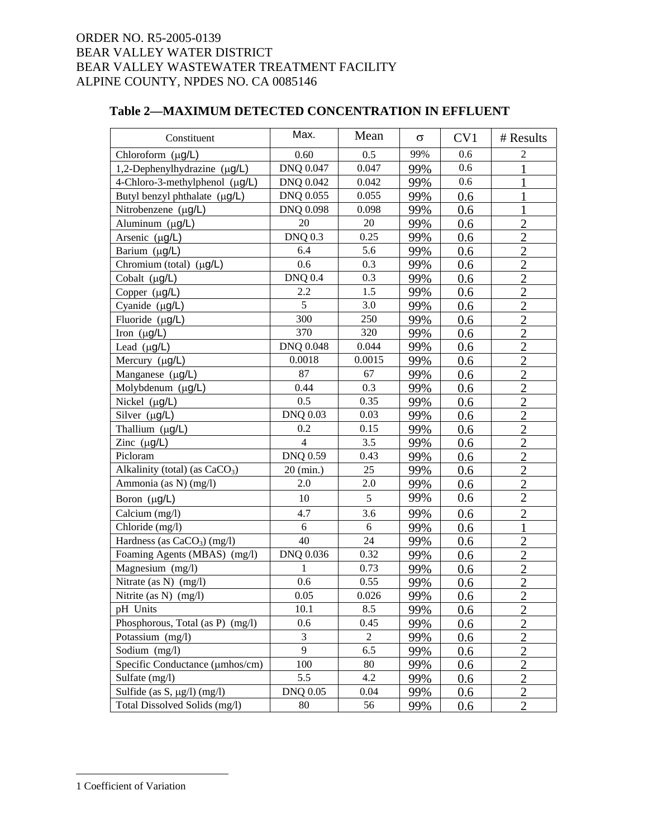## **Table 2—MAXIMUM DETECTED CONCENTRATION IN EFFLUENT**

| Constituent                         | Max.            | Mean           | $\sigma$ | CV1 | # Results      |
|-------------------------------------|-----------------|----------------|----------|-----|----------------|
| Chloroform (µg/L)                   | 0.60            | 0.5            | 99%      | 0.6 | 2              |
| 1,2-Dephenylhydrazine (µg/L)        | DNQ 0.047       | 0.047          | 99%      | 0.6 |                |
| 4-Chloro-3-methylphenol $(\mu g/L)$ | DNQ 0.042       | 0.042          | 99%      | 0.6 |                |
| Butyl benzyl phthalate (µg/L)       | DNQ 0.055       | 0.055          | 99%      | 0.6 |                |
| Nitrobenzene (µg/L)                 | DNQ 0.098       | 0.098          | 99%      | 0.6 | $\mathbf 1$    |
| Aluminum (µg/L)                     | 20              | 20             | 99%      | 0.6 | $\overline{2}$ |
| Arsenic $(\mu g/L)$                 | <b>DNQ 0.3</b>  | 0.25           | 99%      | 0.6 | $\overline{2}$ |
| Barium (µg/L)                       | 6.4             | 5.6            | 99%      | 0.6 | $\overline{2}$ |
| Chromium (total) $(\mu g/L)$        | 0.6             | 0.3            | 99%      | 0.6 | $\overline{2}$ |
| Cobalt $(\mu g/L)$                  | <b>DNO 0.4</b>  | 0.3            | 99%      | 0.6 | $\overline{2}$ |
| Copper $(\mu g/L)$                  | 2.2             | 1.5            | 99%      | 0.6 | $\overline{2}$ |
| Cyanide $(\mu g/L)$                 | 5               | 3.0            | 99%      | 0.6 | $\overline{2}$ |
| Fluoride (µg/L)                     | 300             | 250            | 99%      | 0.6 | $\overline{2}$ |
| Iron $(\mu g/L)$                    | 370             | 320            | 99%      | 0.6 | $\overline{2}$ |
| Lead $(\mu g/L)$                    | DNQ 0.048       | 0.044          | 99%      | 0.6 | $\overline{2}$ |
| Mercury $(\mu g/L)$                 | 0.0018          | 0.0015         | 99%      | 0.6 | $\overline{2}$ |
| Manganese (µg/L)                    | 87              | 67             | 99%      | 0.6 | $\overline{2}$ |
| Molybdenum (µg/L)                   | 0.44            | 0.3            | 99%      | 0.6 | $\overline{2}$ |
| Nickel $(\mu g/L)$                  | 0.5             | 0.35           | 99%      | 0.6 | $\overline{2}$ |
| Silver $(\mu g/L)$                  | <b>DNQ 0.03</b> | 0.03           | 99%      | 0.6 | $\overline{2}$ |
| Thallium (µg/L)                     | 0.2             | 0.15           | 99%      | 0.6 | $\overline{2}$ |
| Zinc $(\mu g/L)$                    | $\overline{4}$  | 3.5            | 99%      | 0.6 | $\overline{2}$ |
| Picloram                            | <b>DNQ 0.59</b> | 0.43           | 99%      | 0.6 | $\overline{2}$ |
| Alkalinity (total) (as $CaCO3$ )    | $20$ (min.)     | 25             | 99%      | 0.6 | $\overline{2}$ |
| Ammonia (as N) (mg/l)               | 2.0             | 2.0            | 99%      | 0.6 | $\overline{2}$ |
| Boron (µg/L)                        | 10              | 5              | 99%      | 0.6 | $\overline{2}$ |
| Calcium (mg/l)                      | 4.7             | 3.6            | 99%      | 0.6 | $\overline{c}$ |
| Chloride (mg/l)                     | 6               | 6              | 99%      | 0.6 | $\mathbf{1}$   |
| Hardness (as $CaCO3$ ) (mg/l)       | 40              | 24             | 99%      | 0.6 | $\overline{2}$ |
| Foaming Agents (MBAS) (mg/l)        | DNQ 0.036       | 0.32           | 99%      | 0.6 | $\overline{2}$ |
| Magnesium (mg/l)                    | 1               | 0.73           | 99%      | 0.6 | $\overline{2}$ |
| Nitrate (as N) (mg/l)               | 0.6             | 0.55           | 99%      | 0.6 | $\overline{2}$ |
| Nitrite (as N) (mg/l)               | 0.05            | 0.026          | 99%      | 0.6 | $\overline{2}$ |
| pH Units                            | 10.1            | 8.5            | 99%      | 0.6 | $\overline{c}$ |
| Phosphorous, Total (as P) (mg/l)    | 0.6             | 0.45           | 99%      | 0.6 | $\overline{2}$ |
| Potassium (mg/l)                    | 3               | $\overline{2}$ | 99%      | 0.6 | $\overline{2}$ |
| Sodium (mg/l)                       | 9               | 6.5            | 99%      | 0.6 | $\overline{2}$ |
| Specific Conductance (µmhos/cm)     | 100             | 80             | 99%      | 0.6 | $\overline{2}$ |
| Sulfate (mg/l)                      | 5.5             | 4.2            | 99%      | 0.6 | $\overline{2}$ |
| Sulfide (as S, $\mu$ g/l) (mg/l)    | <b>DNQ 0.05</b> | 0.04           | 99%      | 0.6 | $\overline{2}$ |
| Total Dissolved Solids (mg/l)       | 80              | 56             | 99%      | 0.6 | $\overline{2}$ |

 $\overline{a}$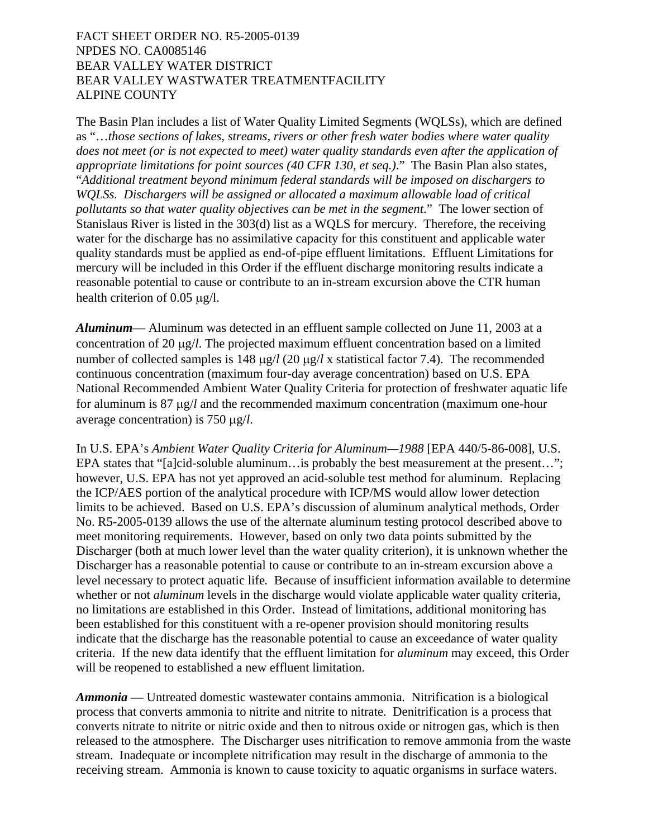The Basin Plan includes a list of Water Quality Limited Segments (WQLSs), which are defined as "…*those sections of lakes, streams, rivers or other fresh water bodies where water quality does not meet (or is not expected to meet) water quality standards even after the application of appropriate limitations for point sources (40 CFR 130, et seq.)*." The Basin Plan also states, "*Additional treatment beyond minimum federal standards will be imposed on dischargers to WQLSs. Dischargers will be assigned or allocated a maximum allowable load of critical pollutants so that water quality objectives can be met in the segment*." The lower section of Stanislaus River is listed in the 303(d) list as a WQLS for mercury. Therefore, the receiving water for the discharge has no assimilative capacity for this constituent and applicable water quality standards must be applied as end-of-pipe effluent limitations. Effluent Limitations for mercury will be included in this Order if the effluent discharge monitoring results indicate a reasonable potential to cause or contribute to an in-stream excursion above the CTR human health criterion of 0.05 μg/l.

*Aluminum*— Aluminum was detected in an effluent sample collected on June 11, 2003 at a concentration of 20 μg/*l*. The projected maximum effluent concentration based on a limited number of collected samples is 148 μg/*l* (20 μg/*l* x statistical factor 7.4). The recommended continuous concentration (maximum four-day average concentration) based on U.S. EPA National Recommended Ambient Water Quality Criteria for protection of freshwater aquatic life for aluminum is 87 μg/*l* and the recommended maximum concentration (maximum one-hour average concentration) is 750 μg/*l*.

In U.S. EPA's *Ambient Water Quality Criteria for Aluminum—1988* [EPA 440/5-86-008], U.S. EPA states that "[a]cid-soluble aluminum... is probably the best measurement at the present..."; however, U.S. EPA has not yet approved an acid-soluble test method for aluminum. Replacing the ICP/AES portion of the analytical procedure with ICP/MS would allow lower detection limits to be achieved. Based on U.S. EPA's discussion of aluminum analytical methods, Order No. R5-2005-0139 allows the use of the alternate aluminum testing protocol described above to meet monitoring requirements. However, based on only two data points submitted by the Discharger (both at much lower level than the water quality criterion), it is unknown whether the Discharger has a reasonable potential to cause or contribute to an in-stream excursion above a level necessary to protect aquatic life*.* Because of insufficient information available to determine whether or not *aluminum* levels in the discharge would violate applicable water quality criteria, no limitations are established in this Order. Instead of limitations, additional monitoring has been established for this constituent with a re-opener provision should monitoring results indicate that the discharge has the reasonable potential to cause an exceedance of water quality criteria. If the new data identify that the effluent limitation for *aluminum* may exceed, this Order will be reopened to established a new effluent limitation.

*Ammonia* — Untreated domestic wastewater contains ammonia. Nitrification is a biological process that converts ammonia to nitrite and nitrite to nitrate. Denitrification is a process that converts nitrate to nitrite or nitric oxide and then to nitrous oxide or nitrogen gas, which is then released to the atmosphere. The Discharger uses nitrification to remove ammonia from the waste stream. Inadequate or incomplete nitrification may result in the discharge of ammonia to the receiving stream. Ammonia is known to cause toxicity to aquatic organisms in surface waters.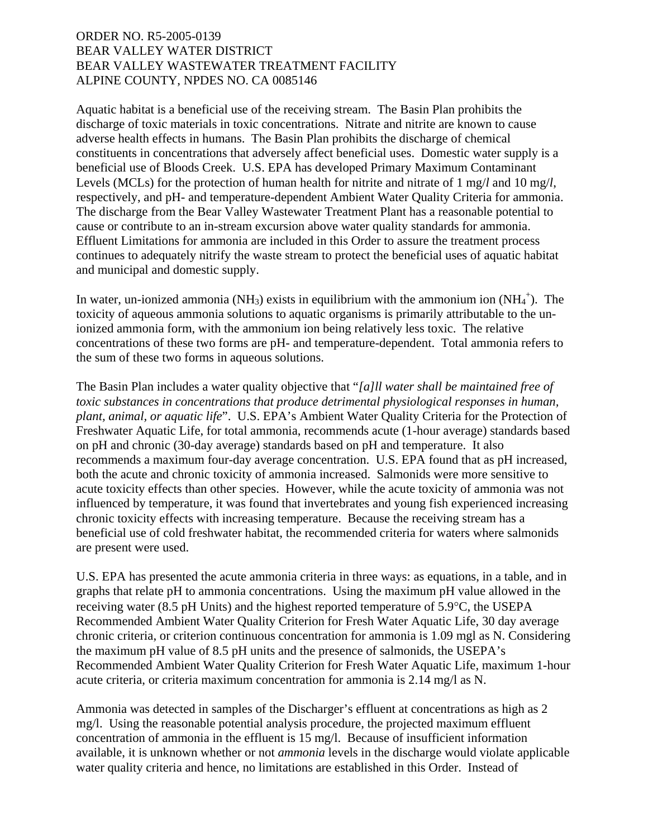Aquatic habitat is a beneficial use of the receiving stream. The Basin Plan prohibits the discharge of toxic materials in toxic concentrations. Nitrate and nitrite are known to cause adverse health effects in humans. The Basin Plan prohibits the discharge of chemical constituents in concentrations that adversely affect beneficial uses. Domestic water supply is a beneficial use of Bloods Creek. U.S. EPA has developed Primary Maximum Contaminant Levels (MCLs) for the protection of human health for nitrite and nitrate of 1 mg/*l* and 10 mg/*l*, respectively, and pH- and temperature-dependent Ambient Water Quality Criteria for ammonia. The discharge from the Bear Valley Wastewater Treatment Plant has a reasonable potential to cause or contribute to an in-stream excursion above water quality standards for ammonia. Effluent Limitations for ammonia are included in this Order to assure the treatment process continues to adequately nitrify the waste stream to protect the beneficial uses of aquatic habitat and municipal and domestic supply.

In water, un-ionized ammonia (NH<sub>3</sub>) exists in equilibrium with the ammonium ion  $(NH_4^+)$ . The toxicity of aqueous ammonia solutions to aquatic organisms is primarily attributable to the unionized ammonia form, with the ammonium ion being relatively less toxic. The relative concentrations of these two forms are pH- and temperature-dependent. Total ammonia refers to the sum of these two forms in aqueous solutions.

The Basin Plan includes a water quality objective that "*[a]ll water shall be maintained free of toxic substances in concentrations that produce detrimental physiological responses in human, plant, animal, or aquatic life*". U.S. EPA's Ambient Water Quality Criteria for the Protection of Freshwater Aquatic Life, for total ammonia, recommends acute (1-hour average) standards based on pH and chronic (30-day average) standards based on pH and temperature. It also recommends a maximum four-day average concentration. U.S. EPA found that as pH increased, both the acute and chronic toxicity of ammonia increased. Salmonids were more sensitive to acute toxicity effects than other species. However, while the acute toxicity of ammonia was not influenced by temperature, it was found that invertebrates and young fish experienced increasing chronic toxicity effects with increasing temperature. Because the receiving stream has a beneficial use of cold freshwater habitat, the recommended criteria for waters where salmonids are present were used.

U.S. EPA has presented the acute ammonia criteria in three ways: as equations, in a table, and in graphs that relate pH to ammonia concentrations. Using the maximum pH value allowed in the receiving water (8.5 pH Units) and the highest reported temperature of 5.9°C, the USEPA Recommended Ambient Water Quality Criterion for Fresh Water Aquatic Life, 30 day average chronic criteria, or criterion continuous concentration for ammonia is 1.09 mgl as N. Considering the maximum pH value of 8.5 pH units and the presence of salmonids, the USEPA's Recommended Ambient Water Quality Criterion for Fresh Water Aquatic Life, maximum 1-hour acute criteria, or criteria maximum concentration for ammonia is 2.14 mg/l as N.

Ammonia was detected in samples of the Discharger's effluent at concentrations as high as 2 mg/l. Using the reasonable potential analysis procedure, the projected maximum effluent concentration of ammonia in the effluent is 15 mg/l. Because of insufficient information available, it is unknown whether or not *ammonia* levels in the discharge would violate applicable water quality criteria and hence, no limitations are established in this Order. Instead of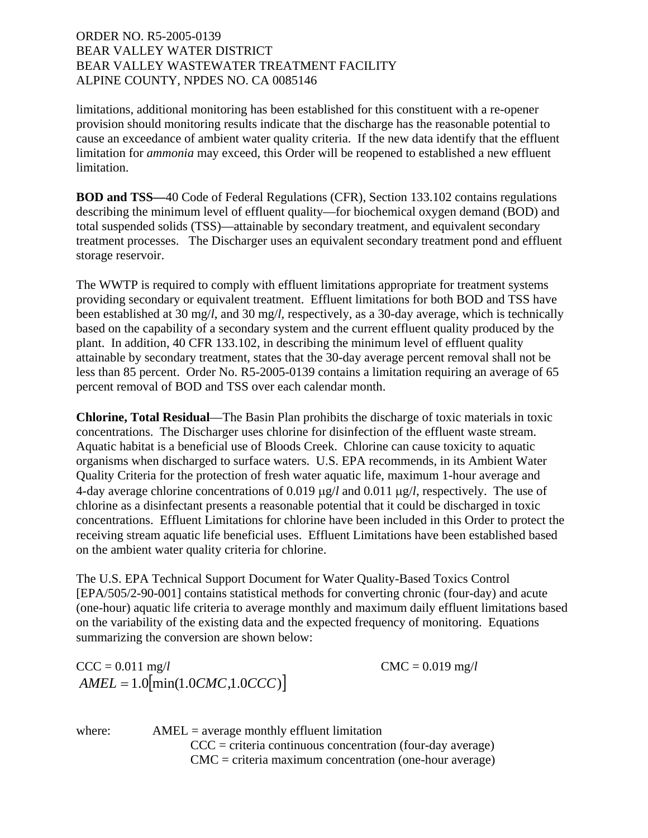limitations, additional monitoring has been established for this constituent with a re-opener provision should monitoring results indicate that the discharge has the reasonable potential to cause an exceedance of ambient water quality criteria. If the new data identify that the effluent limitation for *ammonia* may exceed, this Order will be reopened to established a new effluent limitation.

**BOD and TSS***—*40 Code of Federal Regulations (CFR), Section 133.102 contains regulations describing the minimum level of effluent quality—for biochemical oxygen demand (BOD) and total suspended solids (TSS)—attainable by secondary treatment, and equivalent secondary treatment processes. The Discharger uses an equivalent secondary treatment pond and effluent storage reservoir.

The WWTP is required to comply with effluent limitations appropriate for treatment systems providing secondary or equivalent treatment. Effluent limitations for both BOD and TSS have been established at 30 mg/*l*, and 30 mg/*l,* respectively*,* as a 30-day average, which is technically based on the capability of a secondary system and the current effluent quality produced by the plant. In addition, 40 CFR 133.102, in describing the minimum level of effluent quality attainable by secondary treatment, states that the 30-day average percent removal shall not be less than 85 percent. Order No. R5-2005-0139 contains a limitation requiring an average of 65 percent removal of BOD and TSS over each calendar month.

**Chlorine, Total Residual**—The Basin Plan prohibits the discharge of toxic materials in toxic concentrations. The Discharger uses chlorine for disinfection of the effluent waste stream. Aquatic habitat is a beneficial use of Bloods Creek. Chlorine can cause toxicity to aquatic organisms when discharged to surface waters. U.S. EPA recommends, in its Ambient Water Quality Criteria for the protection of fresh water aquatic life, maximum 1-hour average and 4-day average chlorine concentrations of 0.019 μg/*l* and 0.011 μg/*l*, respectively. The use of chlorine as a disinfectant presents a reasonable potential that it could be discharged in toxic concentrations. Effluent Limitations for chlorine have been included in this Order to protect the receiving stream aquatic life beneficial uses. Effluent Limitations have been established based on the ambient water quality criteria for chlorine.

The U.S. EPA Technical Support Document for Water Quality-Based Toxics Control [EPA/505/2-90-001] contains statistical methods for converting chronic (four-day) and acute (one-hour) aquatic life criteria to average monthly and maximum daily effluent limitations based on the variability of the existing data and the expected frequency of monitoring. Equations summarizing the conversion are shown below:

 $CCC = 0.011 \text{ mg}/l$   $CMC = 0.019 \text{ mg}/l$  $AMEL = 1.0$ [min(1.0*CMC*,1.0*CCC*)]

where:  $AMEL = average monthly effluent limitation$  $CCC =$  criteria continuous concentration (four-day average) CMC = criteria maximum concentration (one-hour average)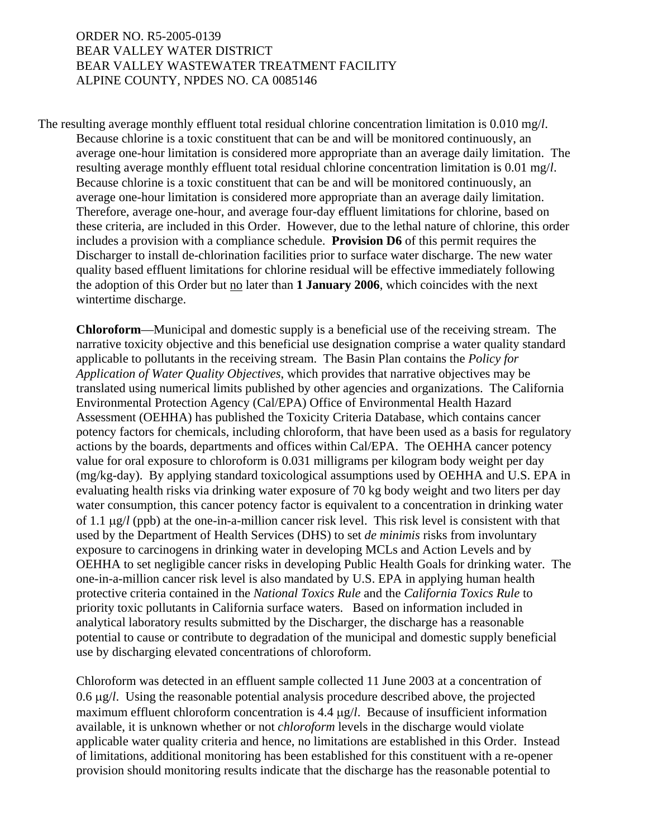The resulting average monthly effluent total residual chlorine concentration limitation is 0.010 mg/*l*. Because chlorine is a toxic constituent that can be and will be monitored continuously, an average one-hour limitation is considered more appropriate than an average daily limitation. The resulting average monthly effluent total residual chlorine concentration limitation is 0.01 mg/*l*. Because chlorine is a toxic constituent that can be and will be monitored continuously, an average one-hour limitation is considered more appropriate than an average daily limitation. Therefore, average one-hour, and average four-day effluent limitations for chlorine, based on these criteria, are included in this Order. However, due to the lethal nature of chlorine, this order includes a provision with a compliance schedule. **Provision D6** of this permit requires the Discharger to install de-chlorination facilities prior to surface water discharge. The new water quality based effluent limitations for chlorine residual will be effective immediately following the adoption of this Order but no later than **1 January 2006**, which coincides with the next wintertime discharge.

**Chloroform**—Municipal and domestic supply is a beneficial use of the receiving stream. The narrative toxicity objective and this beneficial use designation comprise a water quality standard applicable to pollutants in the receiving stream. The Basin Plan contains the *Policy for Application of Water Quality Objectives*, which provides that narrative objectives may be translated using numerical limits published by other agencies and organizations. The California Environmental Protection Agency (Cal/EPA) Office of Environmental Health Hazard Assessment (OEHHA) has published the Toxicity Criteria Database, which contains cancer potency factors for chemicals, including chloroform, that have been used as a basis for regulatory actions by the boards, departments and offices within Cal/EPA. The OEHHA cancer potency value for oral exposure to chloroform is 0.031 milligrams per kilogram body weight per day (mg/kg-day). By applying standard toxicological assumptions used by OEHHA and U.S. EPA in evaluating health risks via drinking water exposure of 70 kg body weight and two liters per day water consumption, this cancer potency factor is equivalent to a concentration in drinking water of 1.1 μg/*l* (ppb) at the one-in-a-million cancer risk level. This risk level is consistent with that used by the Department of Health Services (DHS) to set *de minimis* risks from involuntary exposure to carcinogens in drinking water in developing MCLs and Action Levels and by OEHHA to set negligible cancer risks in developing Public Health Goals for drinking water. The one-in-a-million cancer risk level is also mandated by U.S. EPA in applying human health protective criteria contained in the *National Toxics Rule* and the *California Toxics Rule* to priority toxic pollutants in California surface waters. Based on information included in analytical laboratory results submitted by the Discharger, the discharge has a reasonable potential to cause or contribute to degradation of the municipal and domestic supply beneficial use by discharging elevated concentrations of chloroform.

Chloroform was detected in an effluent sample collected 11 June 2003 at a concentration of 0.6 μg/*l*. Using the reasonable potential analysis procedure described above, the projected maximum effluent chloroform concentration is 4.4 μg/*l*. Because of insufficient information available, it is unknown whether or not *chloroform* levels in the discharge would violate applicable water quality criteria and hence, no limitations are established in this Order. Instead of limitations, additional monitoring has been established for this constituent with a re-opener provision should monitoring results indicate that the discharge has the reasonable potential to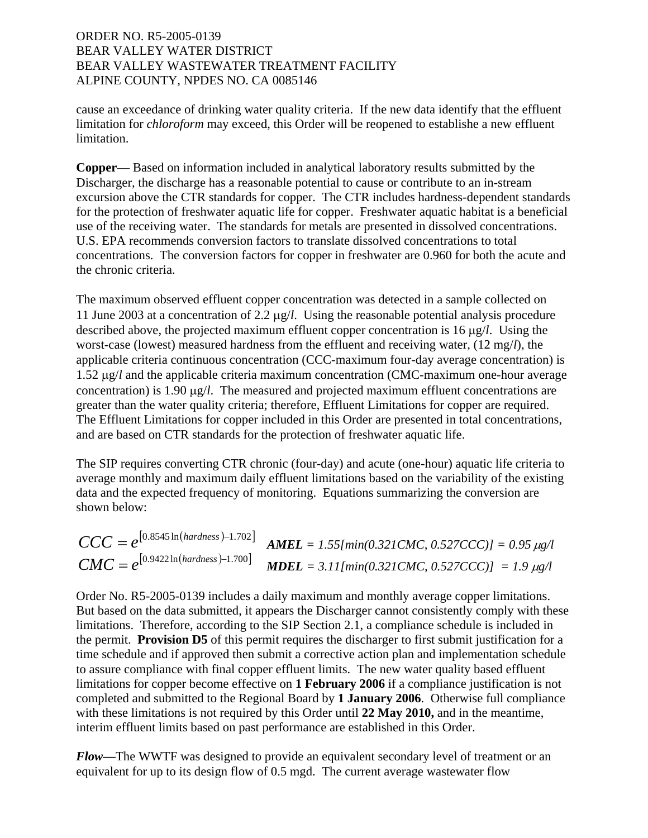cause an exceedance of drinking water quality criteria. If the new data identify that the effluent limitation for *chloroform* may exceed, this Order will be reopened to establishe a new effluent limitation.

**Copper**— Based on information included in analytical laboratory results submitted by the Discharger, the discharge has a reasonable potential to cause or contribute to an in-stream excursion above the CTR standards for copper. The CTR includes hardness-dependent standards for the protection of freshwater aquatic life for copper. Freshwater aquatic habitat is a beneficial use of the receiving water. The standards for metals are presented in dissolved concentrations. U.S. EPA recommends conversion factors to translate dissolved concentrations to total concentrations. The conversion factors for copper in freshwater are 0.960 for both the acute and the chronic criteria.

The maximum observed effluent copper concentration was detected in a sample collected on 11 June 2003 at a concentration of 2.2 μg/*l*. Using the reasonable potential analysis procedure described above, the projected maximum effluent copper concentration is 16 μg/*l*. Using the worst-case (lowest) measured hardness from the effluent and receiving water, (12 mg/*l*), the applicable criteria continuous concentration (CCC-maximum four-day average concentration) is 1.52 μg/*l* and the applicable criteria maximum concentration (CMC-maximum one-hour average concentration) is 1.90 μg/*l*. The measured and projected maximum effluent concentrations are greater than the water quality criteria; therefore, Effluent Limitations for copper are required. The Effluent Limitations for copper included in this Order are presented in total concentrations, and are based on CTR standards for the protection of freshwater aquatic life.

The SIP requires converting CTR chronic (four-day) and acute (one-hour) aquatic life criteria to average monthly and maximum daily effluent limitations based on the variability of the existing data and the expected frequency of monitoring. Equations summarizing the conversion are shown below:

$$
CCC = e^{[0.8545 \ln(hardness) - 1.702]}
$$
  
\n
$$
AMEL = 1.55[\min(0.321 \text{CMC}, 0.527 \text{CC})] = 0.95 \mu g/l
$$
  
\n
$$
CMC = e^{[0.9422 \ln(hardness) - 1.700]}
$$
  
\n
$$
MDEL = 3.11[\min(0.321 \text{CMC}, 0.527 \text{CC})] = 1.9 \mu g/l
$$

Order No. R5-2005-0139 includes a daily maximum and monthly average copper limitations. But based on the data submitted, it appears the Discharger cannot consistently comply with these limitations. Therefore, according to the SIP Section 2.1, a compliance schedule is included in the permit. **Provision D5** of this permit requires the discharger to first submit justification for a time schedule and if approved then submit a corrective action plan and implementation schedule to assure compliance with final copper effluent limits. The new water quality based effluent limitations for copper become effective on **1 February 2006** if a compliance justification is not completed and submitted to the Regional Board by **1 January 2006**. Otherwise full compliance with these limitations is not required by this Order until **22 May 2010,** and in the meantime, interim effluent limits based on past performance are established in this Order.

*Flow—*The WWTF was designed to provide an equivalent secondary level of treatment or an equivalent for up to its design flow of 0.5 mgd. The current average wastewater flow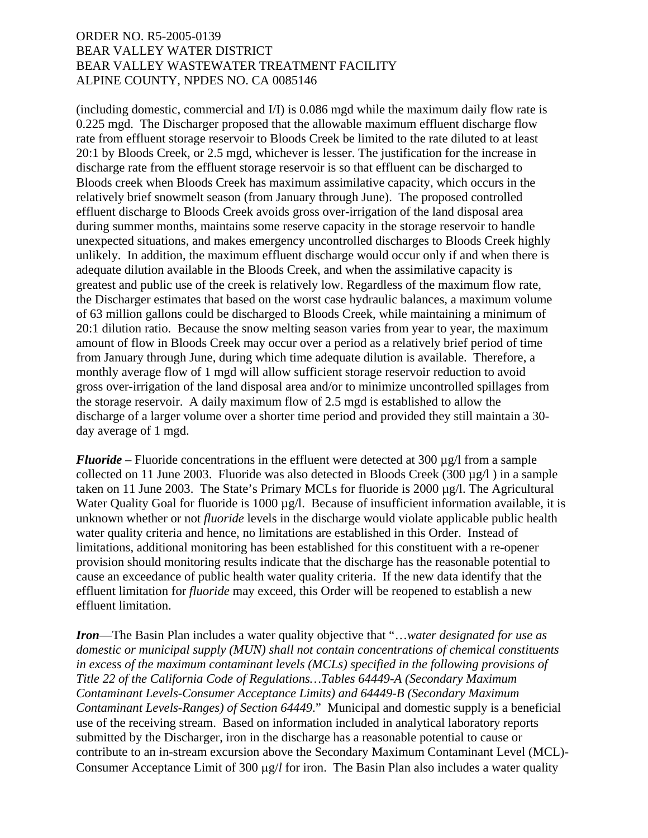(including domestic, commercial and I/I) is 0.086 mgd while the maximum daily flow rate is 0.225 mgd. The Discharger proposed that the allowable maximum effluent discharge flow rate from effluent storage reservoir to Bloods Creek be limited to the rate diluted to at least 20:1 by Bloods Creek, or 2.5 mgd, whichever is lesser. The justification for the increase in discharge rate from the effluent storage reservoir is so that effluent can be discharged to Bloods creek when Bloods Creek has maximum assimilative capacity, which occurs in the relatively brief snowmelt season (from January through June). The proposed controlled effluent discharge to Bloods Creek avoids gross over-irrigation of the land disposal area during summer months, maintains some reserve capacity in the storage reservoir to handle unexpected situations, and makes emergency uncontrolled discharges to Bloods Creek highly unlikely. In addition, the maximum effluent discharge would occur only if and when there is adequate dilution available in the Bloods Creek, and when the assimilative capacity is greatest and public use of the creek is relatively low. Regardless of the maximum flow rate, the Discharger estimates that based on the worst case hydraulic balances, a maximum volume of 63 million gallons could be discharged to Bloods Creek, while maintaining a minimum of 20:1 dilution ratio. Because the snow melting season varies from year to year, the maximum amount of flow in Bloods Creek may occur over a period as a relatively brief period of time from January through June, during which time adequate dilution is available. Therefore, a monthly average flow of 1 mgd will allow sufficient storage reservoir reduction to avoid gross over-irrigation of the land disposal area and/or to minimize uncontrolled spillages from the storage reservoir. A daily maximum flow of 2.5 mgd is established to allow the discharge of a larger volume over a shorter time period and provided they still maintain a 30 day average of 1 mgd.

*Fluoride* – Fluoride concentrations in the effluent were detected at 300  $\mu$ g/l from a sample collected on 11 June 2003. Fluoride was also detected in Bloods Creek (300  $\mu$ g/l) in a sample taken on 11 June 2003. The State's Primary MCLs for fluoride is 2000 µg/l. The Agricultural Water Quality Goal for fluoride is  $1000 \mu g/l$ . Because of insufficient information available, it is unknown whether or not *fluoride* levels in the discharge would violate applicable public health water quality criteria and hence, no limitations are established in this Order. Instead of limitations, additional monitoring has been established for this constituent with a re-opener provision should monitoring results indicate that the discharge has the reasonable potential to cause an exceedance of public health water quality criteria. If the new data identify that the effluent limitation for *fluoride* may exceed, this Order will be reopened to establish a new effluent limitation.

*Iron*—The Basin Plan includes a water quality objective that "…*water designated for use as domestic or municipal supply (MUN) shall not contain concentrations of chemical constituents in excess of the maximum contaminant levels (MCLs) specified in the following provisions of Title 22 of the California Code of Regulations…Tables 64449-A (Secondary Maximum Contaminant Levels-Consumer Acceptance Limits) and 64449-B (Secondary Maximum Contaminant Levels-Ranges) of Section 64449*." Municipal and domestic supply is a beneficial use of the receiving stream. Based on information included in analytical laboratory reports submitted by the Discharger, iron in the discharge has a reasonable potential to cause or contribute to an in-stream excursion above the Secondary Maximum Contaminant Level (MCL)- Consumer Acceptance Limit of 300 μg/*l* for iron. The Basin Plan also includes a water quality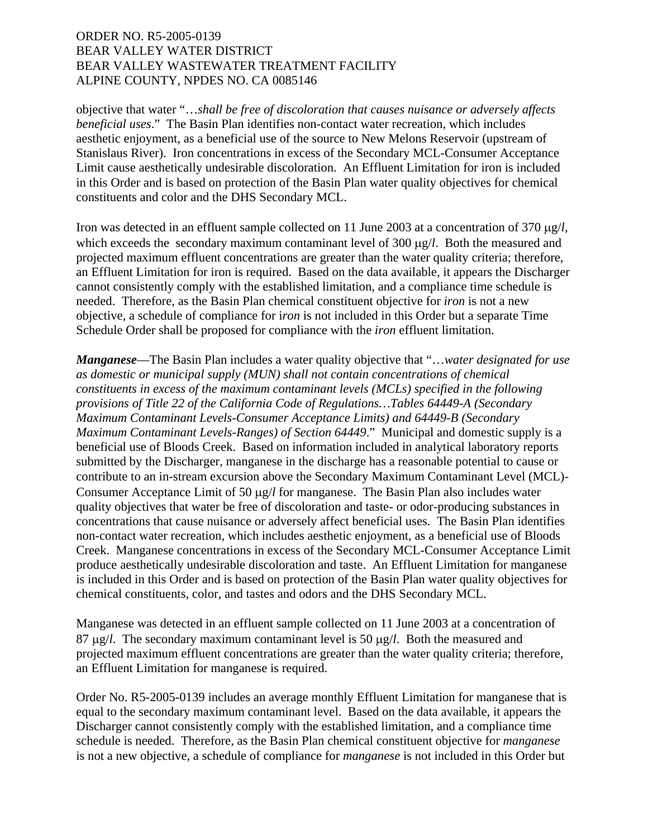objective that water "…*shall be free of discoloration that causes nuisance or adversely affects beneficial uses*." The Basin Plan identifies non-contact water recreation, which includes aesthetic enjoyment, as a beneficial use of the source to New Melons Reservoir (upstream of Stanislaus River). Iron concentrations in excess of the Secondary MCL-Consumer Acceptance Limit cause aesthetically undesirable discoloration. An Effluent Limitation for iron is included in this Order and is based on protection of the Basin Plan water quality objectives for chemical constituents and color and the DHS Secondary MCL.

Iron was detected in an effluent sample collected on 11 June 2003 at a concentration of 370 μg/*l,* which exceeds the secondary maximum contaminant level of 300 μg/*l*. Both the measured and projected maximum effluent concentrations are greater than the water quality criteria; therefore, an Effluent Limitation for iron is required. Based on the data available, it appears the Discharger cannot consistently comply with the established limitation, and a compliance time schedule is needed. Therefore, as the Basin Plan chemical constituent objective for *iron* is not a new objective, a schedule of compliance for i*ron* is not included in this Order but a separate Time Schedule Order shall be proposed for compliance with the *iron* effluent limitation.

*Manganese*—The Basin Plan includes a water quality objective that "…*water designated for use as domestic or municipal supply (MUN) shall not contain concentrations of chemical constituents in excess of the maximum contaminant levels (MCLs) specified in the following provisions of Title 22 of the California Code of Regulations…Tables 64449-A (Secondary Maximum Contaminant Levels-Consumer Acceptance Limits) and 64449-B (Secondary Maximum Contaminant Levels-Ranges) of Section 64449*." Municipal and domestic supply is a beneficial use of Bloods Creek. Based on information included in analytical laboratory reports submitted by the Discharger, manganese in the discharge has a reasonable potential to cause or contribute to an in-stream excursion above the Secondary Maximum Contaminant Level (MCL)- Consumer Acceptance Limit of 50 μg/*l* for manganese. The Basin Plan also includes water quality objectives that water be free of discoloration and taste- or odor-producing substances in concentrations that cause nuisance or adversely affect beneficial uses. The Basin Plan identifies non-contact water recreation, which includes aesthetic enjoyment, as a beneficial use of Bloods Creek. Manganese concentrations in excess of the Secondary MCL-Consumer Acceptance Limit produce aesthetically undesirable discoloration and taste. An Effluent Limitation for manganese is included in this Order and is based on protection of the Basin Plan water quality objectives for chemical constituents, color, and tastes and odors and the DHS Secondary MCL.

Manganese was detected in an effluent sample collected on 11 June 2003 at a concentration of 87 μg/*l*. The secondary maximum contaminant level is 50 μg/*l*. Both the measured and projected maximum effluent concentrations are greater than the water quality criteria; therefore, an Effluent Limitation for manganese is required.

Order No. R5-2005-0139 includes an average monthly Effluent Limitation for manganese that is equal to the secondary maximum contaminant level. Based on the data available, it appears the Discharger cannot consistently comply with the established limitation, and a compliance time schedule is needed. Therefore, as the Basin Plan chemical constituent objective for *manganese* is not a new objective, a schedule of compliance for *manganese* is not included in this Order but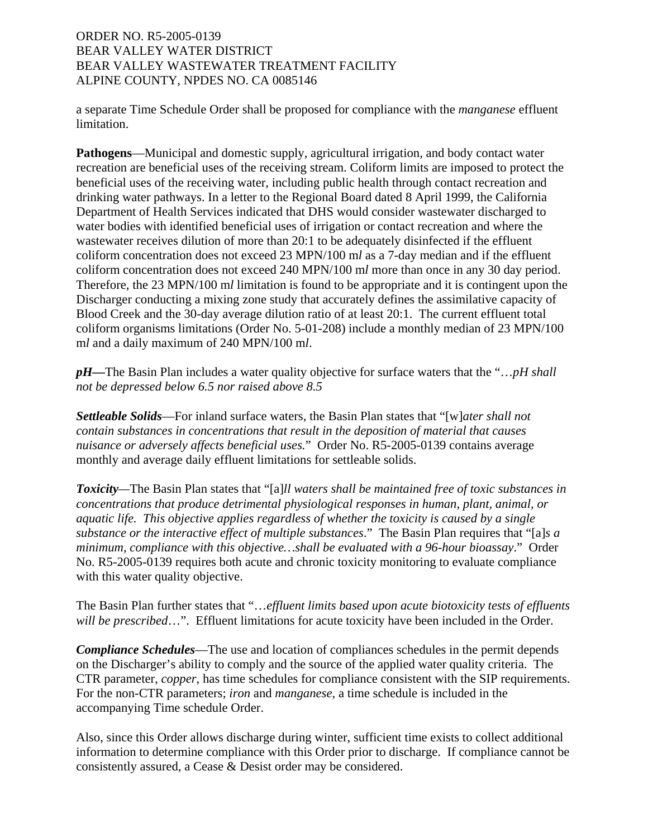a separate Time Schedule Order shall be proposed for compliance with the *manganese* effluent limitation.

**Pathogens**—Municipal and domestic supply, agricultural irrigation, and body contact water recreation are beneficial uses of the receiving stream. Coliform limits are imposed to protect the beneficial uses of the receiving water, including public health through contact recreation and drinking water pathways. In a letter to the Regional Board dated 8 April 1999, the California Department of Health Services indicated that DHS would consider wastewater discharged to water bodies with identified beneficial uses of irrigation or contact recreation and where the wastewater receives dilution of more than 20:1 to be adequately disinfected if the effluent coliform concentration does not exceed 23 MPN/100 m*l* as a 7-day median and if the effluent coliform concentration does not exceed 240 MPN/100 m*l* more than once in any 30 day period. Therefore, the 23 MPN/100 m*l* limitation is found to be appropriate and it is contingent upon the Discharger conducting a mixing zone study that accurately defines the assimilative capacity of Blood Creek and the 30-day average dilution ratio of at least 20:1. The current effluent total coliform organisms limitations (Order No. 5-01-208) include a monthly median of 23 MPN/100 m*l* and a daily maximum of 240 MPN/100 m*l*.

*pH—*The Basin Plan includes a water quality objective for surface waters that the "…*pH shall not be depressed below 6.5 nor raised above 8.5*

*Settleable Solids*—For inland surface waters, the Basin Plan states that "[w]*ater shall not contain substances in concentrations that result in the deposition of material that causes nuisance or adversely affects beneficial uses.*" Order No. R5-2005-0139 contains average monthly and average daily effluent limitations for settleable solids.

*Toxicity—*The Basin Plan states that "[a]*ll waters shall be maintained free of toxic substances in concentrations that produce detrimental physiological responses in human, plant, animal, or aquatic life. This objective applies regardless of whether the toxicity is caused by a single substance or the interactive effect of multiple substances*." The Basin Plan requires that "[a]*s a minimum, compliance with this objective…shall be evaluated with a 96-hour bioassay*." Order No. R5-2005-0139 requires both acute and chronic toxicity monitoring to evaluate compliance with this water quality objective.

The Basin Plan further states that "…*effluent limits based upon acute biotoxicity tests of effluents will be prescribed*…". Effluent limitations for acute toxicity have been included in the Order.

*Compliance Schedules*—The use and location of compliances schedules in the permit depends on the Discharger's ability to comply and the source of the applied water quality criteria. The CTR parameter, *copper*, has time schedules for compliance consistent with the SIP requirements. For the non-CTR parameters; *iron* and *manganese*, a time schedule is included in the accompanying Time schedule Order.

Also, since this Order allows discharge during winter, sufficient time exists to collect additional information to determine compliance with this Order prior to discharge. If compliance cannot be consistently assured, a Cease & Desist order may be considered.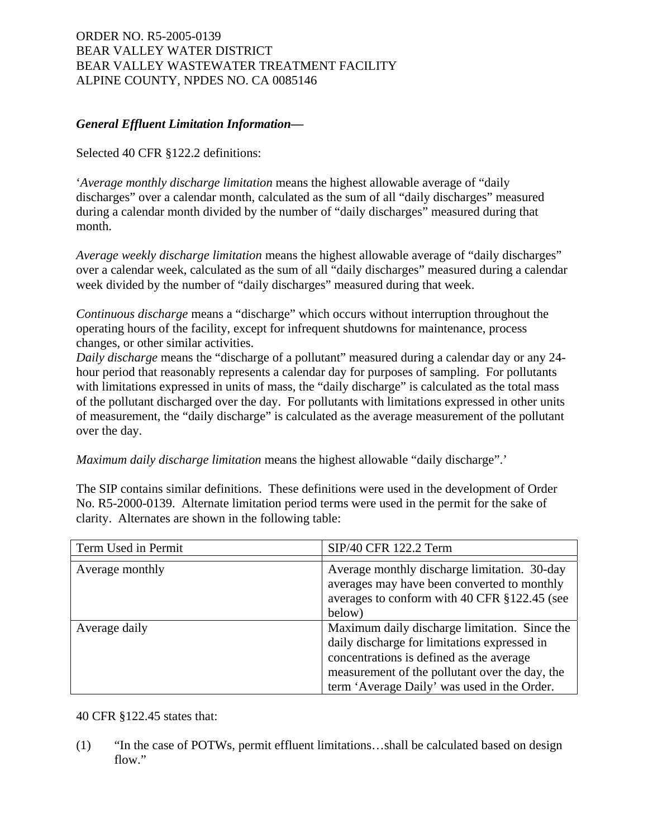# *General Effluent Limitation Information—*

Selected 40 CFR §122.2 definitions:

'*Average monthly discharge limitation* means the highest allowable average of "daily discharges" over a calendar month, calculated as the sum of all "daily discharges" measured during a calendar month divided by the number of "daily discharges" measured during that month.

*Average weekly discharge limitation* means the highest allowable average of "daily discharges" over a calendar week, calculated as the sum of all "daily discharges" measured during a calendar week divided by the number of "daily discharges" measured during that week.

*Continuous discharge* means a "discharge" which occurs without interruption throughout the operating hours of the facility, except for infrequent shutdowns for maintenance, process changes, or other similar activities.

*Daily discharge* means the "discharge of a pollutant" measured during a calendar day or any 24 hour period that reasonably represents a calendar day for purposes of sampling. For pollutants with limitations expressed in units of mass, the "daily discharge" is calculated as the total mass of the pollutant discharged over the day. For pollutants with limitations expressed in other units of measurement, the "daily discharge" is calculated as the average measurement of the pollutant over the day.

*Maximum daily discharge limitation* means the highest allowable "daily discharge".'

The SIP contains similar definitions. These definitions were used in the development of Order No. R5-2000-0139. Alternate limitation period terms were used in the permit for the sake of clarity. Alternates are shown in the following table:

| Term Used in Permit | SIP/40 CFR 122.2 Term                                                                                                                                                                                                                      |
|---------------------|--------------------------------------------------------------------------------------------------------------------------------------------------------------------------------------------------------------------------------------------|
|                     |                                                                                                                                                                                                                                            |
| Average monthly     | Average monthly discharge limitation. 30-day<br>averages may have been converted to monthly<br>averages to conform with 40 CFR §122.45 (see<br>below)                                                                                      |
| Average daily       | Maximum daily discharge limitation. Since the<br>daily discharge for limitations expressed in<br>concentrations is defined as the average<br>measurement of the pollutant over the day, the<br>term 'Average Daily' was used in the Order. |

## 40 CFR §122.45 states that:

(1) "In the case of POTWs, permit effluent limitations…shall be calculated based on design flow."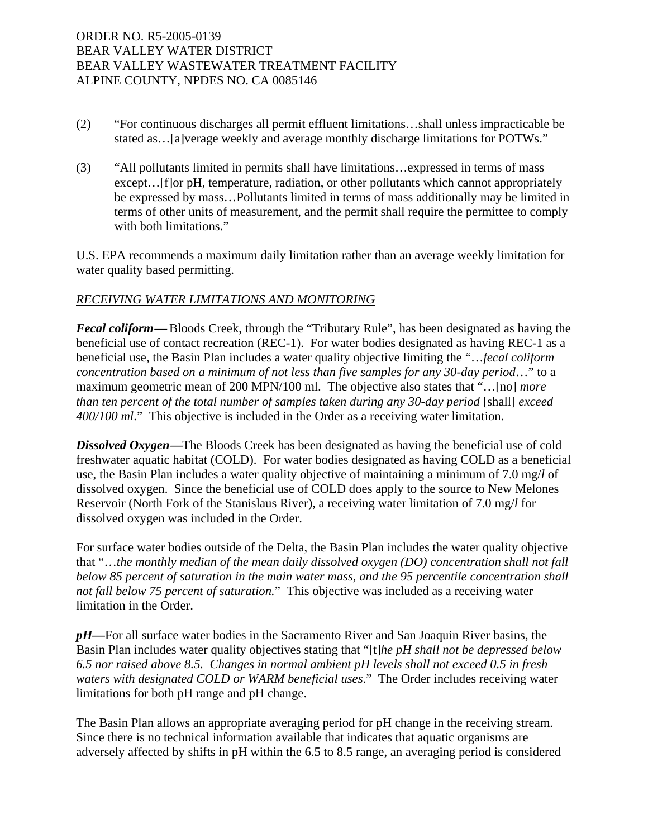- (2) "For continuous discharges all permit effluent limitations…shall unless impracticable be stated as…[a]verage weekly and average monthly discharge limitations for POTWs."
- (3) "All pollutants limited in permits shall have limitations…expressed in terms of mass except... [f]or pH, temperature, radiation, or other pollutants which cannot appropriately be expressed by mass…Pollutants limited in terms of mass additionally may be limited in terms of other units of measurement, and the permit shall require the permittee to comply with both limitations."

U.S. EPA recommends a maximum daily limitation rather than an average weekly limitation for water quality based permitting.

## *RECEIVING WATER LIMITATIONS AND MONITORING*

*Fecal coliform***—** Bloods Creek, through the "Tributary Rule", has been designated as having the beneficial use of contact recreation (REC-1). For water bodies designated as having REC-1 as a beneficial use, the Basin Plan includes a water quality objective limiting the "…*fecal coliform concentration based on a minimum of not less than five samples for any 30-day period*…" to a maximum geometric mean of 200 MPN/100 ml. The objective also states that "…[no] *more than ten percent of the total number of samples taken during any 30-day period* [shall] *exceed 400/100 ml*." This objective is included in the Order as a receiving water limitation.

**Dissolved Oxygen—The Bloods Creek has been designated as having the beneficial use of cold** freshwater aquatic habitat (COLD). For water bodies designated as having COLD as a beneficial use, the Basin Plan includes a water quality objective of maintaining a minimum of 7.0 mg/*l* of dissolved oxygen. Since the beneficial use of COLD does apply to the source to New Melones Reservoir (North Fork of the Stanislaus River), a receiving water limitation of 7.0 mg/*l* for dissolved oxygen was included in the Order.

For surface water bodies outside of the Delta, the Basin Plan includes the water quality objective that "…*the monthly median of the mean daily dissolved oxygen (DO) concentration shall not fall below 85 percent of saturation in the main water mass, and the 95 percentile concentration shall not fall below 75 percent of saturation.*" This objective was included as a receiving water limitation in the Order.

*pH—*For all surface water bodies in the Sacramento River and San Joaquin River basins, the Basin Plan includes water quality objectives stating that "[t]*he pH shall not be depressed below 6.5 nor raised above 8.5. Changes in normal ambient pH levels shall not exceed 0.5 in fresh waters with designated COLD or WARM beneficial uses*." The Order includes receiving water limitations for both pH range and pH change.

The Basin Plan allows an appropriate averaging period for pH change in the receiving stream. Since there is no technical information available that indicates that aquatic organisms are adversely affected by shifts in pH within the 6.5 to 8.5 range, an averaging period is considered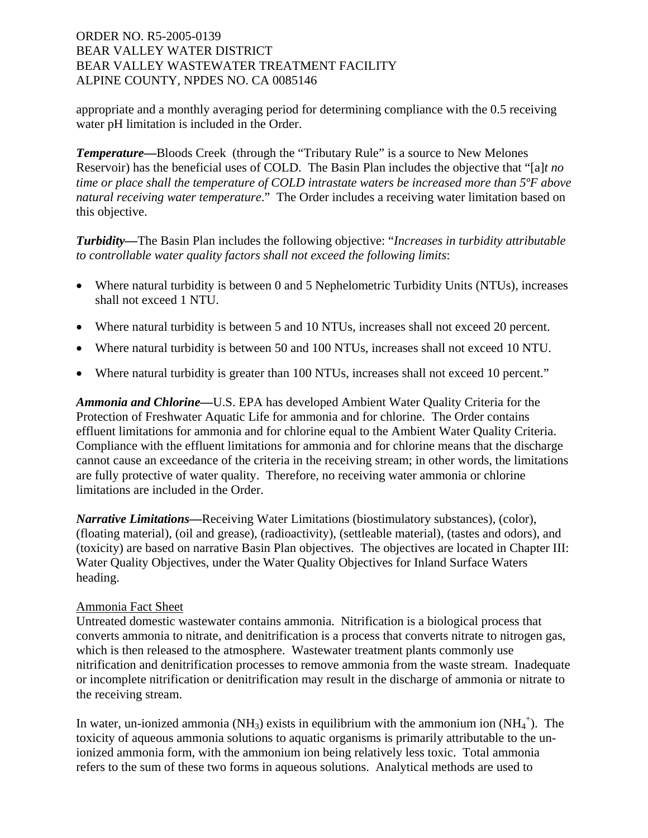appropriate and a monthly averaging period for determining compliance with the 0.5 receiving water pH limitation is included in the Order.

*Temperature—*Bloods Creek (through the "Tributary Rule" is a source to New Melones Reservoir) has the beneficial uses of COLD. The Basin Plan includes the objective that "[a]*t no time or place shall the temperature of COLD intrastate waters be increased more than 5ºF above natural receiving water temperature*." The Order includes a receiving water limitation based on this objective.

*Turbidity—*The Basin Plan includes the following objective: "*Increases in turbidity attributable to controllable water quality factors shall not exceed the following limits*:

- Where natural turbidity is between 0 and 5 Nephelometric Turbidity Units (NTUs), increases shall not exceed 1 NTU.
- Where natural turbidity is between 5 and 10 NTUs, increases shall not exceed 20 percent.
- Where natural turbidity is between 50 and 100 NTUs, increases shall not exceed 10 NTU.
- Where natural turbidity is greater than 100 NTUs, increases shall not exceed 10 percent."

*Ammonia and Chlorine—*U.S. EPA has developed Ambient Water Quality Criteria for the Protection of Freshwater Aquatic Life for ammonia and for chlorine. The Order contains effluent limitations for ammonia and for chlorine equal to the Ambient Water Quality Criteria. Compliance with the effluent limitations for ammonia and for chlorine means that the discharge cannot cause an exceedance of the criteria in the receiving stream; in other words, the limitations are fully protective of water quality. Therefore, no receiving water ammonia or chlorine limitations are included in the Order.

*Narrative Limitations—*Receiving Water Limitations (biostimulatory substances), (color), (floating material), (oil and grease), (radioactivity), (settleable material), (tastes and odors), and (toxicity) are based on narrative Basin Plan objectives. The objectives are located in Chapter III: Water Quality Objectives, under the Water Quality Objectives for Inland Surface Waters heading.

# Ammonia Fact Sheet

Untreated domestic wastewater contains ammonia. Nitrification is a biological process that converts ammonia to nitrate, and denitrification is a process that converts nitrate to nitrogen gas, which is then released to the atmosphere. Wastewater treatment plants commonly use nitrification and denitrification processes to remove ammonia from the waste stream. Inadequate or incomplete nitrification or denitrification may result in the discharge of ammonia or nitrate to the receiving stream.

In water, un-ionized ammonia (NH<sub>3</sub>) exists in equilibrium with the ammonium ion  $(NH_4^+)$ . The toxicity of aqueous ammonia solutions to aquatic organisms is primarily attributable to the unionized ammonia form, with the ammonium ion being relatively less toxic. Total ammonia refers to the sum of these two forms in aqueous solutions. Analytical methods are used to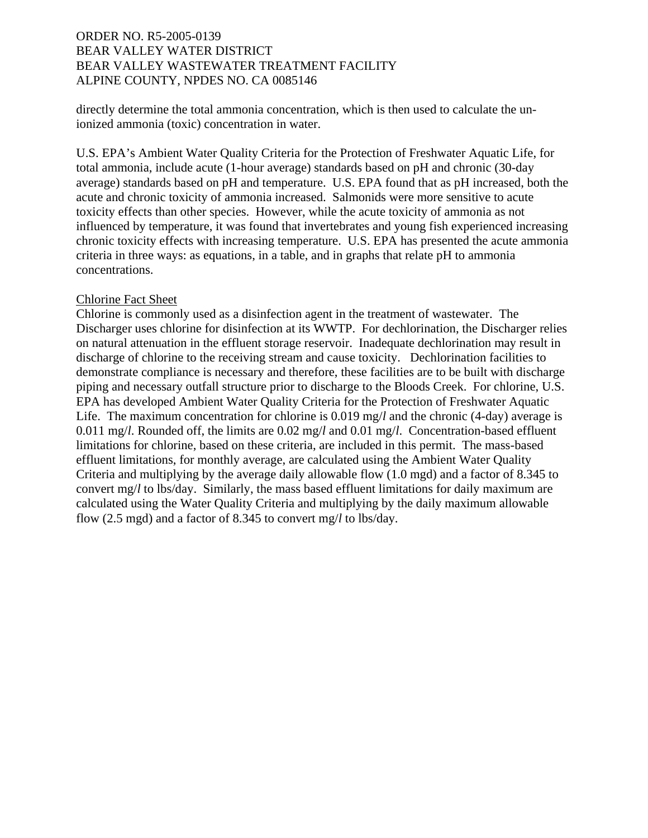directly determine the total ammonia concentration, which is then used to calculate the unionized ammonia (toxic) concentration in water.

U.S. EPA's Ambient Water Quality Criteria for the Protection of Freshwater Aquatic Life, for total ammonia, include acute (1-hour average) standards based on pH and chronic (30-day average) standards based on pH and temperature. U.S. EPA found that as pH increased, both the acute and chronic toxicity of ammonia increased. Salmonids were more sensitive to acute toxicity effects than other species. However, while the acute toxicity of ammonia as not influenced by temperature, it was found that invertebrates and young fish experienced increasing chronic toxicity effects with increasing temperature. U.S. EPA has presented the acute ammonia criteria in three ways: as equations, in a table, and in graphs that relate pH to ammonia concentrations.

## Chlorine Fact Sheet

Chlorine is commonly used as a disinfection agent in the treatment of wastewater. The Discharger uses chlorine for disinfection at its WWTP. For dechlorination, the Discharger relies on natural attenuation in the effluent storage reservoir. Inadequate dechlorination may result in discharge of chlorine to the receiving stream and cause toxicity. Dechlorination facilities to demonstrate compliance is necessary and therefore, these facilities are to be built with discharge piping and necessary outfall structure prior to discharge to the Bloods Creek. For chlorine, U.S. EPA has developed Ambient Water Quality Criteria for the Protection of Freshwater Aquatic Life. The maximum concentration for chlorine is 0.019 mg/*l* and the chronic (4-day) average is 0.011 mg/*l*. Rounded off, the limits are 0.02 mg/*l* and 0.01 mg/*l*. Concentration-based effluent limitations for chlorine, based on these criteria, are included in this permit. The mass-based effluent limitations, for monthly average, are calculated using the Ambient Water Quality Criteria and multiplying by the average daily allowable flow (1.0 mgd) and a factor of 8.345 to convert mg/*l* to lbs/day. Similarly, the mass based effluent limitations for daily maximum are calculated using the Water Quality Criteria and multiplying by the daily maximum allowable flow (2.5 mgd) and a factor of 8.345 to convert mg/*l* to lbs/day.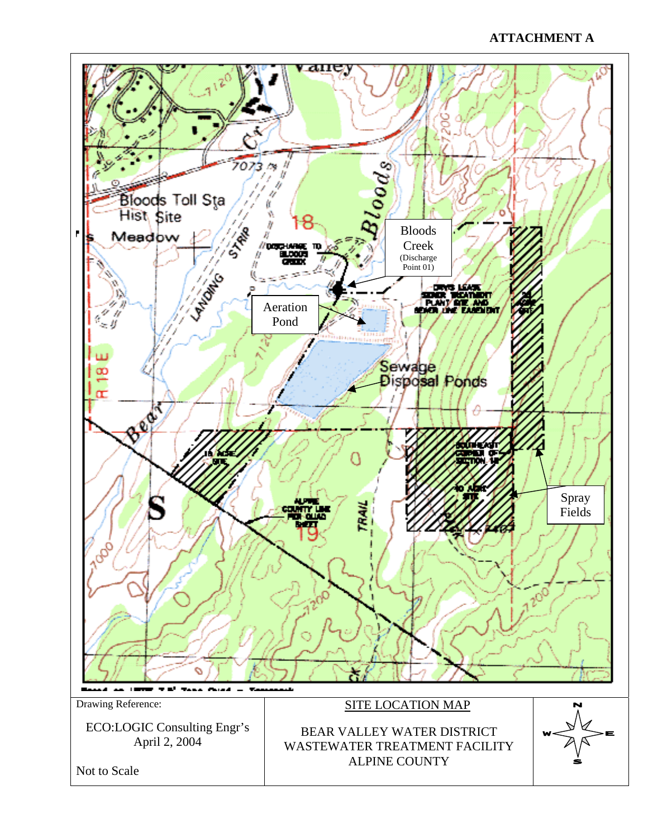# **ATTACHMENT A**